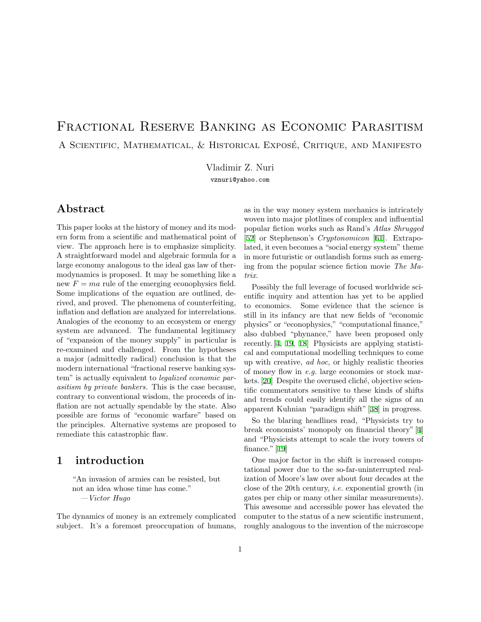# Fractional Reserve Banking as Economic Parasitism A SCIENTIFIC, MATHEMATICAL, & HISTORICAL EXPOSÉ, CRITIQUE, AND MANIFESTO

Vladimir Z. Nuri vznuri@yahoo.com

# Abstract

This paper looks at the history of money and its modern form from a scientific and mathematical point of view. The approach here is to emphasize simplicity. A straightforward model and algebraic formula for a large economy analogous to the ideal gas law of thermodynamics is proposed. It may be something like a new  $F = ma$  rule of the emerging econophysics field. Some implications of the equation are outlined, derived, and proved. The phenomena of counterfeiting, inflation and deflation are analyzed for interrelations. Analogies of the economy to an ecosystem or energy system are advanced. The fundamental legitimacy of "expansion of the money supply" in particular is re-examined and challenged. From the hypotheses a major (admittedly radical) conclusion is that the modern international "fractional reserve banking system" is actually equivalent to legalized economic parasitism by private bankers. This is the case because, contrary to conventional wisdom, the proceeds of inflation are not actually spendable by the state. Also possible are forms of "economic warfare" based on the principles. Alternative systems are proposed to remediate this catastrophic flaw.

# 1 introduction

"An invasion of armies can be resisted, but not an idea whose time has come." —Victor Hugo

The dynamics of money is an extremely complicated subject. It's a foremost preoccupation of humans, as in the way money system mechanics is intricately woven into major plotlines of complex and influential popular fiction works such as Rand's Atlas Shrugged [\[52](#page-61-0)] or Stephenson's *Cryptonomicon* [[61\]](#page-61-1). Extrapolated, it even becomes a "social energy system" theme in more futuristic or outlandish forms such as emerging from the popular science fiction movie The Matrix.

Possibly the full leverage of focused worldwide scientific inquiry and attention has yet to be applied to economics. Some evidence that the science is still in its infancy are that new fields of "economic physics" or "econophysics," "computational finance," also dubbed "phynance," have been proposed only recently. [\[4](#page-58-0), [19](#page-59-0), [18](#page-59-1)] Physicists are applying statistical and computational modelling techniques to come up with creative, ad hoc, or highly realistic theories of money flow in e.g. large economies or stock mar-kets. [\[20\]](#page-59-2) Despite the overused cliché, objective scientific commentators sensitive to these kinds of shifts and trends could easily identify all the signs of an apparent Kuhnian "paradigm shift" [\[38](#page-60-0)] in progress.

So the blaring headlines read, "Physicists try to break economists' monopoly on financial theory" [\[4](#page-58-0)] and "Physicists attempt to scale the ivory towers of finance." [\[19](#page-59-0)]

One major factor in the shift is increased computational power due to the so-far-uninterrupted realization of Moore's law over about four decades at the close of the 20th century, i.e. exponential growth (in gates per chip or many other similar measurements). This awesome and accessible power has elevated the computer to the status of a new scientific instrument, roughly analogous to the invention of the microscope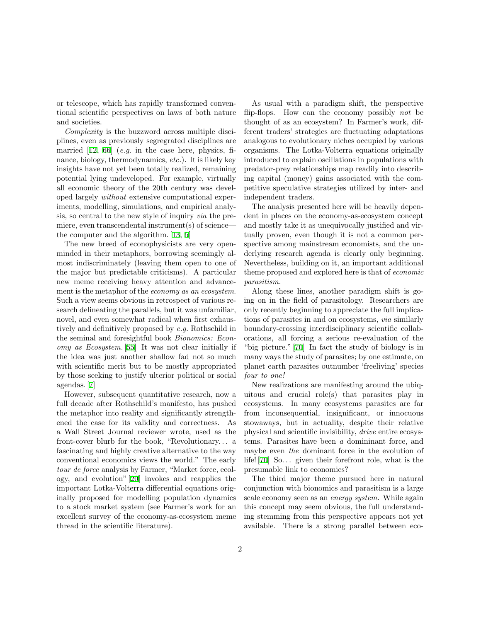or telescope, which has rapidly transformed conventional scientific perspectives on laws of both nature and societies.

Complexity is the buzzword across multiple disciplines, even as previously segregrated disciplines are married  $[12, 66]$  $[12, 66]$  (e.g. in the case here, physics, finance, biology, thermodynamics, etc.). It is likely key insights have not yet been totally realized, remaining potential lying undeveloped. For example, virtually all economic theory of the 20th century was developed largely without extensive computational experiments, modelling, simulations, and empirical analysis, so central to the new style of inquiry via the premiere, even transcendental instrument(s) of science the computer and the algorithm. [\[13](#page-59-4), [5](#page-58-1)]

The new breed of econophysicists are very openminded in their metaphors, borrowing seemingly almost indiscriminately (leaving them open to one of the major but predictable criticisms). A particular new meme receiving heavy attention and advancement is the metaphor of the *economy* as an ecosystem. Such a view seems obvious in retrospect of various research delineating the parallels, but it was unfamiliar, novel, and even somewhat radical when first exhaustively and definitively proposed by e.g. Rothschild in the seminal and foresightful book Bionomics: Economy as Ecosystem. [\[55](#page-61-3)] It was not clear initially if the idea was just another shallow fad not so much with scientific merit but to be mostly appropriated by those seeking to justify ulterior political or social agendas.[[7\]](#page-59-5)

However, subsequent quantitative research, now a full decade after Rothschild's manifesto, has pushed the metaphor into reality and significantly strengthened the case for its validity and correctness. As a Wall Street Journal reviewer wrote, used as the front-cover blurb for the book, "Revolutionary. . . a fascinating and highly creative alternative to the way conventional economics views the world." The early tour de force analysis by Farmer, "Market force, ecology, and evolution" [\[20](#page-59-2)] invokes and reapplies the important Lotka-Volterra differential equations originally proposed for modelling population dynamics to a stock market system (see Farmer's work for an excellent survey of the economy-as-ecosystem meme thread in the scientific literature).

As usual with a paradigm shift, the perspective flip-flops. How can the economy possibly not be thought of as an ecosystem? In Farmer's work, different traders' strategies are fluctuating adaptations analogous to evolutionary niches occupied by various organisms. The Lotka-Volterra equations originally introduced to explain oscillations in populations with predator-prey relationships map readily into describing capital (money) gains associated with the competitive speculative strategies utilized by inter- and independent traders.

The analysis presented here will be heavily dependent in places on the economy-as-ecosystem concept and mostly take it as unequivocally justified and virtually proven, even though it is not a common perspective among mainstream economists, and the underlying research agenda is clearly only beginning. Nevertheless, building on it, an important additional theme proposed and explored here is that of economic parasitism.

Along these lines, another paradigm shift is going on in the field of parasitology. Researchers are only recently beginning to appreciate the full implications of parasites in and on ecosystems, via similarly boundary-crossing interdisciplinary scientific collaborations, all forcing a serious re-evaluation of the "big picture." [\[70](#page-61-4)] In fact the study of biology is in many ways the study of parasites; by one estimate, on planet earth parasites outnumber 'freeliving' species four to one!

New realizations are manifesting around the ubiquitous and crucial role(s) that parasites play in ecosystems. In many ecosystems parasites are far from inconsequential, insignificant, or innocuous stowaways, but in actuality, despite their relative physical and scientific invisibility, drive entire ecosystems. Parasites have been a domininant force, and maybe even the dominant force in the evolution of life! $[70]$  $[70]$  So... given their forefront role, what is the presumable link to economics?

The third major theme pursued here in natural conjunction with bionomics and parasitism is a large scale economy seen as an energy system. While again this concept may seem obvious, the full understanding stemming from this perspective appears not yet available. There is a strong parallel between eco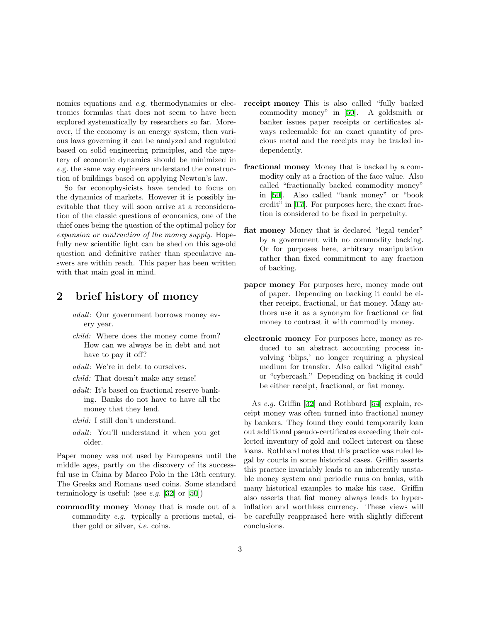nomics equations and e.g. thermodynamics or electronics formulas that does not seem to have been explored systematically by researchers so far. Moreover, if the economy is an energy system, then various laws governing it can be analyzed and regulated based on solid engineering principles, and the mystery of economic dynamics should be minimized in e.g. the same way engineers understand the construction of buildings based on applying Newton's law.

So far econophysicists have tended to focus on the dynamics of markets. However it is possibly inevitable that they will soon arrive at a reconsideration of the classic questions of economics, one of the chief ones being the question of the optimal policy for expansion or contraction of the money supply. Hopefully new scientific light can be shed on this age-old question and definitive rather than speculative answers are within reach. This paper has been written with that main goal in mind.

### 2 brief history of money

- adult: Our government borrows money every year.
- child: Where does the money come from? How can we always be in debt and not have to pay it off?
- adult: We're in debt to ourselves.
- child: That doesn't make any sense!
- adult: It's based on fractional reserve banking. Banks do not have to have all the money that they lend.
- child: I still don't understand.
- adult: You'll understand it when you get older.

Paper money was not used by Europeans until the middle ages, partly on the discovery of its successful use in China by Marco Polo in the 13th century. The Greeks and Romans used coins. Some standard terminologyis useful: (see *e.g.* [[32\]](#page-60-1) or [[50\]](#page-60-2))

commodity money Money that is made out of a commodity e.g. typically a precious metal, either gold or silver, i.e. coins.

- receipt money This is also called "fully backed commodity money" in [\[50](#page-60-2)]. A goldsmith or banker issues paper receipts or certificates always redeemable for an exact quantity of precious metal and the receipts may be traded independently.
- fractional money Money that is backed by a commodity only at a fraction of the face value. Also called "fractionally backed commodity money" in [\[50\]](#page-60-2). Also called "bank money" or "book credit" in[[17\]](#page-59-6). For purposes here, the exact fraction is considered to be fixed in perpetuity.
- fiat money Money that is declared "legal tender" by a government with no commodity backing. Or for purposes here, arbitrary manipulation rather than fixed commitment to any fraction of backing.
- paper money For purposes here, money made out of paper. Depending on backing it could be either receipt, fractional, or fiat money. Many authors use it as a synonym for fractional or fiat money to contrast it with commodity money.
- electronic money For purposes here, money as reduced to an abstract accounting process involving 'blips,' no longer requiring a physical medium for transfer. Also called "digital cash" or "cybercash." Depending on backing it could be either receipt, fractional, or fiat money.

As e.g. Griffin [\[32](#page-60-1)] and Rothbard [\[54](#page-61-5)] explain, receipt money was often turned into fractional money by bankers. They found they could temporarily loan out additional pseudo-certificates exceeding their collected inventory of gold and collect interest on these loans. Rothbard notes that this practice was ruled legal by courts in some historical cases. Griffin asserts this practice invariably leads to an inherently unstable money system and periodic runs on banks, with many historical examples to make his case. Griffin also asserts that fiat money always leads to hyperinflation and worthless currency. These views will be carefully reappraised here with slightly different conclusions.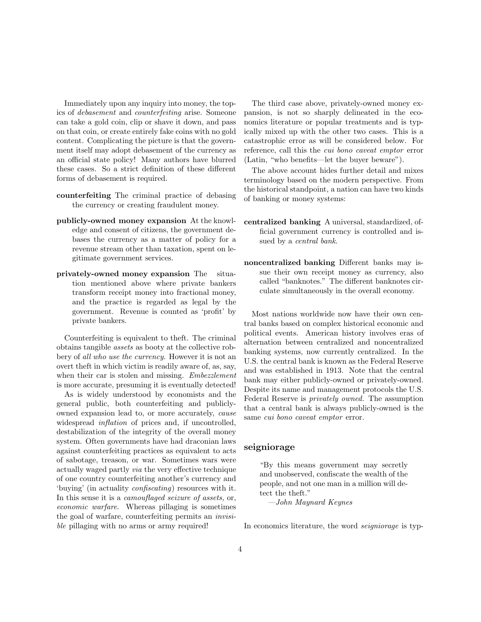Immediately upon any inquiry into money, the topics of debasement and counterfeiting arise. Someone can take a gold coin, clip or shave it down, and pass on that coin, or create entirely fake coins with no gold content. Complicating the picture is that the government itself may adopt debasement of the currency as an official state policy! Many authors have blurred these cases. So a strict definition of these different forms of debasement is required.

- counterfeiting The criminal practice of debasing the currency or creating fraudulent money.
- publicly-owned money expansion At the knowledge and consent of citizens, the government debases the currency as a matter of policy for a revenue stream other than taxation, spent on legitimate government services.
- privately-owned money expansion The situation mentioned above where private bankers transform receipt money into fractional money, and the practice is regarded as legal by the government. Revenue is counted as 'profit' by private bankers.

Counterfeiting is equivalent to theft. The criminal obtains tangible assets as booty at the collective robbery of all who use the currency. However it is not an overt theft in which victim is readily aware of, as, say, when their car is stolen and missing. *Embezzlement* is more accurate, presuming it is eventually detected!

As is widely understood by economists and the general public, both counterfeiting and publiclyowned expansion lead to, or more accurately, cause widespread *inflation* of prices and, if uncontrolled, destabilization of the integrity of the overall money system. Often governments have had draconian laws against counterfeiting practices as equivalent to acts of sabotage, treason, or war. Sometimes wars were actually waged partly via the very effective technique of one country counterfeiting another's currency and 'buying' (in actuality confiscating) resources with it. In this sense it is a camouflaged seizure of assets, or, economic warfare. Whereas pillaging is sometimes the goal of warfare, counterfeiting permits an invisible pillaging with no arms or army required!

The third case above, privately-owned money expansion, is not so sharply delineated in the economics literature or popular treatments and is typically mixed up with the other two cases. This is a catastrophic error as will be considered below. For reference, call this the cui bono caveat emptor error (Latin, "who benefits—let the buyer beware").

The above account hides further detail and mixes terminology based on the modern perspective. From the historical standpoint, a nation can have two kinds of banking or money systems:

- centralized banking A universal, standardized, official government currency is controlled and issued by a central bank.
- noncentralized banking Different banks may issue their own receipt money as currency, also called "banknotes." The different banknotes circulate simultaneously in the overall economy.

Most nations worldwide now have their own central banks based on complex historical economic and political events. American history involves eras of alternation between centralized and noncentralized banking systems, now currently centralized. In the U.S. the central bank is known as the Federal Reserve and was established in 1913. Note that the central bank may either publicly-owned or privately-owned. Despite its name and management protocols the U.S. Federal Reserve is privately owned. The assumption that a central bank is always publicly-owned is the same cui bono caveat emptor error.

#### seigniorage

"By this means government may secretly and unobserved, confiscate the wealth of the people, and not one man in a million will detect the theft."

—John Maynard Keynes

In economics literature, the word seigniorage is typ-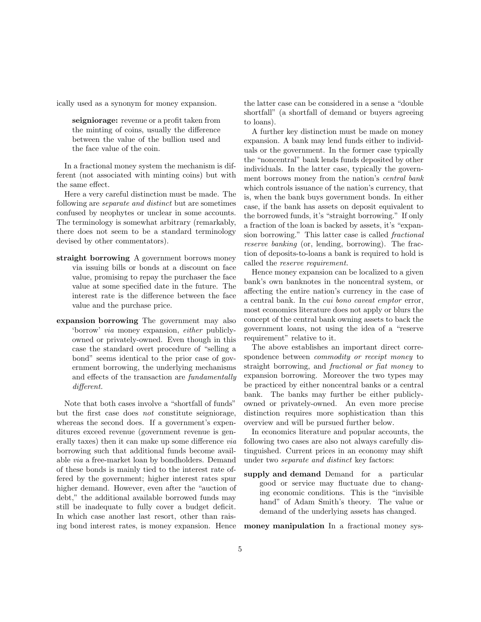ically used as a synonym for money expansion.

seigniorage: revenue or a profit taken from the minting of coins, usually the difference between the value of the bullion used and the face value of the coin.

In a fractional money system the mechanism is different (not associated with minting coins) but with the same effect.

Here a very careful distinction must be made. The following are separate and distinct but are sometimes confused by neophytes or unclear in some accounts. The terminology is somewhat arbitrary (remarkably, there does not seem to be a standard terminology devised by other commentators).

- straight borrowing A government borrows money via issuing bills or bonds at a discount on face value, promising to repay the purchaser the face value at some specified date in the future. The interest rate is the difference between the face value and the purchase price.
- expansion borrowing The government may also 'borrow' via money expansion, either publiclyowned or privately-owned. Even though in this case the standard overt procedure of "selling a bond" seems identical to the prior case of government borrowing, the underlying mechanisms and effects of the transaction are fundamentally different.

Note that both cases involve a "shortfall of funds" but the first case does not constitute seigniorage, whereas the second does. If a government's expenditures exceed revenue (government revenue is generally taxes) then it can make up some difference via borrowing such that additional funds become available via a free-market loan by bondholders. Demand of these bonds is mainly tied to the interest rate offered by the government; higher interest rates spur higher demand. However, even after the "auction of debt," the additional available borrowed funds may still be inadequate to fully cover a budget deficit. In which case another last resort, other than raising bond interest rates, is money expansion. Hence the latter case can be considered in a sense a "double shortfall" (a shortfall of demand or buyers agreeing to loans).

A further key distinction must be made on money expansion. A bank may lend funds either to individuals or the government. In the former case typically the "noncentral" bank lends funds deposited by other individuals. In the latter case, typically the government borrows money from the nation's central bank which controls issuance of the nation's currency, that is, when the bank buys government bonds. In either case, if the bank has assets on deposit equivalent to the borrowed funds, it's "straight borrowing." If only a fraction of the loan is backed by assets, it's "expansion borrowing." This latter case is called fractional reserve banking (or, lending, borrowing). The fraction of deposits-to-loans a bank is required to hold is called the reserve requirement.

Hence money expansion can be localized to a given bank's own banknotes in the noncentral system, or affecting the entire nation's currency in the case of a central bank. In the cui bono caveat emptor error, most economics literature does not apply or blurs the concept of the central bank owning assets to back the government loans, not using the idea of a "reserve requirement" relative to it.

The above establishes an important direct correspondence between commodity or receipt money to straight borrowing, and fractional or fiat money to expansion borrowing. Moreover the two types may be practiced by either noncentral banks or a central bank. The banks may further be either publiclyowned or privately-owned. An even more precise distinction requires more sophistication than this overview and will be pursued further below.

In economics literature and popular accounts, the following two cases are also not always carefully distinguished. Current prices in an economy may shift under two separate and distinct key factors:

supply and demand Demand for a particular good or service may fluctuate due to changing economic conditions. This is the "invisible hand" of Adam Smith's theory. The value or demand of the underlying assets has changed.

money manipulation In a fractional money sys-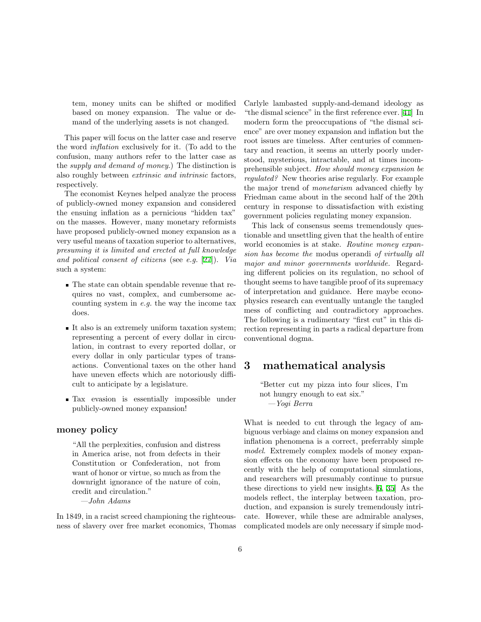tem, money units can be shifted or modified based on money expansion. The value or demand of the underlying assets is not changed.

This paper will focus on the latter case and reserve the word inflation exclusively for it. (To add to the confusion, many authors refer to the latter case as the supply and demand of money.) The distinction is also roughly between extrinsic and intrinsic factors, respectively.

The economist Keynes helped analyze the process of publicly-owned money expansion and considered the ensuing inflation as a pernicious "hidden tax" on the masses. However, many monetary reformists have proposed publicly-owned money expansion as a very useful means of taxation superior to alternatives, presuming it is limited and erected at full knowledge and political consent of citizens (see e.g. [[27\]](#page-59-7)). Via such a system:

- The state can obtain spendable revenue that requires no vast, complex, and cumbersome accounting system in e.g. the way the income tax does.
- It also is an extremely uniform taxation system; representing a percent of every dollar in circulation, in contrast to every reported dollar, or every dollar in only particular types of transactions. Conventional taxes on the other hand have uneven effects which are notoriously difficult to anticipate by a legislature.
- Tax evasion is essentially impossible under publicly-owned money expansion!

### money policy

"All the perplexities, confusion and distress in America arise, not from defects in their Constitution or Confederation, not from want of honor or virtue, so much as from the downright ignorance of the nature of coin, credit and circulation."

—John Adams

In 1849, in a racist screed championing the righteousness of slavery over free market economics, Thomas Carlyle lambasted supply-and-demand ideology as "the dismal science" in the first reference ever. [\[41](#page-60-3)] In modern form the preoccupations of "the dismal science" are over money expansion and inflation but the root issues are timeless. After centuries of commentary and reaction, it seems an utterly poorly understood, mysterious, intractable, and at times incomprehensible subject. How should money expansion be regulated? New theories arise regularly. For example the major trend of monetarism advanced chiefly by Friedman came about in the second half of the 20th century in response to dissatisfaction with existing government policies regulating money expansion.

This lack of consensus seems tremendously questionable and unsettling given that the health of entire world economies is at stake. Routine money expansion has become the modus operandi of virtually all major and minor governments worldwide. Regarding different policies on its regulation, no school of thought seems to have tangible proof of its supremacy of interpretation and guidance. Here maybe econophysics research can eventually untangle the tangled mess of conflicting and contradictory approaches. The following is a rudimentary "first cut" in this direction representing in parts a radical departure from conventional dogma.

### 3 mathematical analysis

"Better cut my pizza into four slices, I'm not hungry enough to eat six." —Yogi Berra

What is needed to cut through the legacy of ambiguous verbiage and claims on money expansion and inflation phenomena is a correct, preferrably simple model. Extremely complex models of money expansion effects on the economy have been proposed recently with the help of computational simulations, and researchers will presumably continue to pursue these directions to yield new insights.[[6,](#page-58-2) [35](#page-60-4)] As the models reflect, the interplay between taxation, production, and expansion is surely tremendously intricate. However, while these are admirable analyses, complicated models are only necessary if simple mod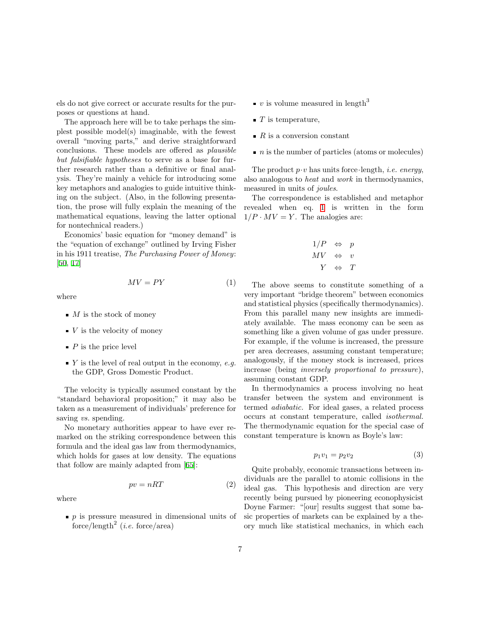els do not give correct or accurate results for the purposes or questions at hand.

The approach here will be to take perhaps the simplest possible model(s) imaginable, with the fewest overall "moving parts," and derive straightforward conclusions. These models are offered as plausible but falsifiable hypotheses to serve as a base for further research rather than a definitive or final analysis. They're mainly a vehicle for introducing some key metaphors and analogies to guide intuitive thinking on the subject. (Also, in the following presentation, the prose will fully explain the meaning of the mathematical equations, leaving the latter optional for nontechnical readers.)

Economics' basic equation for "money demand" is the "equation of exchange" outlined by Irving Fisher in his 1911 treatise, The Purchasing Power of Money: [[50,](#page-60-2) [17\]](#page-59-6)

where

- $\blacksquare$  *M* is the stock of money
- $\bullet$  V is the velocity of money
- $\blacksquare$  P is the price level
- $\bullet$  Y is the level of real output in the economy, e.g. the GDP, Gross Domestic Product.

The velocity is typically assumed constant by the "standard behavioral proposition;" it may also be taken as a measurement of individuals' preference for saving *vs.* spending.

No monetary authorities appear to have ever remarked on the striking correspondence between this formula and the ideal gas law from thermodynamics, which holds for gases at low density. The equations that follow are mainly adapted from [\[65](#page-61-6)]:

<span id="page-6-1"></span>
$$
pv = nRT \tag{2}
$$

<span id="page-6-0"></span> $MV = PY$  (1)

where

 $\bullet$  p is pressure measured in dimensional units of force/length<sup>2</sup> (*i.e.* force/area)

- $\bullet$  v is volume measured in length<sup>3</sup>
- $\blacksquare$  T is temperature,
- $R$  is a conversion constant
- $n$  is the number of particles (atoms or molecules)

The product  $p \cdot v$  has units force length, *i.e.* energy, also analogous to heat and work in thermodynamics, measured in units of joules.

The correspondence is established and metaphor revealed when eq. [1](#page-6-0) is written in the form  $1/P \cdot MV = Y$ . The analogies are:

$$
\begin{array}{ccc}\n1/P & \Leftrightarrow & p \\
MV & \Leftrightarrow & v \\
Y & \Leftrightarrow & T\n\end{array}
$$

The above seems to constitute something of a very important "bridge theorem" between economics and statistical physics (specifically thermodynamics). From this parallel many new insights are immediately available. The mass economy can be seen as something like a given volume of gas under pressure. For example, if the volume is increased, the pressure per area decreases, assuming constant temperature; analogously, if the money stock is increased, prices increase (being inversely proportional to pressure), assuming constant GDP.

In thermodynamics a process involving no heat transfer between the system and environment is termed adiabatic. For ideal gases, a related process occurs at constant temperature, called isothermal. The thermodynamic equation for the special case of constant temperature is known as Boyle's law:

$$
p_1v_1 = p_2v_2\tag{3}
$$

Quite probably, economic transactions between individuals are the parallel to atomic collisions in the ideal gas. This hypothesis and direction are very recently being pursued by pioneering econophysicist Doyne Farmer: "[our] results suggest that some basic properties of markets can be explained by a theory much like statistical mechanics, in which each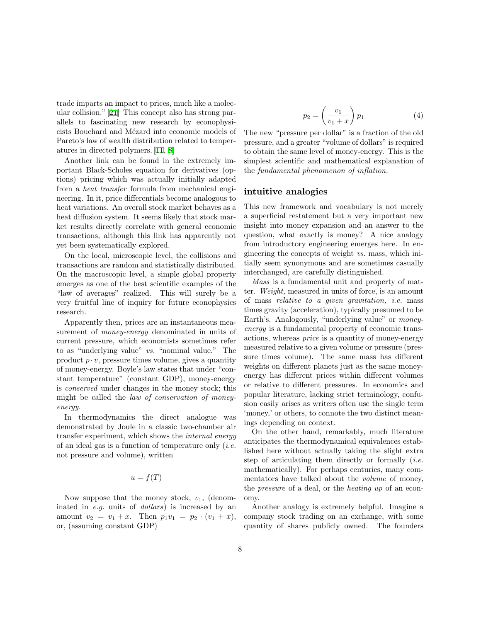trade imparts an impact to prices, much like a molecular collision." [\[21](#page-59-8)] This concept also has strong parallels to fascinating new research by econophysicists Bouchard and Mézard into economic models of Pareto's law of wealth distribution related to temperatures in directed polymers. [\[11](#page-59-9), [8](#page-59-10)]

Another link can be found in the extremely important Black-Scholes equation for derivatives (options) pricing which was actually initially adapted from a heat transfer formula from mechanical engineering. In it, price differentials become analogous to heat variations. An overall stock market behaves as a heat diffusion system. It seems likely that stock market results directly correlate with general economic transactions, although this link has apparently not yet been systematically explored.

On the local, microscopic level, the collisions and transactions are random and statistically distributed. On the macroscopic level, a simple global property emerges as one of the best scientific examples of the "law of averages" realized. This will surely be a very fruitful line of inquiry for future econophysics research.

Apparently then, prices are an instantaneous measurement of money-energy denominated in units of current pressure, which economists sometimes refer to as "underlying value" vs. "nominal value." The product  $p \cdot v$ , pressure times volume, gives a quantity of money-energy. Boyle's law states that under "constant temperature" (constant GDP), money-energy is conserved under changes in the money stock; this might be called the law of conservation of moneyenergy.

In thermodynamics the direct analogue was demonstrated by Joule in a classic two-chamber air transfer experiment, which shows the internal energy of an ideal gas is a function of temperature only  $(i.e.$ not pressure and volume), written

### $u = f(T)$

Now suppose that the money stock,  $v_1$ , (denominated in e.g. units of dollars) is increased by an amount  $v_2 = v_1 + x$ . Then  $p_1v_1 = p_2 \cdot (v_1 + x)$ , or, (assuming constant GDP)

<span id="page-7-0"></span>
$$
p_2 = \left(\frac{v_1}{v_1 + x}\right) p_1 \tag{4}
$$

The new "pressure per dollar" is a fraction of the old pressure, and a greater "volume of dollars" is required to obtain the same level of money-energy. This is the simplest scientific and mathematical explanation of the fundamental phenomenon of inflation.

#### intuitive analogies

This new framework and vocabulary is not merely a superficial restatement but a very important new insight into money expansion and an answer to the question, what exactly is money? A nice analogy from introductory engineering emerges here. In engineering the concepts of weight vs. mass, which initially seem synonymous and are sometimes casually interchanged, are carefully distinguished.

Mass is a fundamental unit and property of matter. Weight, measured in units of force, is an amount of mass relative to a given gravitation, i.e. mass times gravity (acceleration), typically presumed to be Earth's. Analogously, "underlying value" or moneyenergy is a fundamental property of economic transactions, whereas price is a quantity of money-energy measured relative to a given volume or pressure (pressure times volume). The same mass has different weights on different planets just as the same moneyenergy has different prices within different volumes or relative to different pressures. In economics and popular literature, lacking strict terminology, confusion easily arises as writers often use the single term 'money,' or others, to connote the two distinct meanings depending on context.

On the other hand, remarkably, much literature anticipates the thermodynamical equivalences established here without actually taking the slight extra step of articulating them directly or formally  $(i.e.$ mathematically). For perhaps centuries, many commentators have talked about the volume of money, the pressure of a deal, or the heating up of an economy.

Another analogy is extremely helpful. Imagine a company stock trading on an exchange, with some quantity of shares publicly owned. The founders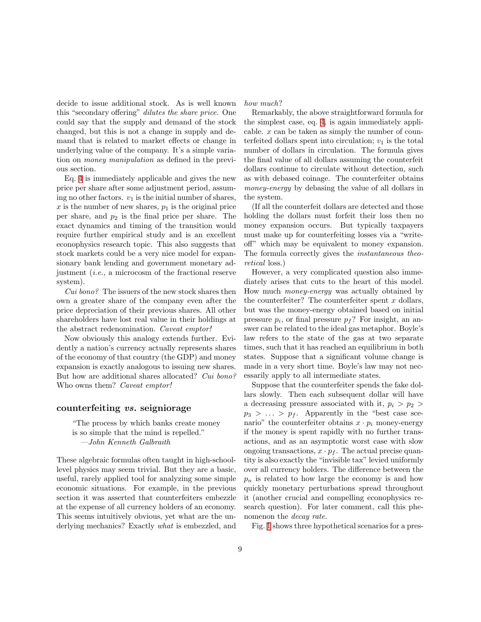decide to issue additional stock. As is well known this "secondary offering" dilutes the share price. One could say that the supply and demand of the stock changed, but this is not a change in supply and demand that is related to market effects or change in underlying value of the company. It's a simple variation on money manipulation as defined in the previous section.

Eq. [4](#page-7-0) is immediately applicable and gives the new price per share after some adjustment period, assuming no other factors.  $v_1$  is the initial number of shares, x is the number of new shares,  $p_1$  is the original price per share, and  $p_2$  is the final price per share. The exact dynamics and timing of the transition would require further empirical study and is an excellent econophysics research topic. This also suggests that stock markets could be a very nice model for expansionary bank lending and government monetary adjustment (i.e., a microcosm of the fractional reserve system).

Cui bono? The issuers of the new stock shares then own a greater share of the company even after the price depreciation of their previous shares. All other shareholders have lost real value in their holdings at the abstract redenomination. Caveat emptor!

Now obviously this analogy extends further. Evidently a nation's currency actually represents shares of the economy of that country (the GDP) and money expansion is exactly analogous to issuing new shares. But how are additional shares allocated? Cui bono? Who owns them? *Caveat emptor!* 

#### counterfeiting vs. seigniorage

"The process by which banks create money is so simple that the mind is repelled." —John Kenneth Galbraith

These algebraic formulas often taught in high-schoollevel physics may seem trivial. But they are a basic, useful, rarely applied tool for analyzing some simple economic situations. For example, in the previous section it was asserted that counterfeiters embezzle at the expense of all currency holders of an economy. This seems intuitively obvious, yet what are the underlying mechanics? Exactly what is embezzled, and

how much?

Remarkably, the above straightforward formula for the simplest case, eq. [4](#page-7-0), is again immediately applicable.  $x$  can be taken as simply the number of counterfeited dollars spent into circulation;  $v_1$  is the total number of dollars in circulation. The formula gives the final value of all dollars assuming the counterfeit dollars continue to circulate without detection, such as with debased coinage. The counterfeiter obtains money-energy by debasing the value of all dollars in the system.

(If all the counterfeit dollars are detected and those holding the dollars must forfeit their loss then no money expansion occurs. But typically taxpayers must make up for counterfeiting losses via a "writeoff" which may be equivalent to money expansion. The formula correctly gives the instantaneous theoretical loss.)

However, a very complicated question also immediately arises that cuts to the heart of this model. How much money-energy was actually obtained by the counterfeiter? The counterfeiter spent  $x$  dollars, but was the money-energy obtained based on initial pressure  $p_i$ , or final pressure  $p_f$ ? For insight, an answer can be related to the ideal gas metaphor. Boyle's law refers to the state of the gas at two separate times, such that it has reached an equilibrium in both states. Suppose that a significant volume change is made in a very short time. Boyle's law may not necessarily apply to all intermediate states.

Suppose that the counterfeiter spends the fake dollars slowly. Then each subsequent dollar will have a decreasing pressure associated with it,  $p_i > p_2$  $p_3 > \ldots > p_f$ . Apparently in the "best case scenario" the counterfeiter obtains  $x \cdot p_i$  money-energy if the money is spent rapidly with no further transactions, and as an asymptotic worst case with slow ongoing transactions,  $x \cdot p_f$ . The actual precise quantity is also exactly the "invisible tax" levied uniformly over all currency holders. The difference between the  $p_n$  is related to how large the economy is and how quickly monetary perturbations spread throughout it (another crucial and compelling econophysics research question). For later comment, call this phenomenon the *decay rate*.

Fig. [1](#page-9-0) shows three hypothetical scenarios for a pres-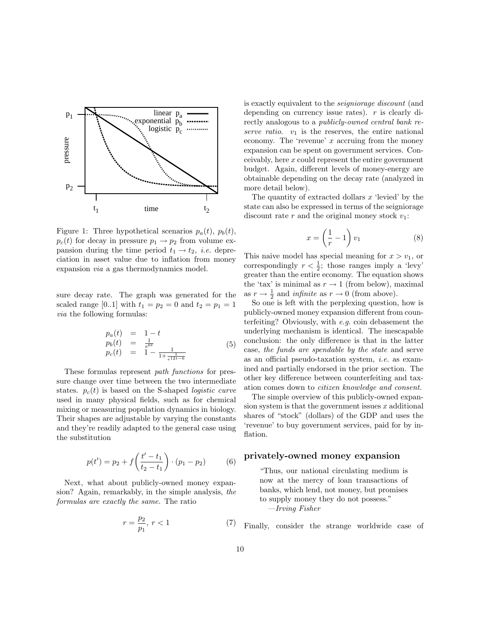

<span id="page-9-0"></span>Figure 1: Three hypothetical scenarios  $p_a(t)$ ,  $p_b(t)$ ,  $p_c(t)$  for decay in pressure  $p_1 \rightarrow p_2$  from volume expansion during the time period  $t_1 \rightarrow t_2$ , *i.e.* depreciation in asset value due to inflation from money expansion via a gas thermodynamics model.

sure decay rate. The graph was generated for the scaled range [0..1] with  $t_1 = p_2 = 0$  and  $t_2 = p_1 = 1$ via the following formulas:

<span id="page-9-2"></span>
$$
p_a(t) = 1 - t \n p_b(t) = \frac{1}{e^{6t}} \n p_c(t) = 1 - \frac{1}{1 + \frac{1}{e^{12t - 6}}} \n \tag{5}
$$

These formulas represent path functions for pressure change over time between the two intermediate states.  $p_c(t)$  is based on the S-shaped *logistic curve* used in many physical fields, such as for chemical mixing or measuring population dynamics in biology. Their shapes are adjustable by varying the constants and they're readily adapted to the general case using the substitution

$$
p(t') = p_2 + f\left(\frac{t'-t_1}{t_2-t_1}\right) \cdot (p_1-p_2) \tag{6}
$$

Next, what about publicly-owned money expansion? Again, remarkably, in the simple analysis, the formulas are exactly the same. The ratio

$$
r = \frac{p_2}{p_1}, \ r < 1 \tag{7}
$$

is exactly equivalent to the seigniorage discount (and depending on currency issue rates).  $r$  is clearly directly analogous to a publicly-owned central bank reserve ratio.  $v_1$  is the reserves, the entire national economy. The 'revenue'  $x$  accruing from the money expansion can be spent on government services. Conceivably, here x could represent the entire government budget. Again, different levels of money-energy are obtainable depending on the decay rate (analyzed in more detail below).

The quantity of extracted dollars  $x$  'levied' by the state can also be expressed in terms of the seigniorage discount rate  $r$  and the original money stock  $v_1$ :

<span id="page-9-1"></span>
$$
x = \left(\frac{1}{r} - 1\right)v_1\tag{8}
$$

This naive model has special meaning for  $x > v_1$ , or correspondingly  $r < \frac{1}{2}$ ; those ranges imply a 'levy' greater than the entire economy. The equation shows the 'tax' is minimal as  $r \to 1$  (from below), maximal as  $r \to \frac{1}{2}$  and *infinite* as  $r \to 0$  (from above).

So one is left with the perplexing question, how is publicly-owned money expansion different from counterfeiting? Obviously, with e.g. coin debasement the underlying mechanism is identical. The inescapable conclusion: the only difference is that in the latter case, the funds are spendable by the state and serve as an official pseudo-taxation system, i.e. as examined and partially endorsed in the prior section. The other key difference between counterfeiting and taxation comes down to citizen knowledge and consent.

The simple overview of this publicly-owned expansion system is that the government issues  $x$  additional shares of "stock" (dollars) of the GDP and uses the 'revenue' to buy government services, paid for by inflation.

### privately-owned money expansion

"Thus, our national circulating medium is now at the mercy of loan transactions of banks, which lend, not money, but promises to supply money they do not possess." —Irving Fisher

Finally, consider the strange worldwide case of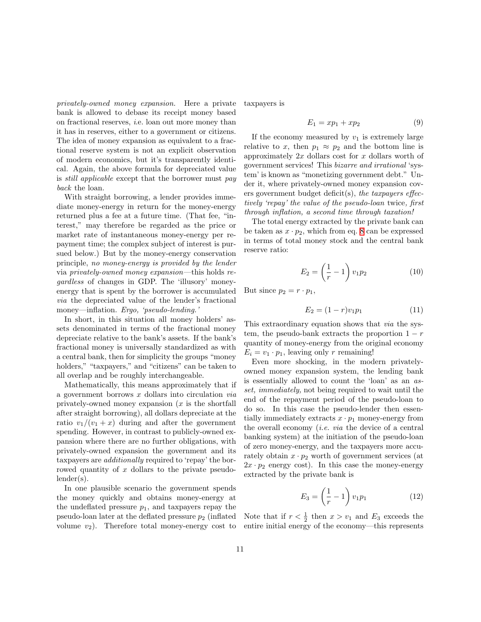privately-owned money expansion. Here a private bank is allowed to debase its receipt money based on fractional reserves, i.e. loan out more money than it has in reserves, either to a government or citizens. The idea of money expansion as equivalent to a fractional reserve system is not an explicit observation of modern economics, but it's transparently identical. Again, the above formula for depreciated value is still applicable except that the borrower must pay back the loan.

With straight borrowing, a lender provides immediate money-energy in return for the money-energy returned plus a fee at a future time. (That fee, "interest," may therefore be regarded as the price or market rate of instantaneous money-energy per repayment time; the complex subject of interest is pursued below.) But by the money-energy conservation principle, no money-energy is provided by the lender via privately-owned money expansion—this holds regardless of changes in GDP. The 'illusory' moneyenergy that is spent by the borrower is accumulated via the depreciated value of the lender's fractional money—inflation. Ergo, 'pseudo-lending.'

In short, in this situation all money holders' assets denominated in terms of the fractional money depreciate relative to the bank's assets. If the bank's fractional money is universally standardized as with a central bank, then for simplicity the groups "money holders," "taxpayers," and "citizens" can be taken to all overlap and be roughly interchangeable.

Mathematically, this means approximately that if a government borrows  $x$  dollars into circulation  $via$ privately-owned money expansion  $(x$  is the shortfall after straight borrowing), all dollars depreciate at the ratio  $v_1/(v_1+x)$  during and after the government spending. However, in contrast to publicly-owned expansion where there are no further obligations, with privately-owned expansion the government and its taxpayers are additionally required to 'repay' the borrowed quantity of x dollars to the private pseudolender(s).

In one plausible scenario the government spends the money quickly and obtains money-energy at the undeflated pressure  $p_1$ , and taxpayers repay the pseudo-loan later at the deflated pressure  $p_2$  (inflated volume  $v_2$ ). Therefore total money-energy cost to taxpayers is

$$
E_1 = xp_1 + xp_2 \tag{9}
$$

If the economy measured by  $v_1$  is extremely large relative to x, then  $p_1 \approx p_2$  and the bottom line is approximately  $2x$  dollars cost for x dollars worth of government services! This bizarre and irrational 'system' is known as "monetizing government debt." Under it, where privately-owned money expansion covers government budget deficit(s), the taxpayers effectively 'repay' the value of the pseudo-loan twice, first through inflation, a second time through taxation!

The total energy extracted by the private bank can be taken as  $x \cdot p_2$ , which from eq. [8](#page-9-1) can be expressed in terms of total money stock and the central bank reserve ratio:

$$
E_2 = \left(\frac{1}{r} - 1\right)v_1p_2\tag{10}
$$

But since  $p_2 = r \cdot p_1$ ,

$$
E_2 = (1 - r)v_1p_1 \tag{11}
$$

This extraordinary equation shows that via the system, the pseudo-bank extracts the proportion  $1 - r$ quantity of money-energy from the original economy  $E_i = v_1 \cdot p_1$ , leaving only r remaining!

Even more shocking, in the modern privatelyowned money expansion system, the lending bank is essentially allowed to count the 'loan' as an asset, immediately, not being required to wait until the end of the repayment period of the pseudo-loan to do so. In this case the pseudo-lender then essentially immediately extracts  $x \cdot p_1$  money-energy from the overall economy *(i.e. via* the device of a central banking system) at the initiation of the pseudo-loan of zero money-energy, and the taxpayers more accurately obtain  $x \cdot p_2$  worth of government services (at  $2x \cdot p_2$  energy cost). In this case the money-energy extracted by the private bank is

<span id="page-10-0"></span>
$$
E_3 = \left(\frac{1}{r} - 1\right)v_1p_1\tag{12}
$$

Note that if  $r < \frac{1}{2}$  then  $x > v_1$  and  $E_3$  exceeds the entire initial energy of the economy—this represents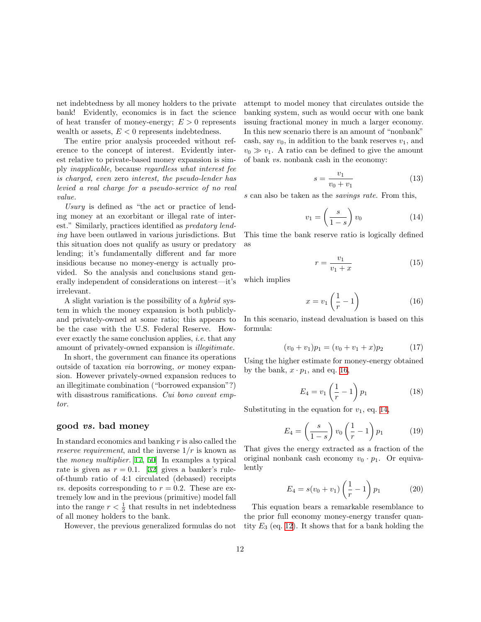net indebtedness by all money holders to the private bank! Evidently, economics is in fact the science of heat transfer of money-energy;  $E > 0$  represents wealth or assets,  $E < 0$  represents indebtedness.

The entire prior analysis proceeded without reference to the concept of interest. Evidently interest relative to private-based money expansion is simply inapplicable, because regardless what interest fee is charged, even zero interest, the pseudo-lender has levied a real charge for a pseudo-service of no real value.

Usury is defined as "the act or practice of lending money at an exorbitant or illegal rate of interest." Similarly, practices identified as predatory lending have been outlawed in various jurisdictions. But this situation does not qualify as usury or predatory lending; it's fundamentally different and far more insidious because no money-energy is actually provided. So the analysis and conclusions stand generally independent of considerations on interest—it's irrelevant.

A slight variation is the possibility of a hybrid system in which the money expansion is both publiclyand privately-owned at some ratio; this appears to be the case with the U.S. Federal Reserve. However exactly the same conclusion applies, i.e. that any amount of privately-owned expansion is illegitimate.

In short, the government can finance its operations outside of taxation via borrowing, or money expansion. However privately-owned expansion reduces to an illegitimate combination ("borrowed expansion"?) with disastrous ramifications. Cui bono caveat emptor.

#### good vs. bad money

In standard economics and banking  $r$  is also called the reserve requirement, and the inverse  $1/r$  is known as the money multiplier. [\[17](#page-59-6), [50\]](#page-60-2) In examples a typical rateis given as  $r = 0.1$ . [[32](#page-60-1)] gives a banker's ruleof-thumb ratio of 4:1 circulated (debased) receipts *vs.* deposits corresponding to  $r = 0.2$ . These are extremely low and in the previous (primitive) model fall into the range  $r < \frac{1}{2}$  that results in net indebtedness of all money holders to the bank.

However, the previous generalized formulas do not

attempt to model money that circulates outside the banking system, such as would occur with one bank issuing fractional money in much a larger economy. In this new scenario there is an amount of "nonbank" cash, say  $v_0$ , in addition to the bank reserves  $v_1$ , and  $v_0 \gg v_1$ . A ratio can be defined to give the amount of bank vs. nonbank cash in the economy:

$$
s = \frac{v_1}{v_0 + v_1} \tag{13}
$$

s can also be taken as the savings rate. From this,

<span id="page-11-1"></span>
$$
v_1 = \left(\frac{s}{1-s}\right)v_0\tag{14}
$$

This time the bank reserve ratio is logically defined as

$$
r = \frac{v_1}{v_1 + x} \tag{15}
$$

which implies

<span id="page-11-0"></span>
$$
x = v_1 \left(\frac{1}{r} - 1\right) \tag{16}
$$

In this scenario, instead devaluation is based on this formula:

<span id="page-11-2"></span>
$$
(v_0 + v_1)p_1 = (v_0 + v_1 + x)p_2 \tag{17}
$$

Using the higher estimate for money-energy obtained by the bank,  $x \cdot p_1$ , and eq. [16,](#page-11-0)

$$
E_4 = v_1 \left(\frac{1}{r} - 1\right) p_1 \tag{18}
$$

Substituting in the equation for  $v_1$ , eq. [14,](#page-11-1)

$$
E_4 = \left(\frac{s}{1-s}\right)v_0\left(\frac{1}{r} - 1\right)p_1\tag{19}
$$

That gives the energy extracted as a fraction of the original nonbank cash economy  $v_0 \cdot p_1$ . Or equivalently

<span id="page-11-3"></span>
$$
E_4 = s(v_0 + v_1) \left(\frac{1}{r} - 1\right) p_1 \tag{20}
$$

This equation bears a remarkable resemblance to the prior full economy money-energy transfer quantity  $E_3$  (eq. [12\)](#page-10-0). It shows that for a bank holding the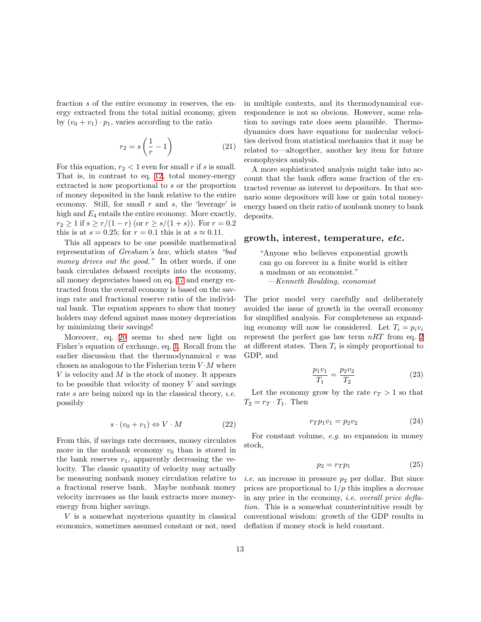fraction s of the entire economy in reserves, the energy extracted from the total initial economy, given by  $(v_0 + v_1) \cdot p_1$ , varies according to the ratio

$$
r_2 = s\left(\frac{1}{r} - 1\right) \tag{21}
$$

For this equation,  $r_2 < 1$  even for small r if s is small. That is, in contrast to eq. [12](#page-10-0), total money-energy extracted is now proportional to s or the proportion of money deposited in the bank relative to the entire economy. Still, for small r and s, the 'leverage' is high and  $E_4$  entails the entire economy. More exactly,  $r_2 \geq 1$  if  $s \geq r/(1-r)$  (or  $r \geq s/(1+s)$ ). For  $r = 0.2$ this is at  $s = 0.25$ ; for  $r = 0.1$  this is at  $s \approx 0.11$ .

This all appears to be one possible mathematical representation of Gresham's law, which states "bad money drives out the good." In other words, if one bank circulates debased receipts into the economy, all money depreciates based on eq. [17](#page-11-2) and energy extracted from the overall economy is based on the savings rate and fractional reserve ratio of the individual bank. The equation appears to show that money holders may defend against mass money depreciation by minimizing their savings!

Moreover, eq. [20](#page-11-3) seems to shed new light on Fisher's equation of exchange, eq. [1](#page-6-0). Recall from the earlier discussion that the thermodynamical  $v$  was chosen as analogous to the Fisherian term  $V \cdot M$  where V is velocity and M is the stock of money. It appears to be possible that velocity of money  $V$  and savings rate s are being mixed up in the classical theory, *i.e.* possibly

$$
s \cdot (v_0 + v_1) \Leftrightarrow V \cdot M \tag{22}
$$

From this, if savings rate decreases, money circulates more in the nonbank economy  $v_0$  than is stored in the bank reserves  $v_1$ , apparently decreasing the velocity. The classic quantity of velocity may actually be measuring nonbank money circulation relative to a fractional reserve bank. Maybe nonbank money velocity increases as the bank extracts more moneyenergy from higher savings.

 $V$  is a somewhat mysterious quantity in classical economics, sometimes assumed constant or not, used in multiple contexts, and its thermodynamical correspondence is not so obvious. However, some relation to savings rate does seem plausible. Thermodynamics does have equations for molecular velocities derived from statistical mechanics that it may be related to—altogether, another key item for future econophysics analysis.

A more sophisticated analysis might take into account that the bank offers some fraction of the extracted revenue as interest to depositors. In that scenario some depositors will lose or gain total moneyenergy based on their ratio of nonbank money to bank deposits.

### growth, interest, temperature, etc.

"Anyone who believes exponential growth can go on forever in a finite world is either a madman or an economist." —Kenneth Boulding, economist

The prior model very carefully and deliberately avoided the issue of growth in the overall economy for simplified analysis. For completeness an expanding economy will now be considered. Let  $T_i = p_i v_i$ represent the perfect gas law term  $nRT$  from eq. [2](#page-6-1) at different states. Then  $T_i$  is simply proportional to GDP, and

$$
\frac{p_1 v_1}{T_1} = \frac{p_2 v_2}{T_2} \tag{23}
$$

Let the economy grow by the rate  $r_T > 1$  so that  $T_2 = r_T \cdot T_1$ . Then

<span id="page-12-0"></span>
$$
r_T p_1 v_1 = p_2 v_2 \tag{24}
$$

For constant volume, e.g. no expansion in money stock,

<span id="page-12-1"></span>
$$
p_2 = r_T p_1 \tag{25}
$$

*i.e.* an increase in pressure  $p_2$  per dollar. But since prices are proportional to  $1/p$  this implies a *decrease* in any price in the economy, i.e. overall price deflation. This is a somewhat counterintuitive result by conventional wisdom: growth of the GDP results in deflation if money stock is held constant.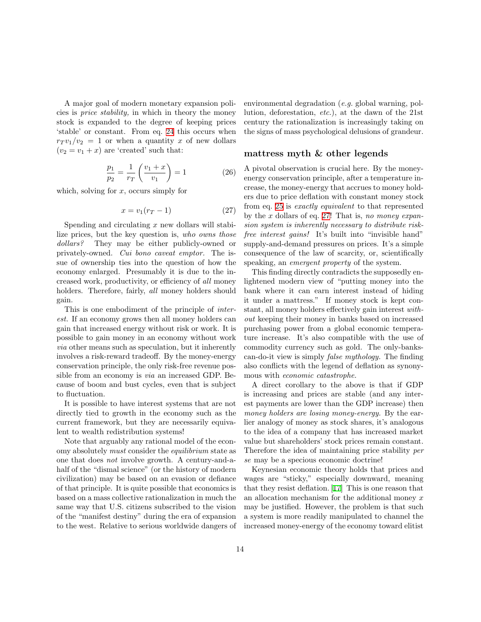A major goal of modern monetary expansion policies is price stability, in which in theory the money stock is expanded to the degree of keeping prices 'stable' or constant. From eq. [24](#page-12-0) this occurs when  $r_T v_1/v_2 = 1$  or when a quantity x of new dollars  $(v_2 = v_1 + x)$  are 'created' such that:

$$
\frac{p_1}{p_2} = \frac{1}{r_T} \left( \frac{v_1 + x}{v_1} \right) = 1 \tag{26}
$$

which, solving for  $x$ , occurs simply for

<span id="page-13-0"></span>
$$
x = v_1(r_T - 1) \tag{27}
$$

Spending and circulating  $x$  new dollars will stabilize prices, but the key question is, who owns those dollars? They may be either publicly-owned or privately-owned. Cui bono caveat emptor. The issue of ownership ties into the question of how the economy enlarged. Presumably it is due to the increased work, productivity, or efficiency of all money holders. Therefore, fairly, *all* money holders should gain.

This is one embodiment of the principle of interest. If an economy grows then all money holders can gain that increased energy without risk or work. It is possible to gain money in an economy without work via other means such as speculation, but it inherently involves a risk-reward tradeoff. By the money-energy conservation principle, the only risk-free revenue possible from an economy is via an increased GDP. Because of boom and bust cycles, even that is subject to fluctuation.

It is possible to have interest systems that are not directly tied to growth in the economy such as the current framework, but they are necessarily equivalent to wealth redistribution systems!

Note that arguably any rational model of the economy absolutely must consider the equilibrium state as one that does not involve growth. A century-and-ahalf of the "dismal science" (or the history of modern civilization) may be based on an evasion or defiance of that principle. It is quite possible that economics is based on a mass collective rationalization in much the same way that U.S. citizens subscribed to the vision of the "manifest destiny" during the era of expansion to the west. Relative to serious worldwide dangers of environmental degradation (e.g. global warning, pollution, deforestation, etc.), at the dawn of the 21st century the rationalization is increasingly taking on the signs of mass psychological delusions of grandeur.

### mattress myth & other legends

A pivotal observation is crucial here. By the moneyenergy conservation principle, after a temperature increase, the money-energy that accrues to money holders due to price deflation with constant money stock from eq. [25](#page-12-1) is exactly equivalent to that represented by the  $x$  dollars of eq. [27](#page-13-0)! That is, no money expansion system is inherently necessary to distribute riskfree interest gains! It's built into "invisible hand" supply-and-demand pressures on prices. It's a simple consequence of the law of scarcity, or, scientifically speaking, an *emergent property* of the system.

This finding directly contradicts the supposedly enlightened modern view of "putting money into the bank where it can earn interest instead of hiding it under a mattress." If money stock is kept constant, all money holders effectively gain interest without keeping their money in banks based on increased purchasing power from a global economic temperature increase. It's also compatible with the use of commodity currency such as gold. The only-bankscan-do-it view is simply false mythology. The finding also conflicts with the legend of deflation as synonymous with economic catastrophe.

A direct corollary to the above is that if GDP is increasing and prices are stable (and any interest payments are lower than the GDP increase) then money holders are losing money-energy. By the earlier analogy of money as stock shares, it's analogous to the idea of a company that has increased market value but shareholders' stock prices remain constant. Therefore the idea of maintaining price stability per se may be a specious economic doctrine!

Keynesian economic theory holds that prices and wages are "sticky," especially downward, meaning that they resist deflation.[[17\]](#page-59-6) This is one reason that an allocation mechanism for the additional money x may be justified. However, the problem is that such a system is more readily manipulated to channel the increased money-energy of the economy toward elitist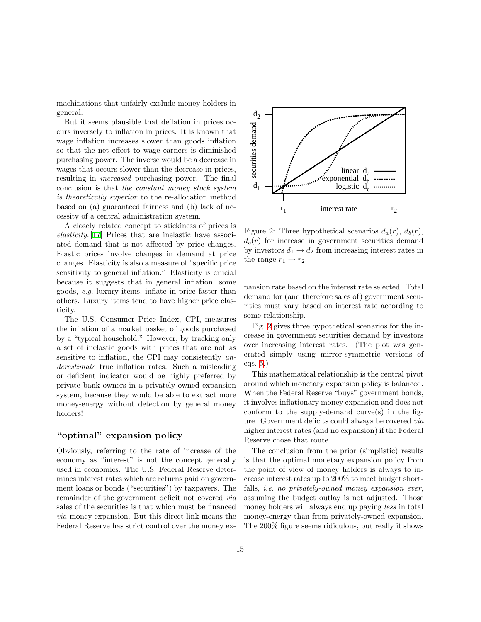machinations that unfairly exclude money holders in general.

But it seems plausible that deflation in prices occurs inversely to inflation in prices. It is known that wage inflation increases slower than goods inflation so that the net effect to wage earners is diminished purchasing power. The inverse would be a decrease in wages that occurs slower than the decrease in prices, resulting in increased purchasing power. The final conclusion is that the constant money stock system is theoretically superior to the re-allocation method based on (a) guaranteed fairness and (b) lack of necessity of a central administration system.

A closely related concept to stickiness of prices is elasticity. [[17\]](#page-59-6) Prices that are inelastic have associated demand that is not affected by price changes. Elastic prices involve changes in demand at price changes. Elasticity is also a measure of "specific price sensitivity to general inflation." Elasticity is crucial because it suggests that in general inflation, some goods, e.g. luxury items, inflate in price faster than others. Luxury items tend to have higher price elasticity.

The U.S. Consumer Price Index, CPI, measures the inflation of a market basket of goods purchased by a "typical household." However, by tracking only a set of inelastic goods with prices that are not as sensitive to inflation, the CPI may consistently underestimate true inflation rates. Such a misleading or deficient indicator would be highly preferred by private bank owners in a privately-owned expansion system, because they would be able to extract more money-energy without detection by general money holders!

### "optimal" expansion policy

Obviously, referring to the rate of increase of the economy as "interest" is not the concept generally used in economics. The U.S. Federal Reserve determines interest rates which are returns paid on government loans or bonds ("securities") by taxpayers. The remainder of the government deficit not covered via sales of the securities is that which must be financed via money expansion. But this direct link means the Federal Reserve has strict control over the money ex-



<span id="page-14-0"></span>Figure 2: Three hypothetical scenarios  $d_a(r)$ ,  $d_b(r)$ ,  $d_c(r)$  for increase in government securities demand by investors  $d_1 \rightarrow d_2$  from increasing interest rates in the range  $r_1 \rightarrow r_2$ .

pansion rate based on the interest rate selected. Total demand for (and therefore sales of) government securities must vary based on interest rate according to some relationship.

Fig. [2](#page-14-0) gives three hypothetical scenarios for the increase in government securities demand by investors over increasing interest rates. (The plot was generated simply using mirror-symmetric versions of eqs. [5](#page-9-2).)

This mathematical relationship is the central pivot around which monetary expansion policy is balanced. When the Federal Reserve "buys" government bonds, it involves inflationary money expansion and does not conform to the supply-demand curve $(s)$  in the figure. Government deficits could always be covered via higher interest rates (and no expansion) if the Federal Reserve chose that route.

The conclusion from the prior (simplistic) results is that the optimal monetary expansion policy from the point of view of money holders is always to increase interest rates up to 200% to meet budget shortfalls, *i.e.* no privately-owned money expansion ever, assuming the budget outlay is not adjusted. Those money holders will always end up paying less in total money-energy than from privately-owned expansion. The 200% figure seems ridiculous, but really it shows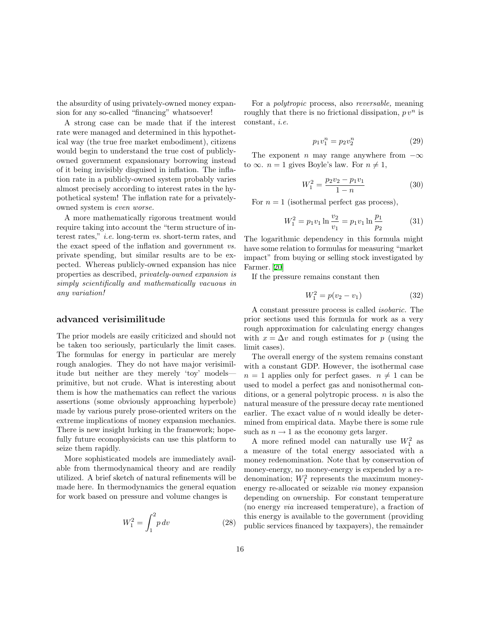the absurdity of using privately-owned money expansion for any so-called "financing" whatsoever!

A strong case can be made that if the interest rate were managed and determined in this hypothetical way (the true free market embodiment), citizens would begin to understand the true cost of publiclyowned government expansionary borrowing instead of it being invisibly disguised in inflation. The inflation rate in a publicly-owned system probably varies almost precisely according to interest rates in the hypothetical system! The inflation rate for a privatelyowned system is even worse.

A more mathematically rigorous treatment would require taking into account the "term structure of interest rates," i.e. long-term vs. short-term rates, and the exact speed of the inflation and government vs. private spending, but similar results are to be expected. Whereas publicly-owned expansion has nice properties as described, privately-owned expansion is simply scientifically and mathematically vacuous in any variation!

#### advanced verisimilitude

The prior models are easily criticized and should not be taken too seriously, particularly the limit cases. The formulas for energy in particular are merely rough analogies. They do not have major verisimilitude but neither are they merely 'toy' models primitive, but not crude. What is interesting about them is how the mathematics can reflect the various assertions (some obviously approaching hyperbole) made by various purely prose-oriented writers on the extreme implications of money expansion mechanics. There is new insight lurking in the framework; hopefully future econophysicists can use this platform to seize them rapidly.

More sophisticated models are immediately available from thermodynamical theory and are readily utilized. A brief sketch of natural refinements will be made here. In thermodynamics the general equation for work based on pressure and volume changes is

$$
W_1^2 = \int_1^2 p \, dv \tag{28}
$$

For a polytropic process, also reversable, meaning roughly that there is no frictional dissipation,  $p v^n$  is constant, i.e.

$$
p_1 v_1^n = p_2 v_2^n \tag{29}
$$

The exponent n may range anywhere from  $-\infty$ to  $\infty$ .  $n = 1$  gives Boyle's law. For  $n \neq 1$ ,

$$
W_1^2 = \frac{p_2 v_2 - p_1 v_1}{1 - n} \tag{30}
$$

For  $n = 1$  (isothermal perfect gas process),

$$
W_1^2 = p_1 v_1 \ln \frac{v_2}{v_1} = p_1 v_1 \ln \frac{p_1}{p_2} \tag{31}
$$

The logarithmic dependency in this formula might have some relation to formulas for measuring "market impact" from buying or selling stock investigated by Farmer.[[20\]](#page-59-2)

If the pressure remains constant then

$$
W_1^2 = p(v_2 - v_1) \tag{32}
$$

A constant pressure process is called isobaric. The prior sections used this formula for work as a very rough approximation for calculating energy changes with  $x = \Delta v$  and rough estimates for p (using the limit cases).

The overall energy of the system remains constant with a constant GDP. However, the isothermal case  $n = 1$  applies only for perfect gases.  $n \neq 1$  can be used to model a perfect gas and nonisothermal conditions, or a general polytropic process.  $n$  is also the natural measure of the pressure decay rate mentioned earlier. The exact value of  $n$  would ideally be determined from empirical data. Maybe there is some rule such as  $n \to 1$  as the economy gets larger.

A more refined model can naturally use  $W_1^2$  as a measure of the total energy associated with a money redenomination. Note that by conservation of money-energy, no money-energy is expended by a redenomination;  $W_1^2$  represents the maximum moneyenergy re-allocated or seizable via money expansion depending on ownership. For constant temperature (no energy via increased temperature), a fraction of this energy is available to the government (providing public services financed by taxpayers), the remainder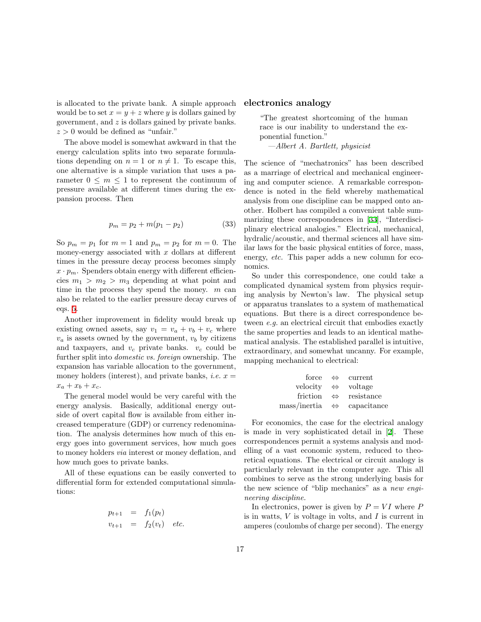is allocated to the private bank. A simple approach would be to set  $x = y + z$  where y is dollars gained by government, and z is dollars gained by private banks.  $z > 0$  would be defined as "unfair."

The above model is somewhat awkward in that the energy calculation splits into two separate formulations depending on  $n = 1$  or  $n \neq 1$ . To escape this, one alternative is a simple variation that uses a parameter  $0 \leq m \leq 1$  to represent the continuum of pressure available at different times during the expansion process. Then

$$
p_m = p_2 + m(p_1 - p_2)
$$
 (33)

So  $p_m = p_1$  for  $m = 1$  and  $p_m = p_2$  for  $m = 0$ . The money-energy associated with  $x$  dollars at different times in the pressure decay process becomes simply  $x \cdot p_m$ . Spenders obtain energy with different efficiencies  $m_1 > m_2 > m_3$  depending at what point and time in the process they spend the money.  $m$  can also be related to the earlier pressure decay curves of eqs. [5.](#page-9-2)

Another improvement in fidelity would break up existing owned assets, say  $v_1 = v_a + v_b + v_c$  where  $v_a$  is assets owned by the government,  $v_b$  by citizens and taxpayers, and  $v_c$  private banks.  $v_c$  could be further split into domestic vs. foreign ownership. The expansion has variable allocation to the government, money holders (interest), and private banks, *i.e.*  $x =$  $x_a + x_b + x_c$ .

The general model would be very careful with the energy analysis. Basically, additional energy outside of overt capital flow is available from either increased temperature (GDP) or currency redenomination. The analysis determines how much of this energy goes into government services, how much goes to money holders via interest or money deflation, and how much goes to private banks.

All of these equations can be easily converted to differential form for extended computational simulations:

$$
p_{t+1} = f_1(p_t)
$$
  

$$
v_{t+1} = f_2(v_t) \quad etc.
$$

#### electronics analogy

"The greatest shortcoming of the human race is our inability to understand the exponential function."

—Albert A. Bartlett, physicist

The science of "mechatronics" has been described as a marriage of electrical and mechanical engineering and computer science. A remarkable correspondence is noted in the field whereby mathematical analysis from one discipline can be mapped onto another. Holbert has compiled a convenient table summarizing these correspondences in [\[33](#page-60-5)], "Interdisciplinary electrical analogies." Electrical, mechanical, hydralic/acoustic, and thermal sciences all have similar laws for the basic physical entities of force, mass, energy, *etc.* This paper adds a new column for economics.

So under this correspondence, one could take a complicated dynamical system from physics requiring analysis by Newton's law. The physical setup or apparatus translates to a system of mathematical equations. But there is a direct correspondence between e.g. an electrical circuit that embodies exactly the same properties and leads to an identical mathematical analysis. The established parallel is intuitive, extraordinary, and somewhat uncanny. For example, mapping mechanical to electrical:

force 
$$
\Leftrightarrow
$$
 current  
velocity  $\Leftrightarrow$  voltage  
friction  $\Leftrightarrow$  resistance  
mass/inertia  $\Leftrightarrow$  capacitance

For economics, the case for the electrical analogy is made in very sophisticated detail in[[2\]](#page-58-3). These correspondences permit a systems analysis and modelling of a vast economic system, reduced to theoretical equations. The electrical or circuit analogy is particularly relevant in the computer age. This all combines to serve as the strong underlying basis for the new science of "blip mechanics" as a new engineering discipline.

In electronics, power is given by  $P = VI$  where P is in watts,  $V$  is voltage in volts, and  $I$  is current in amperes (coulombs of charge per second). The energy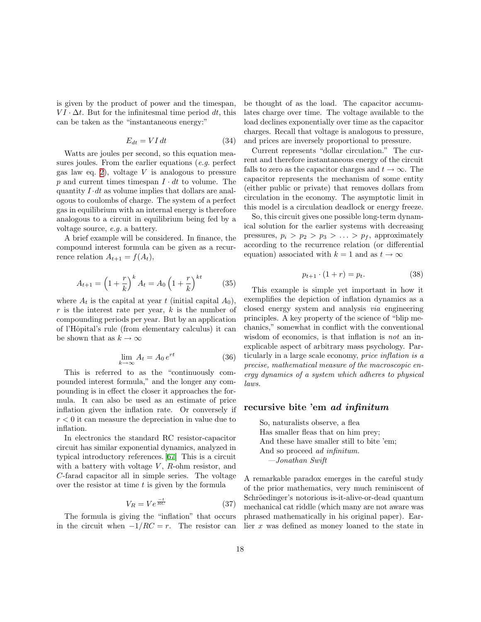is given by the product of power and the timespan,  $VI \cdot \Delta t$ . But for the infinitesmal time period dt, this can be taken as the "instantaneous energy:"

$$
E_{dt} = VI \, dt \tag{34}
$$

Watts are joules per second, so this equation measures joules. From the earlier equations (e.g. perfect gas law eq. [2](#page-6-1)), voltage  $V$  is analogous to pressure p and current times timespan  $I \cdot dt$  to volume. The quantity  $I \cdot dt$  as volume implies that dollars are analogous to coulombs of charge. The system of a perfect gas in equilibrium with an internal energy is therefore analogous to a circuit in equilibrium being fed by a voltage source, e.g. a battery.

A brief example will be considered. In finance, the compound interest formula can be given as a recurrence relation  $A_{t+1} = f(A_t)$ ,

$$
A_{t+1} = \left(1 + \frac{r}{k}\right)^k A_t = A_0 \left(1 + \frac{r}{k}\right)^{kt} \tag{35}
$$

where  $A_t$  is the capital at year t (initial capital  $A_0$ ),  $r$  is the interest rate per year,  $k$  is the number of compounding periods per year. But by an application of l'Hˆopital's rule (from elementary calculus) it can be shown that as  $k \to \infty$ 

$$
\lim_{k \to \infty} A_t = A_0 e^{rt} \tag{36}
$$

This is referred to as the "continuously compounded interest formula," and the longer any compounding is in effect the closer it approaches the formula. It can also be used as an estimate of price inflation given the inflation rate. Or conversely if  $r < 0$  it can measure the depreciation in value due to inflation.

In electronics the standard RC resistor-capacitor circuit has similar exponential dynamics, analyzed in typical introductory references.[[67\]](#page-61-7) This is a circuit with a battery with voltage  $V$ ,  $R$ -ohm resistor, and C-farad capacitor all in simple series. The voltage over the resistor at time  $t$  is given by the formula

$$
V_R = V e^{\frac{-t}{RC}}
$$
 (37)

The formula is giving the "inflation" that occurs in the circuit when  $-1/RC = r$ . The resistor can be thought of as the load. The capacitor accumulates charge over time. The voltage available to the load declines exponentially over time as the capacitor charges. Recall that voltage is analogous to pressure, and prices are inversely proportional to pressure.

Current represents "dollar circulation." The current and therefore instantaneous energy of the circuit falls to zero as the capacitor charges and  $t \to \infty$ . The capacitor represents the mechanism of some entity (either public or private) that removes dollars from circulation in the economy. The asymptotic limit in this model is a circulation deadlock or energy freeze.

So, this circuit gives one possible long-term dynamical solution for the earlier systems with decreasing pressures,  $p_i > p_2 > p_3 > \ldots > p_f$ , approximately according to the recurrence relation (or differential equation) associated with  $k = 1$  and as  $t \to \infty$ 

$$
p_{t+1} \cdot (1+r) = p_t. \tag{38}
$$

This example is simple yet important in how it exemplifies the depiction of inflation dynamics as a closed energy system and analysis via engineering principles. A key property of the science of "blip mechanics," somewhat in conflict with the conventional wisdom of economics, is that inflation is *not* an inexplicable aspect of arbitrary mass psychology. Particularly in a large scale economy, price inflation is a precise, mathematical measure of the macroscopic energy dynamics of a system which adheres to physical laws.

### recursive bite 'em ad infinitum

So, naturalists observe, a flea Has smaller fleas that on him prey; And these have smaller still to bite 'em; And so proceed ad infinitum. —Jonathan Swift

A remarkable paradox emerges in the careful study of the prior mathematics, very much reminiscent of Schröedinger's notorious is-it-alive-or-dead quantum mechanical cat riddle (which many are not aware was phrased mathematically in his original paper). Earlier x was defined as money loaned to the state in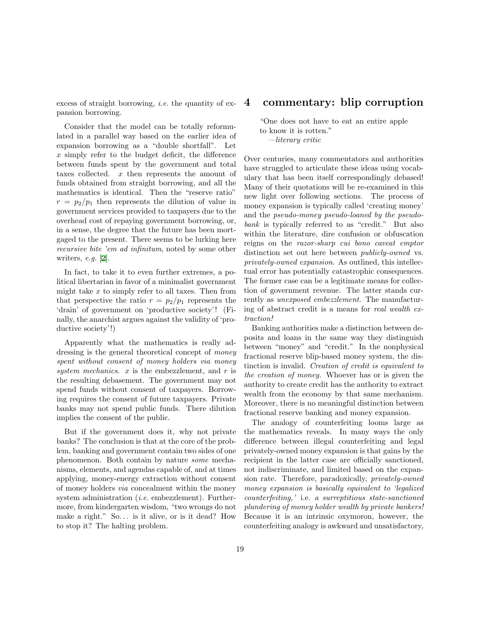excess of straight borrowing, *i.e.* the quantity of expansion borrowing.

Consider that the model can be totally reformulated in a parallel way based on the earlier idea of expansion borrowing as a "double shortfall". Let x simply refer to the budget deficit, the difference between funds spent by the government and total taxes collected. x then represents the amount of funds obtained from straight borrowing, and all the mathematics is identical. Then the "reserve ratio"  $r = p_2/p_1$  then represents the dilution of value in government services provided to taxpayers due to the overhead cost of repaying government borrowing, or, in a sense, the degree that the future has been mortgaged to the present. There seems to be lurking here recursive bite 'em ad infinitum, noted by some other writers,  $e.g.$  [\[2](#page-58-3)].

In fact, to take it to even further extremes, a political libertarian in favor of a minimalist government might take  $x$  to simply refer to all taxes. Then from that perspective the ratio  $r = p_2/p_1$  represents the 'drain' of government on 'productive society'! (Finally, the anarchist argues against the validity of 'productive society'!)

Apparently what the mathematics is really addressing is the general theoretical concept of money spent without consent of money holders via money system mechanics.  $x$  is the embezzlement, and  $r$  is the resulting debasement. The government may not spend funds without consent of taxpayers. Borrowing requires the consent of future taxpayers. Private banks may not spend public funds. There dilution implies the consent of the public.

But if the government does it, why not private banks? The conclusion is that at the core of the problem, banking and government contain two sides of one phenomenon. Both contain by nature some mechanisms, elements, and agendas capable of, and at times applying, money-energy extraction without consent of money holders via concealment within the money system administration *(i.e.* embezzlement). Furthermore, from kindergarten wisdom, "two wrongs do not make a right." So... is it alive, or is it dead? How to stop it? The halting problem.

### 4 commentary: blip corruption

"One does not have to eat an entire apple to know it is rotten." —literary critic

Over centuries, many commentators and authorities have struggled to articulate these ideas using vocabulary that has been itself correspondingly debased! Many of their quotations will be re-examined in this new light over following sections. The process of money expansion is typically called 'creating money' and the pseudo-money pseudo-loaned by the pseudobank is typically referred to as "credit." But also within the literature, dire confusion or obfuscation reigns on the razor-sharp cui bono caveat emptor distinction set out here between publicly-owned vs. privately-owned expansion. As outlined, this intellectual error has potentially catastrophic consequences. The former case can be a legitimate means for collection of government revenue. The latter stands currently as unexposed embezzlement. The manufacturing of abstract credit is a means for real wealth extraction!

Banking authorities make a distinction between deposits and loans in the same way they distinguish between "money" and "credit." In the nonphysical fractional reserve blip-based money system, the distinction is invalid. Creation of credit is equivalent to the creation of money. Whoever has or is given the authority to create credit has the authority to extract wealth from the economy by that same mechanism. Moreover, there is no meaningful distinction between fractional reserve banking and money expansion.

The analogy of counterfeiting looms large as the mathematics reveals. In many ways the only difference between illegal counterfeiting and legal privately-owned money expansion is that gains by the recipient in the latter case are officially sanctioned, not indiscriminate, and limited based on the expansion rate. Therefore, paradoxically, privately-owned money expansion is basically equivalent to 'legalized counterfeiting,' i.e. a surreptitious state-sanctioned plundering of money holder wealth by private bankers! Because it is an intrinsic oxymoron, however, the counterfeiting analogy is awkward and unsatisfactory,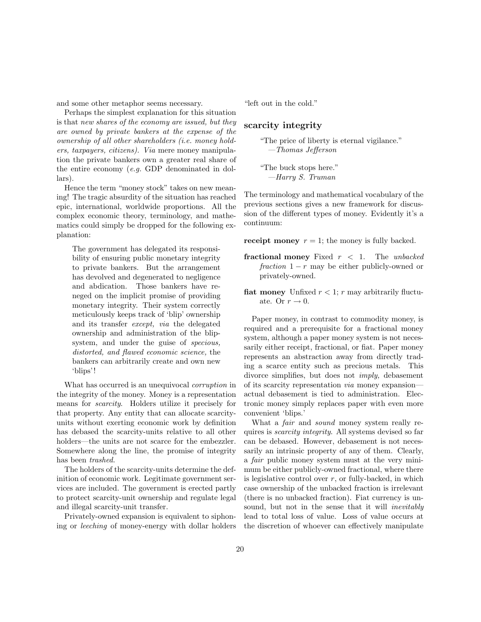and some other metaphor seems necessary.

Perhaps the simplest explanation for this situation is that new shares of the economy are issued, but they are owned by private bankers at the expense of the ownership of all other shareholders (i.e. money holders, taxpayers, citizens). Via mere money manipulation the private bankers own a greater real share of the entire economy (e.g. GDP denominated in dollars).

Hence the term "money stock" takes on new meaning! The tragic absurdity of the situation has reached epic, international, worldwide proportions. All the complex economic theory, terminology, and mathematics could simply be dropped for the following explanation:

The government has delegated its responsibility of ensuring public monetary integrity to private bankers. But the arrangement has devolved and degenerated to negligence and abdication. Those bankers have reneged on the implicit promise of providing monetary integrity. Their system correctly meticulously keeps track of 'blip' ownership and its transfer except, via the delegated ownership and administration of the blipsystem, and under the guise of specious, distorted, and flawed economic science, the bankers can arbitrarily create and own new 'blips'!

What has occurred is an unequivocal *corruption* in the integrity of the money. Money is a representation means for scarcity. Holders utilize it precisely for that property. Any entity that can allocate scarcityunits without exerting economic work by definition has debased the scarcity-units relative to all other holders—the units are not scarce for the embezzler. Somewhere along the line, the promise of integrity has been trashed.

The holders of the scarcity-units determine the definition of economic work. Legitimate government services are included. The government is erected partly to protect scarcity-unit ownership and regulate legal and illegal scarcity-unit transfer.

Privately-owned expansion is equivalent to siphoning or leeching of money-energy with dollar holders "left out in the cold."

### scarcity integrity

"The price of liberty is eternal vigilance." —Thomas Jefferson

"The buck stops here." —Harry S. Truman

The terminology and mathematical vocabulary of the previous sections gives a new framework for discussion of the different types of money. Evidently it's a continuum:

receipt money  $r = 1$ ; the money is fully backed.

- fractional money Fixed  $r < 1$ . The unbacked fraction  $1 - r$  may be either publicly-owned or privately-owned.
- **fiat money** Unfixed  $r < 1$ ; r may arbitrarily fluctuate. Or  $r \to 0$ .

Paper money, in contrast to commodity money, is required and a prerequisite for a fractional money system, although a paper money system is not necessarily either receipt, fractional, or fiat. Paper money represents an abstraction away from directly trading a scarce entity such as precious metals. This divorce simplifies, but does not imply, debasement of its scarcity representation via money expansion actual debasement is tied to administration. Electronic money simply replaces paper with even more convenient 'blips.'

What a *fair* and *sound* money system really requires is *scarcity integrity*. All systems devised so far can be debased. However, debasement is not necessarily an intrinsic property of any of them. Clearly, a fair public money system must at the very minimum be either publicly-owned fractional, where there is legislative control over  $r$ , or fully-backed, in which case ownership of the unbacked fraction is irrelevant (there is no unbacked fraction). Fiat currency is unsound, but not in the sense that it will *inevitably* lead to total loss of value. Loss of value occurs at the discretion of whoever can effectively manipulate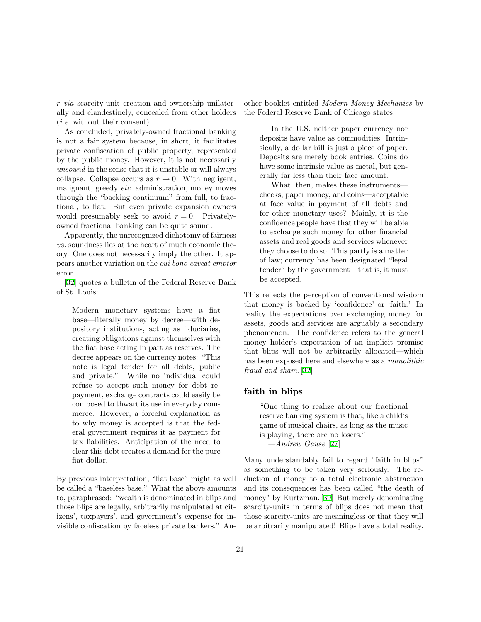r via scarcity-unit creation and ownership unilaterally and clandestinely, concealed from other holders (i.e. without their consent).

As concluded, privately-owned fractional banking is not a fair system because, in short, it facilitates private confiscation of public property, represented by the public money. However, it is not necessarily unsound in the sense that it is unstable or will always collapse. Collapse occurs as  $r \to 0$ . With negligent, malignant, greedy *etc.* administration, money moves through the "backing continuum" from full, to fractional, to fiat. But even private expansion owners would presumably seek to avoid  $r = 0$ . Privatelyowned fractional banking can be quite sound.

Apparently, the unrecognized dichotomy of fairness vs. soundness lies at the heart of much economic theory. One does not necessarily imply the other. It appears another variation on the cui bono caveat emptor error.

[[32\]](#page-60-1) quotes a bulletin of the Federal Reserve Bank of St. Louis:

Modern monetary systems have a fiat base—literally money by decree—with depository institutions, acting as fiduciaries, creating obligations against themselves with the fiat base acting in part as reserves. The decree appears on the currency notes: "This note is legal tender for all debts, public and private." While no individual could refuse to accept such money for debt repayment, exchange contracts could easily be composed to thwart its use in everyday commerce. However, a forceful explanation as to why money is accepted is that the federal government requires it as payment for tax liabilities. Anticipation of the need to clear this debt creates a demand for the pure fiat dollar.

By previous interpretation, "fiat base" might as well be called a "baseless base." What the above amounts to, paraphrased: "wealth is denominated in blips and those blips are legally, arbitrarily manipulated at citizens', taxpayers', and government's expense for invisible confiscation by faceless private bankers." Another booklet entitled Modern Money Mechanics by the Federal Reserve Bank of Chicago states:

In the U.S. neither paper currency nor deposits have value as commodities. Intrinsically, a dollar bill is just a piece of paper. Deposits are merely book entries. Coins do have some intrinsic value as metal, but generally far less than their face amount.

What, then, makes these instruments checks, paper money, and coins—acceptable at face value in payment of all debts and for other monetary uses? Mainly, it is the confidence people have that they will be able to exchange such money for other financial assets and real goods and services whenever they choose to do so. This partly is a matter of law; currency has been designated "legal tender" by the government—that is, it must be accepted.

This reflects the perception of conventional wisdom that money is backed by 'confidence' or 'faith.' In reality the expectations over exchanging money for assets, goods and services are arguably a secondary phenomenon. The confidence refers to the general money holder's expectation of an implicit promise that blips will not be arbitrarily allocated—which has been exposed here and elsewhere as a monolithic fraud and sham. [\[32](#page-60-1)]

### faith in blips

"One thing to realize about our fractional reserve banking system is that, like a child's game of musical chairs, as long as the music is playing, there are no losers." —Andrew Gause [[27\]](#page-59-7)

Many understandably fail to regard "faith in blips" as something to be taken very seriously. The reduction of money to a total electronic abstraction and its consequences has been called "the death of money" by Kurtzman.[[39\]](#page-60-6) But merely denominating scarcity-units in terms of blips does not mean that those scarcity-units are meaningless or that they will be arbitrarily manipulated! Blips have a total reality.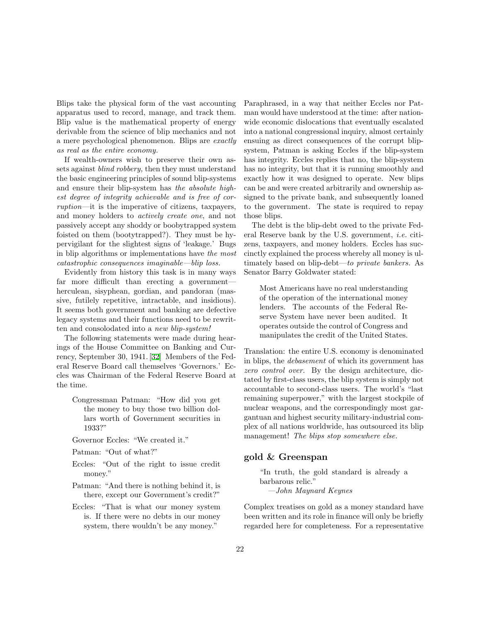Blips take the physical form of the vast accounting apparatus used to record, manage, and track them. Blip value is the mathematical property of energy derivable from the science of blip mechanics and not a mere psychological phenomenon. Blips are exactly as real as the entire economy.

If wealth-owners wish to preserve their own assets against blind robbery, then they must understand the basic engineering principles of sound blip-systems and ensure their blip-system has the absolute highest degree of integrity achievable and is free of corruption—it is the imperative of citizens, taxpayers, and money holders to actively create one, and not passively accept any shoddy or boobytrapped system foisted on them (bootytrapped?). They must be hypervigilant for the slightest signs of 'leakage.' Bugs in blip algorithms or implementations have the most catastrophic consequences imaginable—blip loss.

Evidently from history this task is in many ways far more difficult than erecting a government herculean, sisyphean, gordian, and pandoran (massive, futilely repetitive, intractable, and insidious). It seems both government and banking are defective legacy systems and their functions need to be rewritten and consolodated into a new blip-system!

The following statements were made during hearings of the House Committee on Banking and Currency, September 30, 1941.[[32\]](#page-60-1) Members of the Federal Reserve Board call themselves 'Governors.' Eccles was Chairman of the Federal Reserve Board at the time.

Congressman Patman: "How did you get the money to buy those two billion dollars worth of Government securities in 1933?"

Governor Eccles: "We created it."

- Patman: "Out of what?"
- Eccles: "Out of the right to issue credit money."
- Patman: "And there is nothing behind it, is there, except our Government's credit?"
- Eccles: "That is what our money system is. If there were no debts in our money system, there wouldn't be any money."

Paraphrased, in a way that neither Eccles nor Patman would have understood at the time: after nationwide economic dislocations that eventually escalated into a national congressional inquiry, almost certainly ensuing as direct consequences of the corrupt blipsystem, Patman is asking Eccles if the blip-system has integrity. Eccles replies that no, the blip-system has no integrity, but that it is running smoothly and exactly how it was designed to operate. New blips can be and were created arbitrarily and ownership assigned to the private bank, and subsequently loaned to the government. The state is required to repay those blips.

The debt is the blip-debt owed to the private Federal Reserve bank by the U.S. government, i.e. citizens, taxpayers, and money holders. Eccles has succinctly explained the process whereby all money is ultimately based on blip-debt—to private bankers. As Senator Barry Goldwater stated:

Most Americans have no real understanding of the operation of the international money lenders. The accounts of the Federal Reserve System have never been audited. It operates outside the control of Congress and manipulates the credit of the United States.

Translation: the entire U.S. economy is denominated in blips, the debasement of which its government has zero control over. By the design architecture, dictated by first-class users, the blip system is simply not accountable to second-class users. The world's "last remaining superpower," with the largest stockpile of nuclear weapons, and the correspondingly most gargantuan and highest security military-industrial complex of all nations worldwide, has outsourced its blip management! The blips stop somewhere else.

### gold & Greenspan

"In truth, the gold standard is already a barbarous relic." —John Maynard Keynes

Complex treatises on gold as a money standard have been written and its role in finance will only be briefly regarded here for completeness. For a representative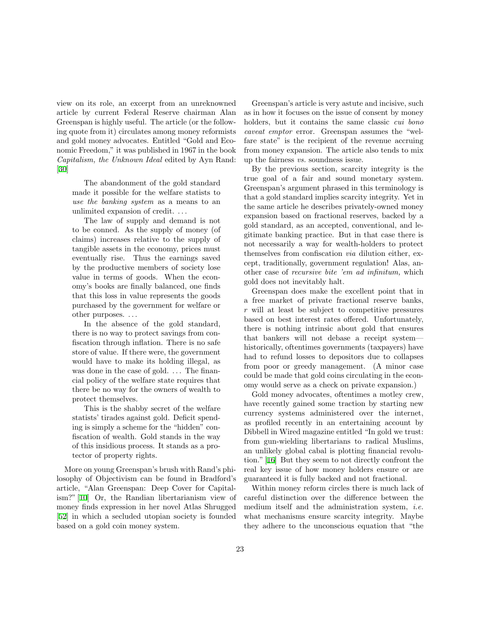view on its role, an excerpt from an unreknowned article by current Federal Reserve chairman Alan Greenspan is highly useful. The article (or the following quote from it) circulates among money reformists and gold money advocates. Entitled "Gold and Economic Freedom," it was published in 1967 in the book Capitalism, the Unknown Ideal edited by Ayn Rand: [[30\]](#page-60-7)

The abandonment of the gold standard made it possible for the welfare statists to use the banking system as a means to an unlimited expansion of credit. . . .

The law of supply and demand is not to be conned. As the supply of money (of claims) increases relative to the supply of tangible assets in the economy, prices must eventually rise. Thus the earnings saved by the productive members of society lose value in terms of goods. When the economy's books are finally balanced, one finds that this loss in value represents the goods purchased by the government for welfare or other purposes. . . .

In the absence of the gold standard, there is no way to protect savings from confiscation through inflation. There is no safe store of value. If there were, the government would have to make its holding illegal, as was done in the case of gold. ... The financial policy of the welfare state requires that there be no way for the owners of wealth to protect themselves.

This is the shabby secret of the welfare statists' tirades against gold. Deficit spending is simply a scheme for the "hidden" confiscation of wealth. Gold stands in the way of this insidious process. It stands as a protector of property rights.

More on young Greenspan's brush with Rand's philosophy of Objectivism can be found in Bradford's article, "Alan Greenspan: Deep Cover for Capitalism?" [\[10](#page-59-11)] Or, the Randian libertarianism view of money finds expression in her novel Atlas Shrugged [[52\]](#page-61-0) in which a secluded utopian society is founded based on a gold coin money system.

Greenspan's article is very astute and incisive, such as in how it focuses on the issue of consent by money holders, but it contains the same classic *cui bono* caveat emptor error. Greenspan assumes the "welfare state" is the recipient of the revenue accruing from money expansion. The article also tends to mix up the fairness vs. soundness issue.

By the previous section, scarcity integrity is the true goal of a fair and sound monetary system. Greenspan's argument phrased in this terminology is that a gold standard implies scarcity integrity. Yet in the same article he describes privately-owned money expansion based on fractional reserves, backed by a gold standard, as an accepted, conventional, and legitimate banking practice. But in that case there is not necessarily a way for wealth-holders to protect themselves from confiscation via dilution either, except, traditionally, government regulation! Alas, another case of recursive bite 'em ad infinitum, which gold does not inevitably halt.

Greenspan does make the excellent point that in a free market of private fractional reserve banks,  $r$  will at least be subject to competitive pressures based on best interest rates offered. Unfortunately, there is nothing intrinsic about gold that ensures that bankers will not debase a receipt system historically, oftentimes governments (taxpayers) have had to refund losses to depositors due to collapses from poor or greedy management. (A minor case could be made that gold coins circulating in the economy would serve as a check on private expansion.)

Gold money advocates, oftentimes a motley crew, have recently gained some traction by starting new currency systems administered over the internet, as profiled recently in an entertaining account by Dibbell in Wired magazine entitled "In gold we trust: from gun-wielding libertarians to radical Muslims, an unlikely global cabal is plotting financial revolution."[[16\]](#page-59-12) But they seem to not directly confront the real key issue of how money holders ensure or are guaranteed it is fully backed and not fractional.

Within money reform circles there is much lack of careful distinction over the difference between the medium itself and the administration system, *i.e.* what mechanisms ensure scarcity integrity. Maybe they adhere to the unconscious equation that "the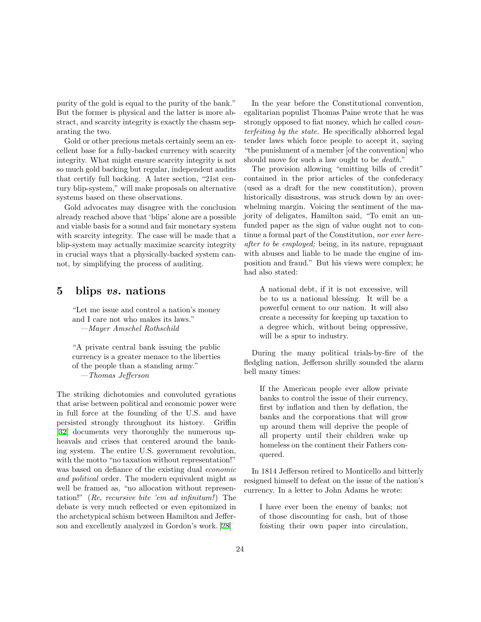purity of the gold is equal to the purity of the bank." But the former is physical and the latter is more abstract, and scarcity integrity is exactly the chasm separating the two.

Gold or other precious metals certainly seem an excellent base for a fully-backed currency with scarcity integrity. What might ensure scarcity integrity is not so much gold backing but regular, independent audits that certify full backing. A later section, "21st century blip-system," will make proposals on alternative systems based on these observations.

Gold advocates may disagree with the conclusion already reached above that 'blips' alone are a possible and viable basis for a sound and fair monetary system with scarcity integrity. The case will be made that a blip-system may actually maximize scarcity integrity in crucial ways that a physically-backed system cannot, by simplifying the process of auditing.

# 5 blips vs. nations

"Let me issue and control a nation's money and I care not who makes its laws." —Mayer Amschel Rothschild

"A private central bank issuing the public currency is a greater menace to the liberties of the people than a standing army." —Thomas Jefferson

The striking dichotomies and convoluted gyrations that arise between political and economic power were in full force at the founding of the U.S. and have persisted strongly throughout its history. Griffin [[32\]](#page-60-1) documents very thoroughly the numerous upheavals and crises that centered around the banking system. The entire U.S. government revolution, with the motto "no taxation without representation!" was based on defiance of the existing dual *economic* and political order. The modern equivalent might as well be framed as, "no allocation without representation!" (Re, recursive bite 'em ad infinitum!) The debate is very much reflected or even epitomized in the archetypical schism between Hamilton and Jefferson and excellently analyzed in Gordon's work. [\[28\]](#page-59-13)

In the year before the Constitutional convention, egalitarian populist Thomas Paine wrote that he was strongly opposed to fiat money, which he called counterfeiting by the state. He specifically abhorred legal tender laws which force people to accept it, saying "the punishment of a member [of the convention] who should move for such a law ought to be death."

The provision allowing "emitting bills of credit" contained in the prior articles of the confederacy (used as a draft for the new constitution), proven historically disastrous, was struck down by an overwhelming margin. Voicing the sentiment of the majority of deligates, Hamilton said, "To emit an unfunded paper as the sign of value ought not to continue a formal part of the Constitution, nor ever hereafter to be employed; being, in its nature, repugnant with abuses and liable to be made the engine of imposition and fraud." But his views were complex; he had also stated:

A national debt, if it is not excessive, will be to us a national blessing. It will be a powerful cement to our nation. It will also create a necessity for keeping up taxation to a degree which, without being oppressive, will be a spur to industry.

During the many political trials-by-fire of the fledgling nation, Jefferson shrilly sounded the alarm bell many times:

If the American people ever allow private banks to control the issue of their currency, first by inflation and then by deflation, the banks and the corporations that will grow up around them will deprive the people of all property until their children wake up homeless on the continent their Fathers conquered.

In 1814 Jefferson retired to Monticello and bitterly resigned himself to defeat on the issue of the nation's currency. In a letter to John Adams he wrote:

I have ever been the enemy of banks; not of those discounting for cash, but of those foisting their own paper into circulation,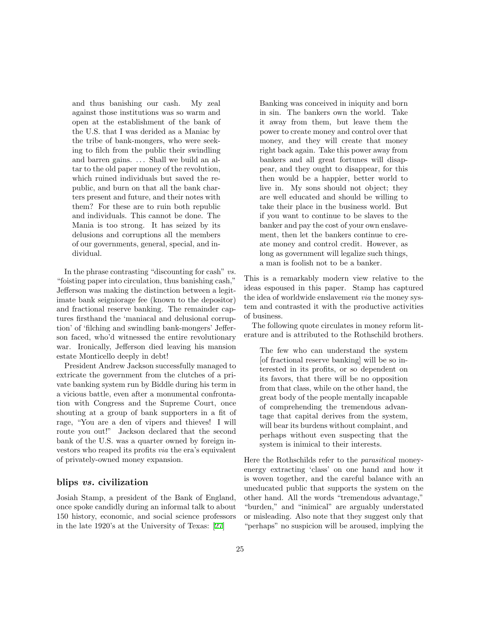and thus banishing our cash. My zeal against those institutions was so warm and open at the establishment of the bank of the U.S. that I was derided as a Maniac by the tribe of bank-mongers, who were seeking to filch from the public their swindling and barren gains. . . . Shall we build an altar to the old paper money of the revolution, which ruined individuals but saved the republic, and burn on that all the bank charters present and future, and their notes with them? For these are to ruin both republic and individuals. This cannot be done. The Mania is too strong. It has seized by its delusions and corruptions all the members of our governments, general, special, and individual.

In the phrase contrasting "discounting for cash" vs. "foisting paper into circulation, thus banishing cash," Jefferson was making the distinction between a legitimate bank seigniorage fee (known to the depositor) and fractional reserve banking. The remainder captures firsthand the 'maniacal and delusional corruption' of 'filching and swindling bank-mongers' Jefferson faced, who'd witnessed the entire revolutionary war. Ironically, Jefferson died leaving his mansion estate Monticello deeply in debt!

President Andrew Jackson successfully managed to extricate the government from the clutches of a private banking system run by Biddle during his term in a vicious battle, even after a monumental confrontation with Congress and the Supreme Court, once shouting at a group of bank supporters in a fit of rage, "You are a den of vipers and thieves! I will route you out!" Jackson declared that the second bank of the U.S. was a quarter owned by foreign investors who reaped its profits via the era's equivalent of privately-owned money expansion.

### blips vs. civilization

Josiah Stamp, a president of the Bank of England, once spoke candidly during an informal talk to about 150 history, economic, and social science professors in the late 1920's at the University of Texas:[[27\]](#page-59-7)

Banking was conceived in iniquity and born in sin. The bankers own the world. Take it away from them, but leave them the power to create money and control over that money, and they will create that money right back again. Take this power away from bankers and all great fortunes will disappear, and they ought to disappear, for this then would be a happier, better world to live in. My sons should not object; they are well educated and should be willing to take their place in the business world. But if you want to continue to be slaves to the banker and pay the cost of your own enslavement, then let the bankers continue to create money and control credit. However, as long as government will legalize such things, a man is foolish not to be a banker.

This is a remarkably modern view relative to the ideas espoused in this paper. Stamp has captured the idea of worldwide enslavement via the money system and contrasted it with the productive activities of business.

The following quote circulates in money reform literature and is attributed to the Rothschild brothers.

The few who can understand the system [of fractional reserve banking] will be so interested in its profits, or so dependent on its favors, that there will be no opposition from that class, while on the other hand, the great body of the people mentally incapable of comprehending the tremendous advantage that capital derives from the system, will bear its burdens without complaint, and perhaps without even suspecting that the system is inimical to their interests.

Here the Rothschilds refer to the parasitical moneyenergy extracting 'class' on one hand and how it is woven together, and the careful balance with an uneducated public that supports the system on the other hand. All the words "tremendous advantage," "burden," and "inimical" are arguably understated or misleading. Also note that they suggest only that "perhaps" no suspicion will be aroused, implying the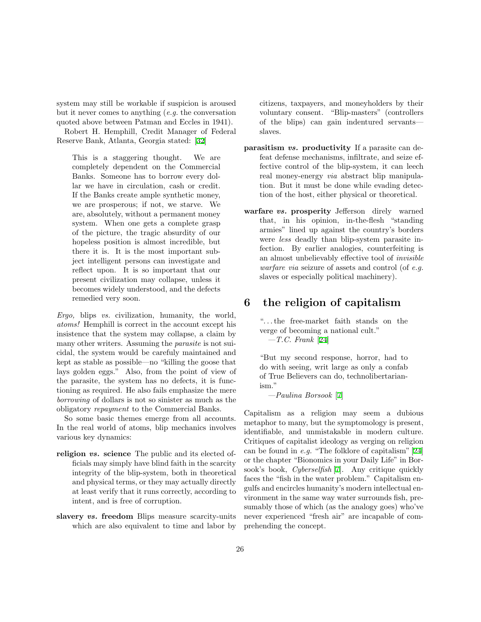system may still be workable if suspicion is aroused but it never comes to anything (e.g. the conversation quoted above between Patman and Eccles in 1941).

Robert H. Hemphill, Credit Manager of Federal Reserve Bank, Atlanta, Georgia stated: [\[32](#page-60-1)]

This is a staggering thought. We are completely dependent on the Commercial Banks. Someone has to borrow every dollar we have in circulation, cash or credit. If the Banks create ample synthetic money, we are prosperous; if not, we starve. We are, absolutely, without a permanent money system. When one gets a complete grasp of the picture, the tragic absurdity of our hopeless position is almost incredible, but there it is. It is the most important subject intelligent persons can investigate and reflect upon. It is so important that our present civilization may collapse, unless it becomes widely understood, and the defects remedied very soon.

Ergo, blips vs. civilization, humanity, the world, atoms! Hemphill is correct in the account except his insistence that the system may collapse, a claim by many other writers. Assuming the parasite is not suicidal, the system would be carefuly maintained and kept as stable as possible—no "killing the goose that lays golden eggs." Also, from the point of view of the parasite, the system has no defects, it is functioning as required. He also fails emphasize the mere borrowing of dollars is not so sinister as much as the obligatory repayment to the Commercial Banks.

So some basic themes emerge from all accounts. In the real world of atoms, blip mechanics involves various key dynamics:

- religion *vs.* science The public and its elected officials may simply have blind faith in the scarcity integrity of the blip-system, both in theoretical and physical terms, or they may actually directly at least verify that it runs correctly, according to intent, and is free of corruption.
- slavery *vs.* freedom Blips measure scarcity-units which are also equivalent to time and labor by

citizens, taxpayers, and moneyholders by their voluntary consent. "Blip-masters" (controllers of the blips) can gain indentured servants slaves.

- parasitism vs. productivity If a parasite can defeat defense mechanisms, infiltrate, and seize effective control of the blip-system, it can leech real money-energy via abstract blip manipulation. But it must be done while evading detection of the host, either physical or theoretical.
- warfare vs. prosperity Jefferson direly warned that, in his opinion, in-the-flesh "standing armies" lined up against the country's borders were less deadly than blip-system parasite infection. By earlier analogies, counterfeiting is an almost unbelievably effective tool of invisible warfare via seizure of assets and control (of e.g. slaves or especially political machinery).

# 6 the religion of capitalism

". . . the free-market faith stands on the verge of becoming a national cult."  $-T.C.$  Frank [\[24](#page-59-14)]

"But my second response, horror, had to do with seeing, writ large as only a confab of True Believers can do, technolibertarianism."

—Paulina Borsook [[7\]](#page-59-5)

Capitalism as a religion may seem a dubious metaphor to many, but the symptomology is present, identifiable, and unmistakable in modern culture. Critiques of capitalist ideology as verging on religion can be found in e.g. "The folklore of capitalism"[[24](#page-59-14)] or the chapter "Bionomics in your Daily Life" in Borsook's book, Cyberselfish [\[7](#page-59-5)]. Any critique quickly faces the "fish in the water problem." Capitalism engulfs and encircles humanity's modern intellectual environment in the same way water surrounds fish, presumably those of which (as the analogy goes) who've never experienced "fresh air" are incapable of comprehending the concept.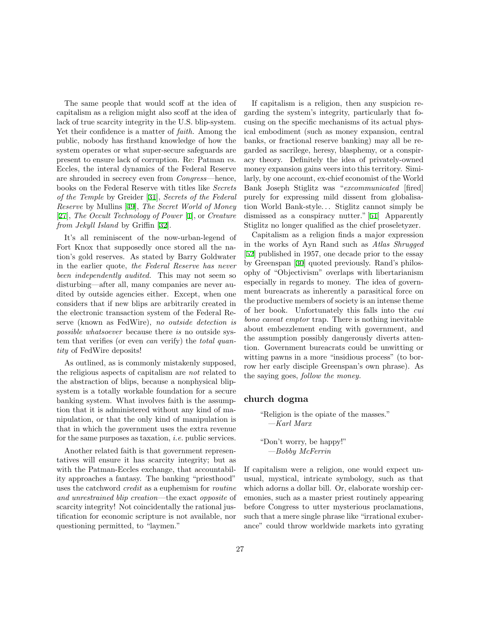The same people that would scoff at the idea of capitalism as a religion might also scoff at the idea of lack of true scarcity integrity in the U.S. blip-system. Yet their confidence is a matter of faith. Among the public, nobody has firsthand knowledge of how the system operates or what super-secure safeguards are present to ensure lack of corruption. Re: Patman vs. Eccles, the interal dynamics of the Federal Reserve are shrouded in secrecy even from Congress—hence, books on the Federal Reserve with titles like Secrets of the Temple by Greider[[31\]](#page-60-8), Secrets of the Federal Reserve by Mullins [\[49](#page-60-9)], The Secret World of Money [[27\]](#page-59-7), The Occult Technology of Power [[1\]](#page-58-4), or Creature from Jekyll Island by Griffin[[32\]](#page-60-1).

It's all reminiscent of the now-urban-legend of Fort Knox that supposedly once stored all the nation's gold reserves. As stated by Barry Goldwater in the earlier quote, the Federal Reserve has never been independently audited. This may not seem so disturbing—after all, many companies are never audited by outside agencies either. Except, when one considers that if new blips are arbitrarily created in the electronic transaction system of the Federal Reserve (known as FedWire), no outside detection is possible whatsoever because there is no outside system that verifies (or even *can* verify) the *total quan*tity of FedWire deposits!

As outlined, as is commonly mistakenly supposed, the religious aspects of capitalism are not related to the abstraction of blips, because a nonphysical blipsystem is a totally workable foundation for a secure banking system. What involves faith is the assumption that it is administered without any kind of manipulation, or that the only kind of manipulation is that in which the government uses the extra revenue for the same purposes as taxation, i.e. public services.

Another related faith is that government representatives will ensure it has scarcity integrity; but as with the Patman-Eccles exchange, that accountability approaches a fantasy. The banking "priesthood" uses the catchword credit as a euphemism for routine and unrestrained blip creation—the exact opposite of scarcity integrity! Not coincidentally the rational justification for economic scripture is not available, nor questioning permitted, to "laymen."

If capitalism is a religion, then any suspicion regarding the system's integrity, particularly that focusing on the specific mechanisms of its actual physical embodiment (such as money expansion, central banks, or fractional reserve banking) may all be regarded as sacrilege, heresy, blasphemy, or a conspiracy theory. Definitely the idea of privately-owned money expansion gains veers into this territory. Similarly, by one account, ex-chief economist of the World Bank Joseph Stiglitz was "excommunicated [fired] purely for expressing mild dissent from globalisation World Bank-style. . . Stiglitz cannot simply be dismissed as a conspiracy nutter."[[51\]](#page-61-8) Apparently Stiglitz no longer qualified as the chief proseletyzer.

Capitalism as a religion finds a major expression in the works of Ayn Rand such as Atlas Shrugged [\[52](#page-61-0)] published in 1957, one decade prior to the essay by Greenspan[[30\]](#page-60-7) quoted previously. Rand's philosophy of "Objectivism" overlaps with libertarianism especially in regards to money. The idea of government bureacrats as inherently a parasitical force on the productive members of society is an intense theme of her book. Unfortunately this falls into the cui bono caveat emptor trap. There is nothing inevitable about embezzlement ending with government, and the assumption possibly dangerously diverts attention. Government bureacrats could be unwitting or witting pawns in a more "insidious process" (to borrow her early disciple Greenspan's own phrase). As the saying goes, follow the money.

### church dogma

"Religion is the opiate of the masses." —Karl Marx

"Don't worry, be happy!" —Bobby McFerrin

If capitalism were a religion, one would expect unusual, mystical, intricate symbology, such as that which adorns a dollar bill. Or, elaborate worship ceremonies, such as a master priest routinely appearing before Congress to utter mysterious proclamations, such that a mere single phrase like "irrational exuberance" could throw worldwide markets into gyrating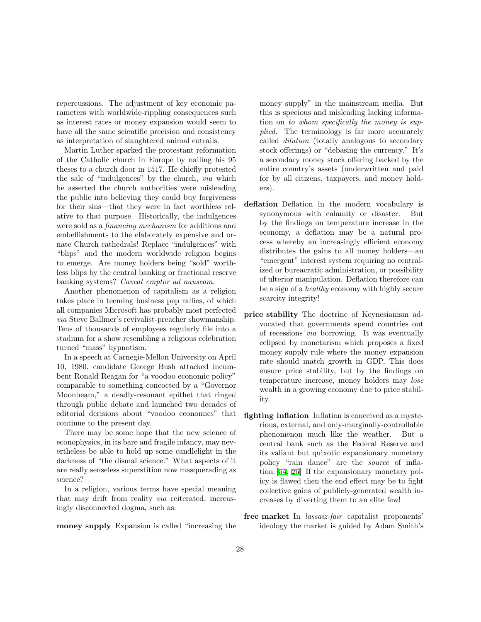repercussions. The adjustment of key economic parameters with worldwide-rippling consequences such as interest rates or money expansion would seem to have all the same scientific precision and consistency as interpretation of slaughtered animal entrails.

Martin Luther sparked the protestant reformation of the Catholic church in Europe by nailing his 95 theses to a church door in 1517. He chiefly protested the sale of "indulgences" by the church, via which he asserted the church authorities were misleading the public into believing they could buy forgiveness for their sins—that they were in fact worthless relative to that purpose. Historically, the indulgences were sold as a financing mechanism for additions and embellishments to the elaborately expensive and ornate Church cathedrals! Replace "indulgences" with "blips" and the modern worldwide religion begins to emerge. Are money holders being "sold" worthless blips by the central banking or fractional reserve banking systems? Caveat emptor ad nauseam.

Another phenomenon of capitalism as a religion takes place in teeming business pep rallies, of which all companies Microsoft has probably most perfected via Steve Ballmer's revivalist-preacher showmanship. Tens of thousands of employees regularly file into a stadium for a show resembling a religious celebration turned "mass" hypnotism.

In a speech at Carnegie-Mellon University on April 10, 1980, candidate George Bush attacked incumbent Ronald Reagan for "a voodoo economic policy" comparable to something concocted by a "Governor Moonbeam," a deadly-resonant epithet that ringed through public debate and launched two decades of editorial derisions about "voodoo economics" that continue to the present day.

There may be some hope that the new science of econophysics, in its bare and fragile infancy, may nevertheless be able to hold up some candlelight in the darkness of "the dismal science." What aspects of it are really senseless superstition now masquerading as science?

In a religion, various terms have special meaning that may drift from reality via reiterated, increasingly disconnected dogma, such as:

money supply Expansion is called "increasing the

money supply" in the mainstream media. But this is specious and misleading lacking information on to whom specifically the money is supplied. The terminology is far more accurately called dilution (totally analogous to secondary stock offerings) or "debasing the currency." It's a secondary money stock offering backed by the entire country's assets (underwritten and paid for by all citizens, taxpayers, and money holders).

- deflation Deflation in the modern vocabulary is synonymous with calamity or disaster. But by the findings on temperature increase in the economy, a deflation may be a natural process whereby an increasingly efficient economy distributes the gains to all money holders—an "emergent" interest system requiring no centralized or bureacratic administration, or possibility of ulterior manipulation. Deflation therefore can be a sign of a healthy economy with highly secure scarcity integrity!
- price stability The doctrine of Keynesianism advocated that governments spend countries out of recessions via borrowing. It was eventually eclipsed by monetarism which proposes a fixed money supply rule where the money expansion rate should match growth in GDP. This does ensure price stability, but by the findings on temperature increase, money holders may lose wealth in a growing economy due to price stability.
- fighting inflation Inflation is conceived as a mysterious, external, and only-marginally-controllable phenomenon much like the weather. But a central bank such as the Federal Reserve and its valiant but quixotic expansionary monetary policy "rain dance" are the source of inflation.[[54,](#page-61-5) [26](#page-59-15)] If the expansionary monetary policy is flawed then the end effect may be to fight collective gains of publicly-generated wealth increases by diverting them to an elite few!
- free market In lassaiz-fair capitalist proponents' ideology the market is guided by Adam Smith's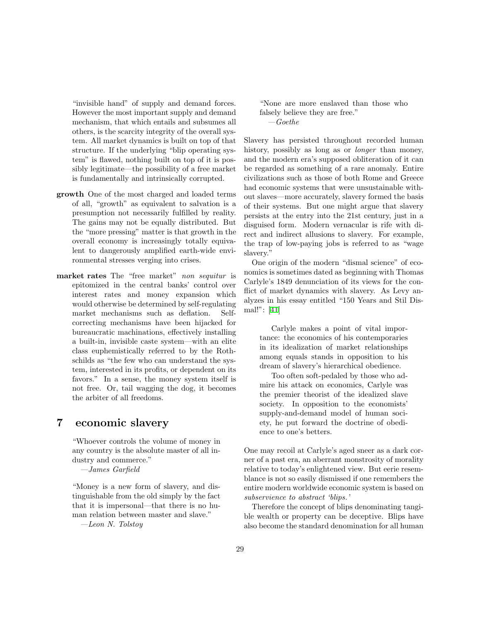"invisible hand" of supply and demand forces. However the most important supply and demand mechanism, that which entails and subsumes all others, is the scarcity integrity of the overall system. All market dynamics is built on top of that structure. If the underlying "blip operating system" is flawed, nothing built on top of it is possibly legitimate—the possibility of a free market is fundamentally and intrinsically corrupted.

- growth One of the most charged and loaded terms of all, "growth" as equivalent to salvation is a presumption not necessarily fulfilled by reality. The gains may not be equally distributed. But the "more pressing" matter is that growth in the overall economy is increasingly totally equivalent to dangerously amplified earth-wide environmental stresses verging into crises.
- market rates The "free market" non sequitur is epitomized in the central banks' control over interest rates and money expansion which would otherwise be determined by self-regulating market mechanisms such as deflation. Selfcorrecting mechanisms have been hijacked for bureaucratic machinations, effectively installing a built-in, invisible caste system—with an elite class euphemistically referred to by the Rothschilds as "the few who can understand the system, interested in its profits, or dependent on its favors." In a sense, the money system itself is not free. Or, tail wagging the dog, it becomes the arbiter of all freedoms.

# 7 economic slavery

"Whoever controls the volume of money in any country is the absolute master of all industry and commerce."

—James Garfield

"Money is a new form of slavery, and distinguishable from the old simply by the fact that it is impersonal—that there is no human relation between master and slave." —Leon N. Tolstoy

"None are more enslaved than those who falsely believe they are free."  $-Goethe$ 

Slavery has persisted throughout recorded human history, possibly as long as or *longer* than money, and the modern era's supposed obliteration of it can be regarded as something of a rare anomaly. Entire civilizations such as those of both Rome and Greece had economic systems that were unsustainable without slaves—more accurately, slavery formed the basis of their systems. But one might argue that slavery persists at the entry into the 21st century, just in a disguised form. Modern vernacular is rife with direct and indirect allusions to slavery. For example, the trap of low-paying jobs is referred to as "wage slavery."

One origin of the modern "dismal science" of economics is sometimes dated as beginning with Thomas Carlyle's 1849 denunciation of its views for the conflict of market dynamics with slavery. As Levy analyzes in his essay entitled "150 Years and Stil Dismal!": [\[41](#page-60-3)]

Carlyle makes a point of vital importance: the economics of his contemporaries in its idealization of market relationships among equals stands in opposition to his dream of slavery's hierarchical obedience.

Too often soft-pedaled by those who admire his attack on economics, Carlyle was the premier theorist of the idealized slave society. In opposition to the economists' supply-and-demand model of human society, he put forward the doctrine of obedience to one's betters.

One may recoil at Carlyle's aged sneer as a dark corner of a past era, an aberrant monstrosity of morality relative to today's enlightened view. But eerie resemblance is not so easily dismissed if one remembers the entire modern worldwide economic system is based on subservience to abstract 'blips.'

Therefore the concept of blips denominating tangible wealth or property can be deceptive. Blips have also become the standard denomination for all human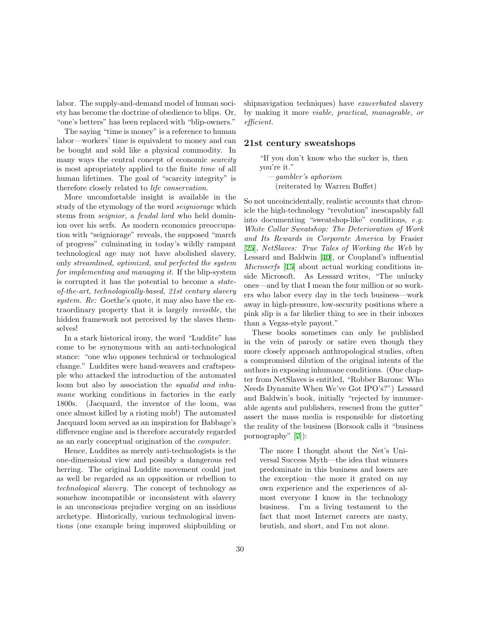labor. The supply-and-demand model of human society has become the doctrine of obedience to blips. Or, "one's betters" has been replaced with "blip-owners."

The saying "time is money" is a reference to human labor—workers' time is equivalent to money and can be bought and sold like a physical commodity. In many ways the central concept of economic *scarcity* is most apropriately applied to the finite time of all human lifetimes. The goal of "scarcity integrity" is therefore closely related to life conservation.

More uncomfortable insight is available in the study of the etymology of the word seigniorage which stems from seignior, a feudal lord who held dominion over his serfs. As modern economics preoccupation with "seigniorage" reveals, the supposed "march of progress" culminating in today's wildly rampant technological age may not have abolished slavery, only streamlined, optimized, and perfected the system for implementing and managing it. If the blip-system is corrupted it has the potential to become a stateof-the-art, technologically-based, 21st century slavery system. Re: Goethe's quote, it may also have the extraordinary property that it is largely invisible, the hidden framework not perceived by the slaves themselves!

In a stark historical irony, the word "Luddite" has come to be synonymous with an anti-technological stance: "one who opposes technical or technological change." Luddites were hand-weavers and craftspeople who attacked the introduction of the automated loom but also by association the *squalid and inhu*mane working conditions in factories in the early 1800s. (Jacquard, the inventor of the loom, was once almost killed by a rioting mob!) The automated Jacquard loom served as an inspiration for Babbage's difference engine and is therefore accurately regarded as an early conceptual origination of the computer.

Hence, Luddites as merely anti-technologists is the one-dimensional view and possibly a dangerous red herring. The original Luddite movement could just as well be regarded as an opposition or rebellion to technological slavery. The concept of technology as somehow incompatible or inconsistent with slavery is an unconscious prejudice verging on an insidious archetype. Historically, various technological inventions (one example being improved shipbuilding or shipnavigation techniques) have *exacerbated* slavery by making it more viable, practical, manageable, or efficient.

### 21st century sweatshops

"If you don't know who the sucker is, then you're it." —gambler's aphorism (reiterated by Warren Buffet)

So not uncoincidentally, realistic accounts that chronicle the high-technology "revolution" inescapably fall into documenting "sweatshop-like" conditions, e.g. White Collar Sweatshop: The Deterioration of Work and Its Rewards in Corporate America by Frasier [\[25](#page-59-16)], NetSlaves: True Tales of Working the Web by Lessard and Baldwin [\[40](#page-60-10)], or Coupland's influential Microserfs [[15\]](#page-59-17) about actual working conditions inside Microsoft. As Lessard writes, "The unlucky ones—and by that I mean the four million or so workers who labor every day in the tech business—work away in high-pressure, low-security positions where a pink slip is a far likelier thing to see in their inboxes than a Vegas-style payout."

These books sometimes can only be published in the vein of parody or satire even though they more closely approach anthropological studies, often a compromised dilution of the original intents of the authors in exposing inhumane conditions. (One chapter from NetSlaves is entitled, "Robber Barons: Who Needs Dynamite When We've Got IPO's?") Lessard and Baldwin's book, initially "rejected by innumerable agents and publishers, rescued from the gutter" assert the mass media is responsible for distorting the reality of the business (Borsook calls it "business pornography"[[7\]](#page-59-5)):

The more I thought about the Net's Universal Success Myth—the idea that winners predominate in this business and losers are the exception—the more it grated on my own experience and the experiences of almost everyone I know in the technology business. I'm a living testament to the fact that most Internet careers are nasty, brutish, and short, and I'm not alone.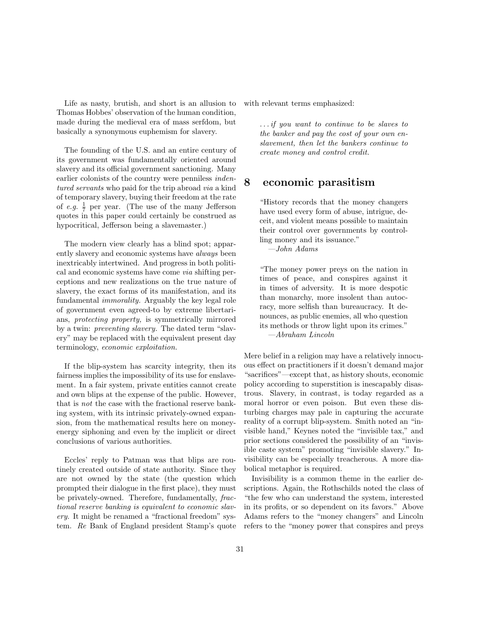Life as nasty, brutish, and short is an allusion to Thomas Hobbes' observation of the human condition, made during the medieval era of mass serfdom, but basically a synonymous euphemism for slavery.

The founding of the U.S. and an entire century of its government was fundamentally oriented around slavery and its official government sanctioning. Many earlier colonists of the country were penniless indentured servants who paid for the trip abroad via a kind of temporary slavery, buying their freedom at the rate of e.g.  $\frac{1}{7}$  per year. (The use of the many Jefferson quotes in this paper could certainly be construed as hypocritical, Jefferson being a slavemaster.)

The modern view clearly has a blind spot; apparently slavery and economic systems have always been inextricably intertwined. And progress in both political and economic systems have come via shifting perceptions and new realizations on the true nature of slavery, the exact forms of its manifestation, and its fundamental immorality. Arguably the key legal role of government even agreed-to by extreme libertarians, protecting property, is symmetrically mirrored by a twin: preventing slavery. The dated term "slavery" may be replaced with the equivalent present day terminology, economic exploitation.

If the blip-system has scarcity integrity, then its fairness implies the impossibility of its use for enslavement. In a fair system, private entities cannot create and own blips at the expense of the public. However, that is not the case with the fractional reserve banking system, with its intrinsic privately-owned expansion, from the mathematical results here on moneyenergy siphoning and even by the implicit or direct conclusions of various authorities.

Eccles' reply to Patman was that blips are routinely created outside of state authority. Since they are not owned by the state (the question which prompted their dialogue in the first place), they must be privately-owned. Therefore, fundamentally, fractional reserve banking is equivalent to economic slavery. It might be renamed a "fractional freedom" system. Re Bank of England president Stamp's quote with relevant terms emphasized:

. . . if you want to continue to be slaves to the banker and pay the cost of your own enslavement, then let the bankers continue to create money and control credit.

# 8 economic parasitism

"History records that the money changers have used every form of abuse, intrigue, deceit, and violent means possible to maintain their control over governments by controlling money and its issuance."

—John Adams

"The money power preys on the nation in times of peace, and conspires against it in times of adversity. It is more despotic than monarchy, more insolent than autocracy, more selfish than bureaucracy. It denounces, as public enemies, all who question its methods or throw light upon its crimes." —Abraham Lincoln

Mere belief in a religion may have a relatively innocuous effect on practitioners if it doesn't demand major "sacrifices"—except that, as history shouts, economic policy according to superstition is inescapably disastrous. Slavery, in contrast, is today regarded as a moral horror or even poison. But even these disturbing charges may pale in capturing the accurate reality of a corrupt blip-system. Smith noted an "invisible hand," Keynes noted the "invisible tax," and prior sections considered the possibility of an "invisible caste system" promoting "invisible slavery." Invisibility can be especially treacherous. A more diabolical metaphor is required.

Invisibility is a common theme in the earlier descriptions. Again, the Rothschilds noted the class of "the few who can understand the system, interested in its profits, or so dependent on its favors." Above Adams refers to the "money changers" and Lincoln refers to the "money power that conspires and preys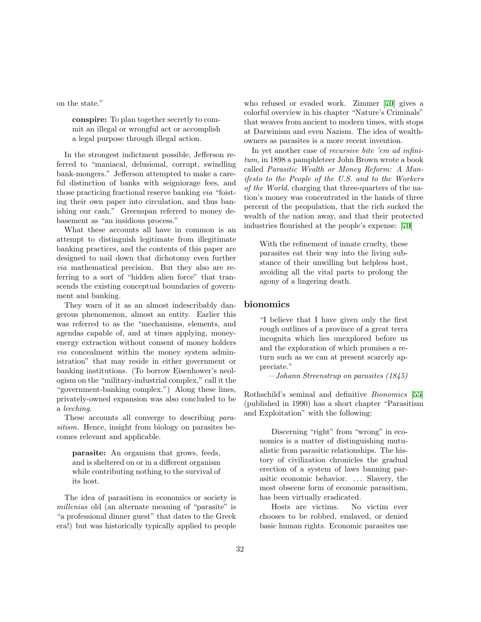on the state."

conspire: To plan together secretly to commit an illegal or wrongful act or accomplish a legal purpose through illegal action.

In the strongest indictment possible, Jefferson referred to "maniacal, delusional, corrupt, swindling bank-mongers." Jefferson attempted to make a careful distinction of banks with seigniorage fees, and those practicing fractional reserve banking via "foisting their own paper into circulation, and thus banishing our cash." Greenspan referred to money debasement as "an insidious process."

What these accounts all have in common is an attempt to distinguish legitimate from illegitimate banking practices, and the contents of this paper are designed to nail down that dichotomy even further via mathematical precision. But they also are referring to a sort of "hidden alien force" that transcends the existing conceptual boundaries of government and banking.

They warn of it as an almost indescribably dangerous phenomenon, almost an entity. Earlier this was referred to as the "mechanisms, elements, and agendas capable of, and at times applying, moneyenergy extraction without consent of money holders via concealment within the money system administration" that may reside in either government or banking institutions. (To borrow Eisenhower's neologism on the "military-industrial complex," call it the "government-banking complex.") Along these lines, privately-owned expansion was also concluded to be a leeching.

These accounts all converge to describing parasitism. Hence, insight from biology on parasites becomes relevant and applicable.

parasite: An organism that grows, feeds, and is sheltered on or in a different organism while contributing nothing to the survival of its host.

The idea of parasitism in economics or society is millenias old (an alternate meaning of "parasite" is "a professional dinner guest" that dates to the Greek era!) but was historically typically applied to people who refused or evaded work. Zimmer[[70\]](#page-61-4) gives a colorful overview in his chapter "Nature's Criminals" that weaves from ancient to modern times, with stops at Darwinism and even Nazism. The idea of wealthowners as parasites is a more recent invention.

In yet another case of recursive bite 'em ad infinitum, in 1898 a pamphleteer John Brown wrote a book called Parasitic Wealth or Money Reform: A Manifesto to the People of the U.S. and to the Workers of the World, charging that three-quarters of the nation's money was concentrated in the hands of three percent of the peopulation, that the rich sucked the wealth of the nation away, and that their protected industries flourished at the people's expense:[[70\]](#page-61-4)

With the refinement of innate cruelty, these parasites eat their way into the living substance of their unwilling but helpless host, avoiding all the vital parts to prolong the agony of a lingering death.

### bionomics

"I believe that I have given only the first rough outlines of a province of a great terra incognita which lies unexplored before us and the exploration of which promises a return such as we can at present scarcely appreciate."

—Johann Streenstrup on parasites (1845)

Rothschild's seminal and definitive Bionomics [[55](#page-61-3)] (published in 1990) has a short chapter "Parasitism and Exploitation" with the following:

Discerning "right" from "wrong" in economics is a matter of distinguishing mutualistic from parasitic relationships. The history of civilization chronicles the gradual erection of a system of laws banning parasitic economic behavior. ... Slavery, the most obscene form of economic parasitism, has been virtually eradicated.

Hosts are victims. No victim ever chooses to be robbed, enslaved, or denied basic human rights. Economic parasites use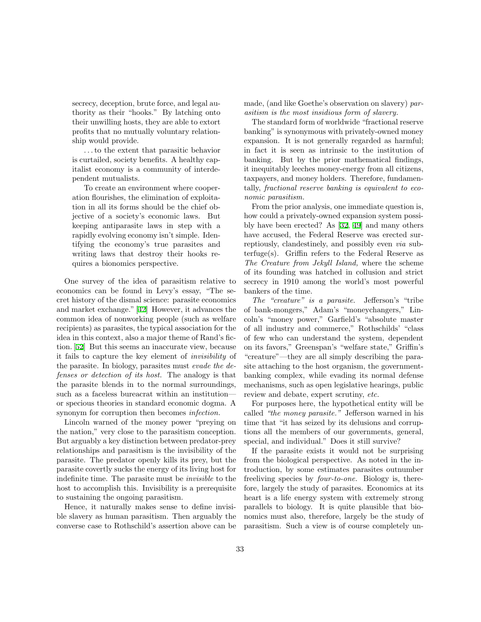secrecy, deception, brute force, and legal authority as their "hooks." By latching onto their unwilling hosts, they are able to extort profits that no mutually voluntary relationship would provide.

. . . to the extent that parasitic behavior is curtailed, society benefits. A healthy capitalist economy is a community of interdependent mutualists.

To create an environment where cooperation flourishes, the elimination of exploitation in all its forms should be the chief objective of a society's economic laws. But keeping antiparasite laws in step with a rapidly evolving economy isn't simple. Identifying the economy's true parasites and writing laws that destroy their hooks requires a bionomics perspective.

One survey of the idea of parasitism relative to economics can be found in Levy's essay, "The secret history of the dismal science: parasite economics and market exchange."[[42\]](#page-60-11) However, it advances the common idea of nonworking people (such as welfare recipients) as parasites, the typical association for the idea in this context, also a major theme of Rand's fiction. [\[52](#page-61-0)] But this seems an inaccurate view, because it fails to capture the key element of invisibility of the parasite. In biology, parasites must evade the defenses or detection of its host. The analogy is that the parasite blends in to the normal surroundings, such as a faceless bureacrat within an institution or specious theories in standard economic dogma. A synonym for corruption then becomes *infection*.

Lincoln warned of the money power "preying on the nation," very close to the parasitism conception. But arguably a key distinction between predator-prey relationships and parasitism is the invisibility of the parasite. The predator openly kills its prey, but the parasite covertly sucks the energy of its living host for indefinite time. The parasite must be invisible to the host to accomplish this. Invisibility is a prerequisite to sustaining the ongoing parasitism.

Hence, it naturally makes sense to define invisible slavery as human parasitism. Then arguably the converse case to Rothschild's assertion above can be made, (and like Goethe's observation on slavery) parasitism is the most insidious form of slavery.

The standard form of worldwide "fractional reserve banking" is synonymous with privately-owned money expansion. It is not generally regarded as harmful; in fact it is seen as intrinsic to the institution of banking. But by the prior mathematical findings, it inequitably leeches money-energy from all citizens, taxpayers, and money holders. Therefore, fundamentally, fractional reserve banking is equivalent to economic parasitism.

From the prior analysis, one immediate question is, how could a privately-owned expansion system possibly have been erected? As [\[32](#page-60-1), [49](#page-60-9)] and many others have accused, the Federal Reserve was erected surreptiously, clandestinely, and possibly even via subterfuge(s). Griffin refers to the Federal Reserve as The Creature from Jekyll Island, where the scheme of its founding was hatched in collusion and strict secrecy in 1910 among the world's most powerful bankers of the time.

The "creature" is a parasite. Jefferson's "tribe of bank-mongers," Adam's "moneychangers," Lincoln's "money power," Garfield's "absolute master of all industry and commerce," Rothschilds' "class of few who can understand the system, dependent on its favors," Greenspan's "welfare state," Griffin's "creature"—they are all simply describing the parasite attaching to the host organism, the governmentbanking complex, while evading its normal defense mechanisms, such as open legislative hearings, public review and debate, expert scrutiny, etc.

For purposes here, the hypothetical entity will be called "the money parasite." Jefferson warned in his time that "it has seized by its delusions and corruptions all the members of our governments, general, special, and individual." Does it still survive?

If the parasite exists it would not be surprising from the biological perspective. As noted in the introduction, by some estimates parasites outnumber freeliving species by four-to-one. Biology is, therefore, largely the study of parasites. Economics at its heart is a life energy system with extremely strong parallels to biology. It is quite plausible that bionomics must also, therefore, largely be the study of parasitism. Such a view is of course completely un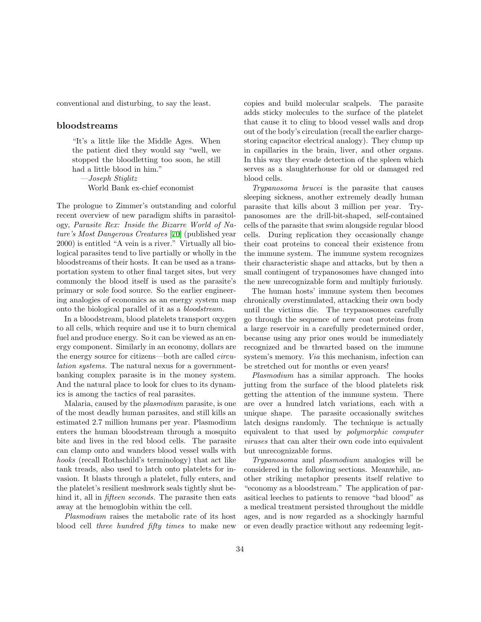conventional and disturbing, to say the least.

### bloodstreams

"It's a little like the Middle Ages. When the patient died they would say "well, we stopped the bloodletting too soon, he still had a little blood in him."

—Joseph Stiglitz

World Bank ex-chief economist

The prologue to Zimmer's outstanding and colorful recent overview of new paradigm shifts in parasitology, Parasite Rex: Inside the Bizarre World of Nature's Most Dangerous Creatures [[70\]](#page-61-4) (published year 2000) is entitled "A vein is a river." Virtually all biological parasites tend to live partially or wholly in the bloodstreams of their hosts. It can be used as a transportation system to other final target sites, but very commonly the blood itself is used as the parasite's primary or sole food source. So the earlier engineering analogies of economics as an energy system map onto the biological parallel of it as a bloodstream.

In a bloodstream, blood platelets transport oxygen to all cells, which require and use it to burn chemical fuel and produce energy. So it can be viewed as an energy component. Similarly in an economy, dollars are the energy source for citizens—both are called circulation systems. The natural nexus for a governmentbanking complex parasite is in the money system. And the natural place to look for clues to its dynamics is among the tactics of real parasites.

Malaria, caused by the plasmodium parasite, is one of the most deadly human parasites, and still kills an estimated 2.7 million humans per year. Plasmodium enters the human bloodstream through a mosquito bite and lives in the red blood cells. The parasite can clamp onto and wanders blood vessel walls with hooks (recall Rothschild's terminology) that act like tank treads, also used to latch onto platelets for invasion. It blasts through a platelet, fully enters, and the platelet's resilient meshwork seals tightly shut behind it, all in *fifteen seconds*. The parasite then eats away at the hemoglobin within the cell.

Plasmodium raises the metabolic rate of its host blood cell three hundred fifty times to make new

copies and build molecular scalpels. The parasite adds sticky molecules to the surface of the platelet that cause it to cling to blood vessel walls and drop out of the body's circulation (recall the earlier chargestoring capacitor electrical analogy). They clump up in capillaries in the brain, liver, and other organs. In this way they evade detection of the spleen which serves as a slaughterhouse for old or damaged red blood cells.

Trypanosoma brucei is the parasite that causes sleeping sickness, another extremely deadly human parasite that kills about 3 million per year. Trypanosomes are the drill-bit-shaped, self-contained cells of the parasite that swim alongside regular blood cells. During replication they occasionally change their coat proteins to conceal their existence from the immune system. The immune system recognizes their characteristic shape and attacks, but by then a small contingent of trypanosomes have changed into the new unrecognizable form and multiply furiously.

The human hosts' immune system then becomes chronically overstimulated, attacking their own body until the victims die. The trypanosomes carefully go through the sequence of new coat proteins from a large reservoir in a carefully predetermined order, because using any prior ones would be immediately recognized and be thwarted based on the immune system's memory. Via this mechanism, infection can be stretched out for months or even years!

Plasmodium has a similar approach. The hooks jutting from the surface of the blood platelets risk getting the attention of the immune system. There are over a hundred latch variations, each with a unique shape. The parasite occasionally switches latch designs randomly. The technique is actually equivalent to that used by polymorphic computer viruses that can alter their own code into equivalent but unrecognizable forms.

Trypanosoma and plasmodium analogies will be considered in the following sections. Meanwhile, another striking metaphor presents itself relative to "economy as a bloodstream." The application of parasitical leeches to patients to remove "bad blood" as a medical treatment persisted throughout the middle ages, and is now regarded as a shockingly harmful or even deadly practice without any redeeming legit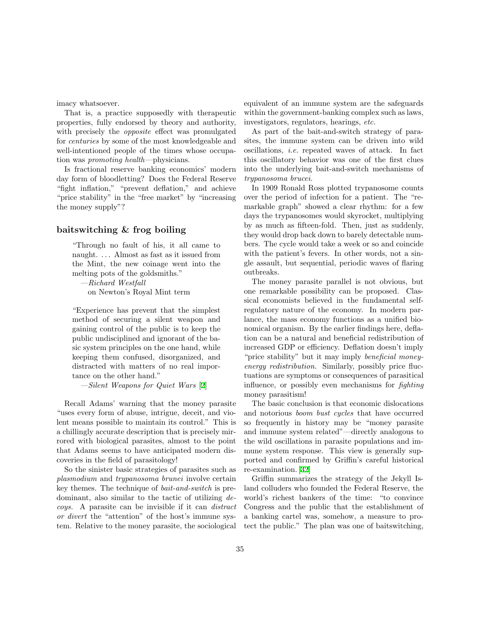imacy whatsoever.

That is, a practice supposedly with therapeutic properties, fully endorsed by theory and authority, with precisely the *opposite* effect was promulgated for centuries by some of the most knowledgeable and well-intentioned people of the times whose occupation was promoting health—physicians.

Is fractional reserve banking economics' modern day form of bloodletting? Does the Federal Reserve "fight inflation," "prevent deflation," and achieve "price stability" in the "free market" by "increasing the money supply"?

### baitswitching & frog boiling

"Through no fault of his, it all came to naught. . . . Almost as fast as it issued from the Mint, the new coinage went into the melting pots of the goldsmiths."

—Richard Westfall on Newton's Royal Mint term

"Experience has prevent that the simplest method of securing a silent weapon and gaining control of the public is to keep the public undisciplined and ignorant of the basic system principles on the one hand, while keeping them confused, disorganized, and distracted with matters of no real importance on the other hand."

—Silent Weapons for Quiet Wars [[2\]](#page-58-3)

Recall Adams' warning that the money parasite "uses every form of abuse, intrigue, deceit, and violent means possible to maintain its control." This is a chillingly accurate description that is precisely mirrored with biological parasites, almost to the point that Adams seems to have anticipated modern discoveries in the field of parasitology!

So the sinister basic strategies of parasites such as plasmodium and trypanosoma brunei involve certain key themes. The technique of bait-and-switch is predominant, also similar to the tactic of utilizing decoys. A parasite can be invisible if it can distract or divert the "attention" of the host's immune system. Relative to the money parasite, the sociological equivalent of an immune system are the safeguards within the government-banking complex such as laws, investigators, regulators, hearings, etc.

As part of the bait-and-switch strategy of parasites, the immune system can be driven into wild oscillations, i.e. repeated waves of attack. In fact this oscillatory behavior was one of the first clues into the underlying bait-and-switch mechanisms of trypanosoma brucei.

In 1909 Ronald Ross plotted trypanosome counts over the period of infection for a patient. The "remarkable graph" showed a clear rhythm: for a few days the trypanosomes would skyrocket, multiplying by as much as fifteen-fold. Then, just as suddenly, they would drop back down to barely detectable numbers. The cycle would take a week or so and coincide with the patient's fevers. In other words, not a single assault, but sequential, periodic waves of flaring outbreaks.

The money parasite parallel is not obvious, but one remarkable possibility can be proposed. Classical economists believed in the fundamental selfregulatory nature of the economy. In modern parlance, the mass economy functions as a unified bionomical organism. By the earlier findings here, deflation can be a natural and beneficial redistribution of increased GDP or efficiency. Deflation doesn't imply "price stability" but it may imply beneficial moneyenergy redistribution. Similarly, possibly price fluctuations are symptoms or consequences of parasitical influence, or possibly even mechanisms for fighting money parasitism!

The basic conclusion is that economic dislocations and notorious boom bust cycles that have occurred so frequently in history may be "money parasite and immune system related"—directly analogous to the wild oscillations in parasite populations and immune system response. This view is generally supported and confirmed by Griffin's careful historical re-examination.[[32\]](#page-60-1)

Griffin summarizes the strategy of the Jekyll Island colluders who founded the Federal Reserve, the world's richest bankers of the time: "to convince Congress and the public that the establishment of a banking cartel was, somehow, a measure to protect the public." The plan was one of baitswitching,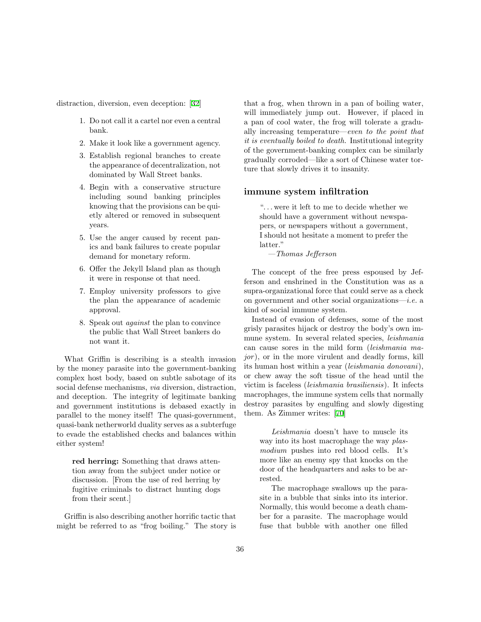distraction, diversion, even deception:[[32\]](#page-60-1)

- 1. Do not call it a cartel nor even a central bank.
- 2. Make it look like a government agency.
- 3. Establish regional branches to create the appearance of decentralization, not dominated by Wall Street banks.
- 4. Begin with a conservative structure including sound banking principles knowing that the provisions can be quietly altered or removed in subsequent years.
- 5. Use the anger caused by recent panics and bank failures to create popular demand for monetary reform.
- 6. Offer the Jekyll Island plan as though it were in response ot that need.
- 7. Employ university professors to give the plan the appearance of academic approval.
- 8. Speak out against the plan to convince the public that Wall Street bankers do not want it.

What Griffin is describing is a stealth invasion by the money parasite into the government-banking complex host body, based on subtle sabotage of its social defense mechanisms, via diversion, distraction, and deception. The integrity of legitimate banking and government institutions is debased exactly in parallel to the money itself! The quasi-government, quasi-bank netherworld duality serves as a subterfuge to evade the established checks and balances within either system!

red herring: Something that draws attention away from the subject under notice or discussion. [From the use of red herring by fugitive criminals to distract hunting dogs from their scent.]

Griffin is also describing another horrific tactic that might be referred to as "frog boiling." The story is that a frog, when thrown in a pan of boiling water, will immediately jump out. However, if placed in a pan of cool water, the frog will tolerate a gradually increasing temperature—even to the point that it is eventually boiled to death. Institutional integrity of the government-banking complex can be similarly gradually corroded—like a sort of Chinese water torture that slowly drives it to insanity.

#### immune system infiltration

". . . were it left to me to decide whether we should have a government without newspapers, or newspapers without a government, I should not hesitate a moment to prefer the latter."

—Thomas Jefferson

The concept of the free press espoused by Jefferson and enshrined in the Constitution was as a supra-organizational force that could serve as a check on government and other social organizations—*i.e.* a kind of social immune system.

Instead of evasion of defenses, some of the most grisly parasites hijack or destroy the body's own immune system. In several related species, leishmania can cause sores in the mild form (leishmania ma $jor$ ), or in the more virulent and deadly forms, kill its human host within a year (leishmania donovani), or chew away the soft tissue of the head until the victim is faceless (leishmania brasiliensis). It infects macrophages, the immune system cells that normally destroy parasites by engulfing and slowly digesting them. As Zimmer writes:[[70\]](#page-61-4)

Leishmania doesn't have to muscle its way into its host macrophage the way *plas*modium pushes into red blood cells. It's more like an enemy spy that knocks on the door of the headquarters and asks to be arrested.

The macrophage swallows up the parasite in a bubble that sinks into its interior. Normally, this would become a death chamber for a parasite. The macrophage would fuse that bubble with another one filled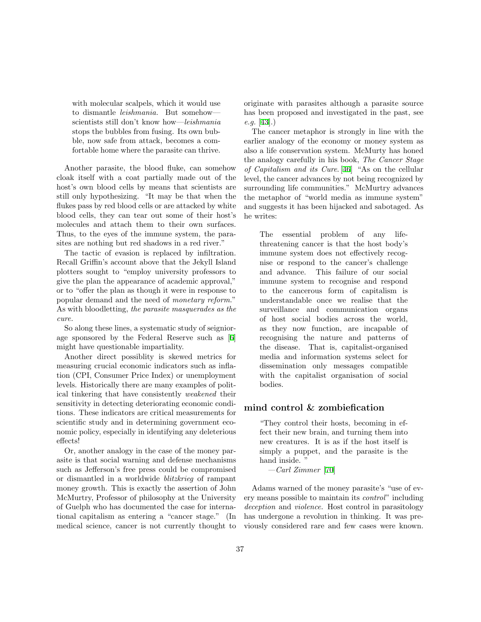with molecular scalpels, which it would use to dismantle leishmania. But somehow scientists still don't know how—leishmania stops the bubbles from fusing. Its own bubble, now safe from attack, becomes a comfortable home where the parasite can thrive.

Another parasite, the blood fluke, can somehow cloak itself with a coat partially made out of the host's own blood cells by means that scientists are still only hypothesizing. "It may be that when the flukes pass by red blood cells or are attacked by white blood cells, they can tear out some of their host's molecules and attach them to their own surfaces. Thus, to the eyes of the immune system, the parasites are nothing but red shadows in a red river."

The tactic of evasion is replaced by infiltration. Recall Griffin's account above that the Jekyll Island plotters sought to "employ university professors to give the plan the appearance of academic approval," or to "offer the plan as though it were in response to popular demand and the need of monetary reform." As with bloodletting, the parasite masquerades as the cure.

So along these lines, a systematic study of seigniorage sponsored by the Federal Reserve such as[[6\]](#page-58-2) might have questionable impartiality.

Another direct possiblity is skewed metrics for measuring crucial economic indicators such as inflation (CPI, Consumer Price Index) or unemployment levels. Historically there are many examples of political tinkering that have consistently weakened their sensitivity in detecting deteriorating economic conditions. These indicators are critical measurements for scientific study and in determining government economic policy, especially in identifying any deleterious effects!

Or, another analogy in the case of the money parasite is that social warning and defense mechanisms such as Jefferson's free press could be compromised or dismantled in a worldwide blitzkrieg of rampant money growth. This is exactly the assertion of John McMurtry, Professor of philosophy at the University of Guelph who has documented the case for international capitalism as entering a "cancer stage." (In medical science, cancer is not currently thought to originate with parasites although a parasite source has been proposed and investigated in the past, see  $e.g. [43]$  $e.g. [43]$ .)

The cancer metaphor is strongly in line with the earlier analogy of the economy or money system as also a life conservation system. McMurty has honed the analogy carefully in his book, The Cancer Stage of Capitalism and its Cure. [\[46](#page-60-13)] "As on the cellular level, the cancer advances by not being recognized by surrounding life communities." McMurtry advances the metaphor of "world media as immune system" and suggests it has been hijacked and sabotaged. As he writes:

The essential problem of any lifethreatening cancer is that the host body's immune system does not effectively recognise or respond to the cancer's challenge and advance. This failure of our social immune system to recognise and respond to the cancerous form of capitalism is understandable once we realise that the surveillance and communication organs of host social bodies across the world, as they now function, are incapable of recognising the nature and patterns of the disease. That is, capitalist-organised media and information systems select for dissemination only messages compatible with the capitalist organisation of social bodies.

#### mind control & zombiefication

"They control their hosts, becoming in effect their new brain, and turning them into new creatures. It is as if the host itself is simply a puppet, and the parasite is the hand inside. "

—Carl Zimmer [[70\]](#page-61-4)

Adams warned of the money parasite's "use of every means possible to maintain its control" including deception and violence. Host control in parasitology has undergone a revolution in thinking. It was previously considered rare and few cases were known.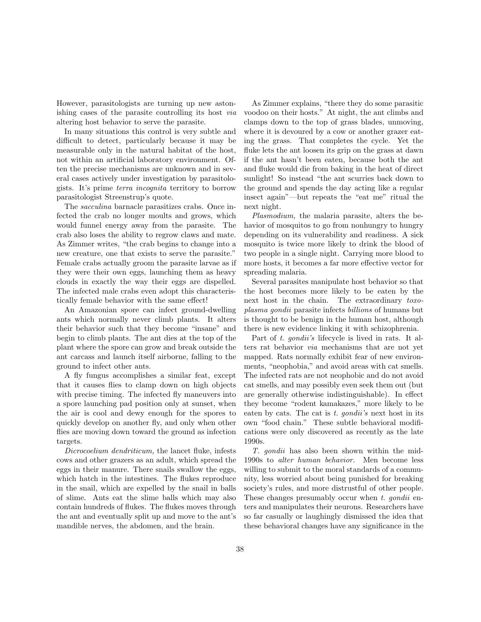However, parasitologists are turning up new astonishing cases of the parasite controlling its host via altering host behavior to serve the parasite.

In many situations this control is very subtle and difficult to detect, particularly because it may be measurable only in the natural habitat of the host, not within an artificial laboratory environment. Often the precise mechanisms are unknown and in several cases actively under investigation by parasitologists. It's prime terra incognita territory to borrow parasitologist Streenstrup's quote.

The sacculina barnacle parasitizes crabs. Once infected the crab no longer moults and grows, which would funnel energy away from the parasite. The crab also loses the ability to regrow claws and mate. As Zimmer writes, "the crab begins to change into a new creature, one that exists to serve the parasite." Female crabs actually groom the parasite larvae as if they were their own eggs, launching them as heavy clouds in exactly the way their eggs are dispelled. The infected male crabs even adopt this characteristically female behavior with the same effect!

An Amazonian spore can infect ground-dwelling ants which normally never climb plants. It alters their behavior such that they become "insane" and begin to climb plants. The ant dies at the top of the plant where the spore can grow and break outside the ant carcass and launch itself airborne, falling to the ground to infect other ants.

A fly fungus accomplishes a similar feat, except that it causes flies to clamp down on high objects with precise timing. The infected fly maneuvers into a spore launching pad position only at sunset, when the air is cool and dewy enough for the spores to quickly develop on another fly, and only when other flies are moving down toward the ground as infection targets.

Dicrocoelium dendriticum, the lancet fluke, infests cows and other grazers as an adult, which spread the eggs in their manure. There snails swallow the eggs, which hatch in the intestines. The flukes reproduce in the snail, which are expelled by the snail in balls of slime. Ants eat the slime balls which may also contain hundreds of flukes. The flukes moves through the ant and eventually split up and move to the ant's mandible nerves, the abdomen, and the brain.

As Zimmer explains, "there they do some parasitic voodoo on their hosts." At night, the ant climbs and clamps down to the top of grass blades, unmoving, where it is devoured by a cow or another grazer eating the grass. That completes the cycle. Yet the fluke lets the ant loosen its grip on the grass at dawn if the ant hasn't been eaten, because both the ant and fluke would die from baking in the heat of direct sunlight! So instead "the ant scurries back down to the ground and spends the day acting like a regular insect again"—but repeats the "eat me" ritual the next night.

Plasmodium, the malaria parasite, alters the behavior of mosquitos to go from nonhungry to hungry depending on its vulnerability and readiness. A sick mosquito is twice more likely to drink the blood of two people in a single night. Carrying more blood to more hosts, it becomes a far more effective vector for spreading malaria.

Several parasites manipulate host behavior so that the host becomes more likely to be eaten by the next host in the chain. The extraordinary toxoplasma gondii parasite infects billions of humans but is thought to be benign in the human host, although there is new evidence linking it with schizophrenia.

Part of t. *gondii's* lifecycle is lived in rats. It alters rat behavior via mechanisms that are not yet mapped. Rats normally exhibit fear of new environments, "neophobia," and avoid areas with cat smells. The infected rats are not neophobic and do not avoid cat smells, and may possibly even seek them out (but are generally otherwise indistinguishable). In effect they become "rodent kamakazes," more likely to be eaten by cats. The cat is  $t$ . gondii's next host in its own "food chain." These subtle behavioral modifications were only discovered as recently as the late 1990s.

T. gondii has also been shown within the mid-1990s to alter human behavior. Men become less willing to submit to the moral standards of a community, less worried about being punished for breaking society's rules, and more distrustful of other people. These changes presumably occur when  $t$ , gondia enters and manipulates their neurons. Researchers have so far casually or laughingly dismissed the idea that these behavioral changes have any significance in the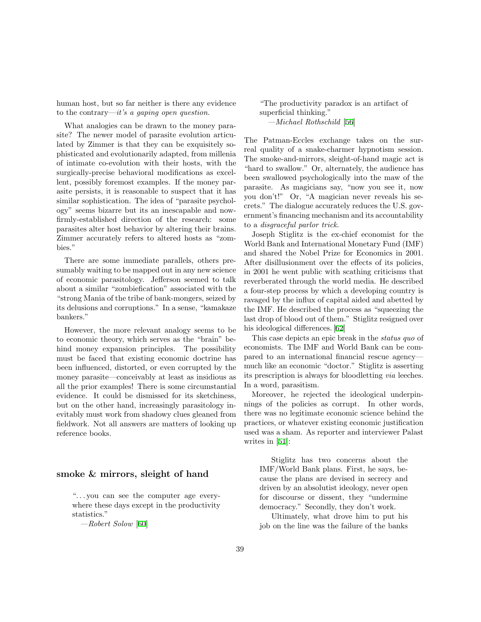human host, but so far neither is there any evidence to the contrary—it's a gaping open question.

What analogies can be drawn to the money parasite? The newer model of parasite evolution articulated by Zimmer is that they can be exquisitely sophisticated and evolutionarily adapted, from millenia of intimate co-evolution with their hosts, with the surgically-precise behavioral modifications as excellent, possibly foremost examples. If the money parasite persists, it is reasonable to suspect that it has similar sophistication. The idea of "parasite psychology" seems bizarre but its an inescapable and nowfirmly-established direction of the research: some parasites alter host behavior by altering their brains. Zimmer accurately refers to altered hosts as "zombies."

There are some immediate parallels, others presumably waiting to be mapped out in any new science of economic parasitology. Jefferson seemed to talk about a similar "zombiefication" associated with the "strong Mania of the tribe of bank-mongers, seized by its delusions and corruptions." In a sense, "kamakaze bankers."

However, the more relevant analogy seems to be to economic theory, which serves as the "brain" behind money expansion principles. The possibility must be faced that existing economic doctrine has been influenced, distorted, or even corrupted by the money parasite—conceivably at least as insidious as all the prior examples! There is some circumstantial evidence. It could be dismissed for its sketchiness, but on the other hand, increasingly parasitology inevitably must work from shadowy clues gleaned from fieldwork. Not all answers are matters of looking up reference books.

### smoke & mirrors, sleight of hand

". . . you can see the computer age everywhere these days except in the productivity statistics."

—Robert Solow [[60\]](#page-61-9)

"The productivity paradox is an artifact of superficial thinking." —Michael Rothschild [[56\]](#page-61-10)

The Patman-Eccles exchange takes on the surreal quality of a snake-charmer hypnotism session. The smoke-and-mirrors, sleight-of-hand magic act is "hard to swallow." Or, alternately, the audience has been swallowed psychologically into the maw of the parasite. As magicians say, "now you see it, now you don't!" Or, "A magician never reveals his secrets." The dialogue accurately reduces the U.S. government's financing mechanism and its accountability to a disgraceful parlor trick.

Joseph Stiglitz is the ex-chief economist for the World Bank and International Monetary Fund (IMF) and shared the Nobel Prize for Economics in 2001. After disillusionment over the effects of its policies, in 2001 he went public with scathing criticisms that reverberated through the world media. He described a four-step process by which a developing country is ravaged by the influx of capital aided and abetted by the IMF. He described the process as "squeezing the last drop of blood out of them." Stiglitz resigned over his ideological differences. [\[62](#page-61-11)]

This case depicts an epic break in the status quo of economists. The IMF and World Bank can be compared to an international financial rescue agency much like an economic "doctor." Stiglitz is asserting its prescription is always for bloodletting via leeches. In a word, parasitism.

Moreover, he rejected the ideological underpinnings of the policies as corrupt. In other words, there was no legitimate economic science behind the practices, or whatever existing economic justification used was a sham. As reporter and interviewer Palast writes in [\[51](#page-61-8)]:

Stiglitz has two concerns about the IMF/World Bank plans. First, he says, because the plans are devised in secrecy and driven by an absolutist ideology, never open for discourse or dissent, they "undermine democracy." Secondly, they don't work.

Ultimately, what drove him to put his job on the line was the failure of the banks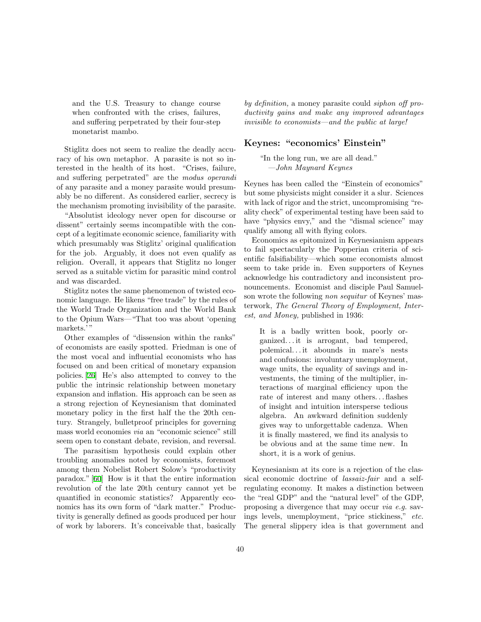and the U.S. Treasury to change course when confronted with the crises, failures, and suffering perpetrated by their four-step monetarist mambo.

Stiglitz does not seem to realize the deadly accuracy of his own metaphor. A parasite is not so interested in the health of its host. "Crises, failure, and suffering perpetrated" are the modus operandi of any parasite and a money parasite would presumably be no different. As considered earlier, secrecy is the mechanism promoting invisibility of the parasite.

"Absolutist ideology never open for discourse or dissent" certainly seems incompatible with the concept of a legitimate economic science, familiarity with which presumably was Stiglitz' original qualification for the job. Arguably, it does not even qualify as religion. Overall, it appears that Stiglitz no longer served as a suitable victim for parasitic mind control and was discarded.

Stiglitz notes the same phenomenon of twisted economic language. He likens "free trade" by the rules of the World Trade Organization and the World Bank to the Opium Wars—"That too was about 'opening markets.'"

Other examples of "dissension within the ranks" of economists are easily spotted. Friedman is one of the most vocal and influential economists who has focused on and been critical of monetary expansion policies. [\[26](#page-59-15)] He's also attempted to convey to the public the intrinsic relationship between monetary expansion and inflation. His approach can be seen as a strong rejection of Keynesianism that dominated monetary policy in the first half the the 20th century. Strangely, bulletproof principles for governing mass world economies via an "economic science" still seem open to constant debate, revision, and reversal.

The parasitism hypothesis could explain other troubling anomalies noted by economists, foremost among them Nobelist Robert Solow's "productivity paradox." [\[60](#page-61-9)] How is it that the entire information revolution of the late 20th century cannot yet be quantified in economic statistics? Apparently economics has its own form of "dark matter." Productivity is generally defined as goods produced per hour of work by laborers. It's conceivable that, basically

by definition, a money parasite could siphon off productivity gains and make any improved advantages invisible to economists—and the public at large!

### Keynes: "economics' Einstein"

"In the long run, we are all dead." —John Maynard Keynes

Keynes has been called the "Einstein of economics" but some physicists might consider it a slur. Sciences with lack of rigor and the strict, uncompromising "reality check" of experimental testing have been said to have "physics envy," and the "dismal science" may qualify among all with flying colors.

Economics as epitomized in Keynesianism appears to fail spectacularly the Popperian criteria of scientific falsifiability—which some economists almost seem to take pride in. Even supporters of Keynes acknowledge his contradictory and inconsistent pronouncements. Economist and disciple Paul Samuelson wrote the following non sequitur of Keynes' masterwork, The General Theory of Employment, Interest, and Money, published in 1936:

It is a badly written book, poorly organized. . . it is arrogant, bad tempered, polemical. . . it abounds in mare's nests and confusions: involuntary unemployment, wage units, the equality of savings and investments, the timing of the multiplier, interactions of marginal efficiency upon the rate of interest and many others. . . flashes of insight and intuition intersperse tedious algebra. An awkward definition suddenly gives way to unforgettable cadenza. When it is finally mastered, we find its analysis to be obvious and at the same time new. In short, it is a work of genius.

Keynesianism at its core is a rejection of the classical economic doctrine of lassaiz-fair and a selfregulating economy. It makes a distinction between the "real GDP" and the "natural level" of the GDP, proposing a divergence that may occur via e.g. savings levels, unemployment, "price stickiness," etc. The general slippery idea is that government and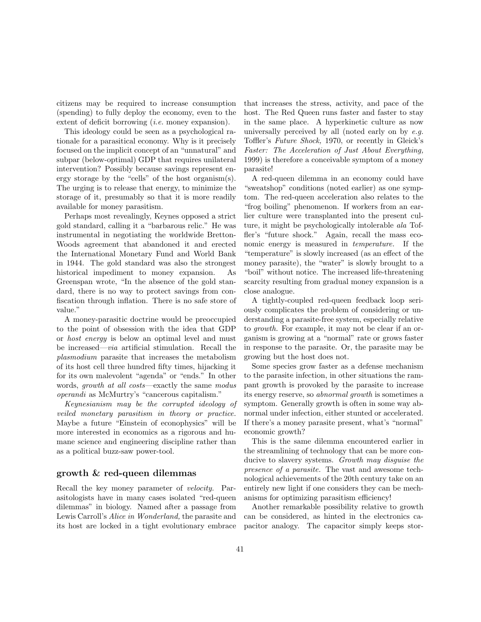citizens may be required to increase consumption (spending) to fully deploy the economy, even to the extent of deficit borrowing *(i.e.* money expansion).

This ideology could be seen as a psychological rationale for a parasitical economy. Why is it precisely focused on the implicit concept of an "unnatural" and subpar (below-optimal) GDP that requires unilateral intervention? Possibly because savings represent energy storage by the "cells" of the host organism(s). The urging is to release that energy, to minimize the storage of it, presumably so that it is more readily available for money parasitism.

Perhaps most revealingly, Keynes opposed a strict gold standard, calling it a "barbarous relic." He was instrumental in negotiating the worldwide Bretton-Woods agreement that abandoned it and erected the International Monetary Fund and World Bank in 1944. The gold standard was also the strongest historical impediment to money expansion. As Greenspan wrote, "In the absence of the gold standard, there is no way to protect savings from confiscation through inflation. There is no safe store of value."

A money-parasitic doctrine would be preoccupied to the point of obsession with the idea that GDP or host energy is below an optimal level and must be increased—via artificial stimulation. Recall the plasmodium parasite that increases the metabolism of its host cell three hundred fifty times, hijacking it for its own malevolent "agenda" or "ends." In other words, growth at all costs—exactly the same modus operandi as McMurtry's "cancerous capitalism."

Keynesianism may be the corrupted ideology of veiled monetary parasitism in theory or practice. Maybe a future "Einstein of econophysics" will be more interested in economics as a rigorous and humane science and engineering discipline rather than as a political buzz-saw power-tool.

### growth & red-queen dilemmas

Recall the key money parameter of velocity. Parasitologists have in many cases isolated "red-queen dilemmas" in biology. Named after a passage from Lewis Carroll's Alice in Wonderland, the parasite and its host are locked in a tight evolutionary embrace that increases the stress, activity, and pace of the host. The Red Queen runs faster and faster to stay in the same place. A hyperkinetic culture as now universally perceived by all (noted early on by  $e.g.$ Toffler's Future Shock, 1970, or recently in Gleick's Faster: The Acceleration of Just About Everything, 1999) is therefore a conceivable symptom of a money parasite!

A red-queen dilemma in an economy could have "sweatshop" conditions (noted earlier) as one symptom. The red-queen acceleration also relates to the "frog boiling" phenomenon. If workers from an earlier culture were transplanted into the present culture, it might be psychologically intolerable ala Toffler's "future shock." Again, recall the mass economic energy is measured in temperature. If the "temperature" is slowly increased (as an effect of the money parasite), the "water" is slowly brought to a "boil" without notice. The increased life-threatening scarcity resulting from gradual money expansion is a close analogue.

A tightly-coupled red-queen feedback loop seriously complicates the problem of considering or understanding a parasite-free system, especially relative to growth. For example, it may not be clear if an organism is growing at a "normal" rate or grows faster in response to the parasite. Or, the parasite may be growing but the host does not.

Some species grow faster as a defense mechanism to the parasite infection, in other situations the rampant growth is provoked by the parasite to increase its energy reserve, so abnormal growth is sometimes a symptom. Generally growth is often in some way abnormal under infection, either stunted or accelerated. If there's a money parasite present, what's "normal" economic growth?

This is the same dilemma encountered earlier in the streamlining of technology that can be more conducive to slavery systems. Growth may disquise the presence of a parasite. The vast and awesome technological achievements of the 20th century take on an entirely new light if one considers they can be mechanisms for optimizing parasitism efficiency!

Another remarkable possibility relative to growth can be considered, as hinted in the electronics capacitor analogy. The capacitor simply keeps stor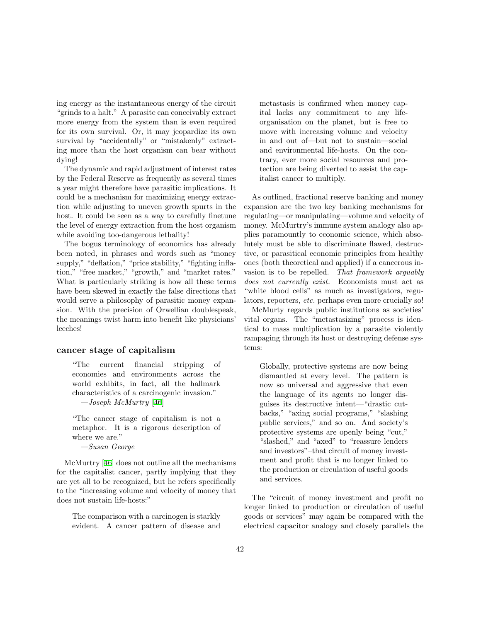ing energy as the instantaneous energy of the circuit "grinds to a halt." A parasite can conceivably extract more energy from the system than is even required for its own survival. Or, it may jeopardize its own survival by "accidentally" or "mistakenly" extracting more than the host organism can bear without dying!

The dynamic and rapid adjustment of interest rates by the Federal Reserve as frequently as several times a year might therefore have parasitic implications. It could be a mechanism for maximizing energy extraction while adjusting to uneven growth spurts in the host. It could be seen as a way to carefully finetune the level of energy extraction from the host organism while avoiding too-dangerous lethality!

The bogus terminology of economics has already been noted, in phrases and words such as "money supply," "deflation," "price stability," "fighting inflation," "free market," "growth," and "market rates." What is particularly striking is how all these terms have been skewed in exactly the false directions that would serve a philosophy of parasitic money expansion. With the precision of Orwellian doublespeak, the meanings twist harm into benefit like physicians' leeches!

#### cancer stage of capitalism

"The current financial stripping of economies and environments across the world exhibits, in fact, all the hallmark characteristics of a carcinogenic invasion."  $-Joseph$  McMurtry [\[46](#page-60-13)]

"The cancer stage of capitalism is not a metaphor. It is a rigorous description of where we are."

—Susan George

McMurtry[[46](#page-60-13)] does not outline all the mechanisms for the capitalist cancer, partly implying that they are yet all to be recognized, but he refers specifically to the "increasing volume and velocity of money that does not sustain life-hosts:"

The comparison with a carcinogen is starkly evident. A cancer pattern of disease and metastasis is confirmed when money capital lacks any commitment to any lifeorganisation on the planet, but is free to move with increasing volume and velocity in and out of—but not to sustain—social and environmental life-hosts. On the contrary, ever more social resources and protection are being diverted to assist the capitalist cancer to multiply.

As outlined, fractional reserve banking and money expansion are the two key banking mechanisms for regulating—or manipulating—volume and velocity of money. McMurtry's immune system analogy also applies paramountly to economic science, which absolutely must be able to discriminate flawed, destructive, or parasitical economic principles from healthy ones (both theoretical and applied) if a cancerous invasion is to be repelled. That framework arguably does not currently exist. Economists must act as "white blood cells" as much as investigators, regulators, reporters, etc. perhaps even more crucially so!

McMurty regards public institutions as societies' vital organs. The "metastasizing" process is identical to mass multiplication by a parasite violently rampaging through its host or destroying defense systems:

Globally, protective systems are now being dismantled at every level. The pattern is now so universal and aggressive that even the language of its agents no longer disguises its destructive intent—"drastic cutbacks," "axing social programs," "slashing public services," and so on. And society's protective systems are openly being "cut," "slashed," and "axed" to "reassure lenders and investors"–that circuit of money investment and profit that is no longer linked to the production or circulation of useful goods and services.

The "circuit of money investment and profit no longer linked to production or circulation of useful goods or services" may again be compared with the electrical capacitor analogy and closely parallels the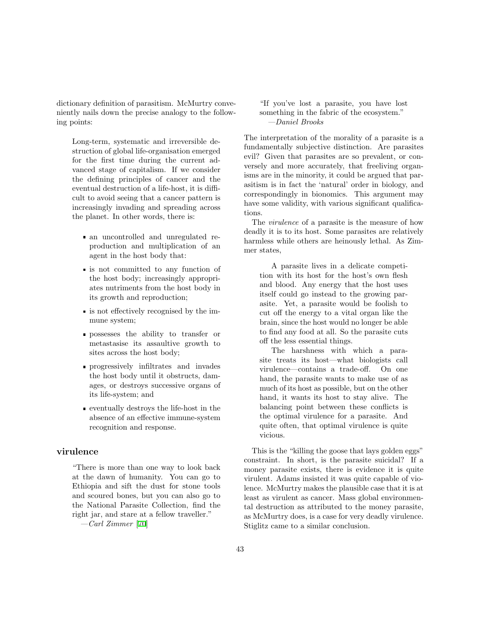dictionary definition of parasitism. McMurtry conveniently nails down the precise analogy to the following points:

Long-term, systematic and irreversible destruction of global life-organisation emerged for the first time during the current advanced stage of capitalism. If we consider the defining principles of cancer and the eventual destruction of a life-host, it is difficult to avoid seeing that a cancer pattern is increasingly invading and spreading across the planet. In other words, there is:

- an uncontrolled and unregulated reproduction and multiplication of an agent in the host body that:
- is not committed to any function of the host body; increasingly appropriates nutriments from the host body in its growth and reproduction;
- is not effectively recognised by the immune system;
- possesses the ability to transfer or metastasise its assaultive growth to sites across the host body;
- progressively infiltrates and invades the host body until it obstructs, damages, or destroys successive organs of its life-system; and
- eventually destroys the life-host in the absence of an effective immune-system recognition and response.

### virulence

"There is more than one way to look back at the dawn of humanity. You can go to Ethiopia and sift the dust for stone tools and scoured bones, but you can also go to the National Parasite Collection, find the right jar, and stare at a fellow traveller."

 $-Carl Zimmer$  [\[70\]](#page-61-4)

"If you've lost a parasite, you have lost something in the fabric of the ecosystem." —Daniel Brooks

The interpretation of the morality of a parasite is a fundamentally subjective distinction. Are parasites evil? Given that parasites are so prevalent, or conversely and more accurately, that freeliving organisms are in the minority, it could be argued that parasitism is in fact the 'natural' order in biology, and correspondingly in bionomics. This argument may have some validity, with various significant qualifications.

The virulence of a parasite is the measure of how deadly it is to its host. Some parasites are relatively harmless while others are heinously lethal. As Zimmer states,

A parasite lives in a delicate competition with its host for the host's own flesh and blood. Any energy that the host uses itself could go instead to the growing parasite. Yet, a parasite would be foolish to cut off the energy to a vital organ like the brain, since the host would no longer be able to find any food at all. So the parasite cuts off the less essential things.

The harshness with which a parasite treats its host—what biologists call virulence—contains a trade-off. On one hand, the parasite wants to make use of as much of its host as possible, but on the other hand, it wants its host to stay alive. The balancing point between these conflicts is the optimal virulence for a parasite. And quite often, that optimal virulence is quite vicious.

This is the "killing the goose that lays golden eggs" constraint. In short, is the parasite suicidal? If a money parasite exists, there is evidence it is quite virulent. Adams insisted it was quite capable of violence. McMurtry makes the plausible case that it is at least as virulent as cancer. Mass global environmental destruction as attributed to the money parasite, as McMurtry does, is a case for very deadly virulence. Stiglitz came to a similar conclusion.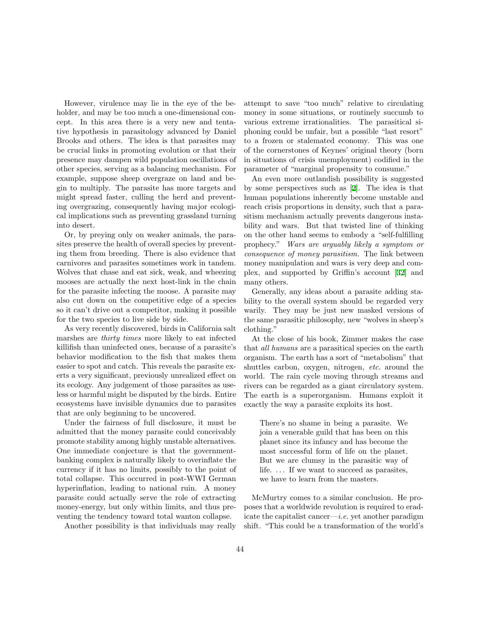However, virulence may lie in the eye of the beholder, and may be too much a one-dimensional concept. In this area there is a very new and tentative hypothesis in parasitology advanced by Daniel Brooks and others. The idea is that parasites may be crucial links in promoting evolution or that their presence may dampen wild population oscillations of other species, serving as a balancing mechanism. For example, suppose sheep overgraze on land and begin to multiply. The parasite has more targets and might spread faster, culling the herd and preventing overgrazing, consequently having major ecological implications such as preventing grassland turning into desert.

Or, by preying only on weaker animals, the parasites preserve the health of overall species by preventing them from breeding. There is also evidence that carnivores and parasites sometimes work in tandem. Wolves that chase and eat sick, weak, and wheezing mooses are actually the next host-link in the chain for the parasite infecting the moose. A parasite may also cut down on the competitive edge of a species so it can't drive out a competitor, making it possible for the two species to live side by side.

As very recently discovered, birds in California salt marshes are thirty times more likely to eat infected killifish than uninfected ones, because of a parasite's behavior modification to the fish that makes them easier to spot and catch. This reveals the parasite exerts a very significant, previously unrealized effect on its ecology. Any judgement of those parasites as useless or harmful might be disputed by the birds. Entire ecosystems have invisible dynamics due to parasites that are only beginning to be uncovered.

Under the fairness of full disclosure, it must be admitted that the money parasite could conceivably promote stability among highly unstable alternatives. One immediate conjecture is that the governmentbanking complex is naturally likely to overinflate the currency if it has no limits, possibly to the point of total collapse. This occurred in post-WWI German hyperinflation, leading to national ruin. A money parasite could actually serve the role of extracting money-energy, but only within limits, and thus preventing the tendency toward total wanton collapse.

Another possibility is that individuals may really

attempt to save "too much" relative to circulating money in some situations, or routinely succumb to various extreme irrationalities. The parasitical siphoning could be unfair, but a possible "last resort" to a frozen or stalemated economy. This was one of the cornerstones of Keynes' original theory (born in situations of crisis unemployment) codified in the parameter of "marginal propensity to consume."

An even more outlandish possibility is suggested by some perspectives such as [\[2](#page-58-3)]. The idea is that human populations inherently become unstable and reach crisis proportions in density, such that a parasitism mechanism actually prevents dangerous instability and wars. But that twisted line of thinking on the other hand seems to embody a "self-fulfilling prophecy." Wars are arguably likely a symptom or consequence of money parasitism. The link between money manipulation and wars is very deep and complex, and supported by Griffin's account [\[32](#page-60-1)] and many others.

Generally, any ideas about a parasite adding stability to the overall system should be regarded very warily. They may be just new masked versions of the same parasitic philosophy, new "wolves in sheep's clothing."

At the close of his book, Zimmer makes the case that all humans are a parasitical species on the earth organism. The earth has a sort of "metabolism" that shuttles carbon, oxygen, nitrogen, etc. around the world. The rain cycle moving through streams and rivers can be regarded as a giant circulatory system. The earth is a superorganism. Humans exploit it exactly the way a parasite exploits its host.

There's no shame in being a parasite. We join a venerable guild that has been on this planet since its infancy and has become the most successful form of life on the planet. But we are clumsy in the parasitic way of life. ... If we want to succeed as parasites, we have to learn from the masters.

McMurtry comes to a similar conclusion. He proposes that a worldwide revolution is required to eradicate the capitalist cancer—i.e. yet another paradigm shift. "This could be a transformation of the world's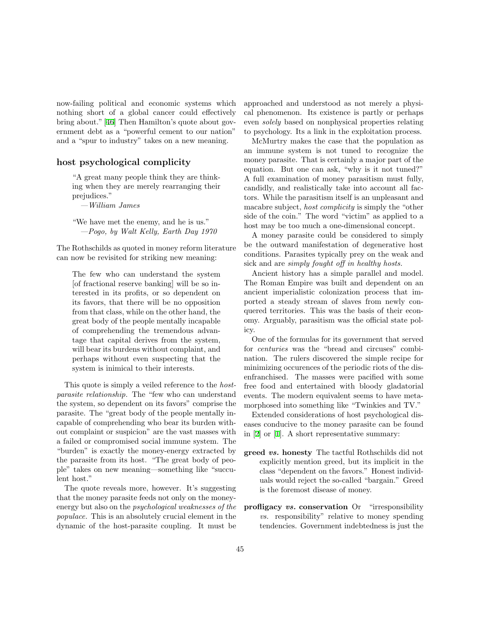now-failing political and economic systems which nothing short of a global cancer could effectively bring about." [\[46](#page-60-13)] Then Hamilton's quote about government debt as a "powerful cement to our nation" and a "spur to industry" takes on a new meaning.

### host psychological complicity

"A great many people think they are thinking when they are merely rearranging their prejudices."

—William James

"We have met the enemy, and he is us." —Pogo, by Walt Kelly, Earth Day 1970

The Rothschilds as quoted in money reform literature can now be revisited for striking new meaning:

The few who can understand the system [of fractional reserve banking] will be so interested in its profits, or so dependent on its favors, that there will be no opposition from that class, while on the other hand, the great body of the people mentally incapable of comprehending the tremendous advantage that capital derives from the system, will bear its burdens without complaint, and perhaps without even suspecting that the system is inimical to their interests.

This quote is simply a veiled reference to the *host*parasite relationship. The "few who can understand the system, so dependent on its favors" comprise the parasite. The "great body of the people mentally incapable of comprehending who bear its burden without complaint or suspicion" are the vast masses with a failed or compromised social immune system. The "burden" is exactly the money-energy extracted by the parasite from its host. "The great body of people" takes on new meaning—something like "succulent host."

The quote reveals more, however. It's suggesting that the money parasite feeds not only on the moneyenergy but also on the psychological weaknesses of the populace. This is an absolutely crucial element in the dynamic of the host-parasite coupling. It must be

approached and understood as not merely a physical phenomenon. Its existence is partly or perhaps even solely based on nonphysical properties relating to psychology. Its a link in the exploitation process.

McMurtry makes the case that the population as an immune system is not tuned to recognize the money parasite. That is certainly a major part of the equation. But one can ask, "why is it not tuned?" A full examination of money parasitism must fully, candidly, and realistically take into account all factors. While the parasitism itself is an unpleasant and macabre subject, host complicity is simply the "other side of the coin." The word "victim" as applied to a host may be too much a one-dimensional concept.

A money parasite could be considered to simply be the outward manifestation of degenerative host conditions. Parasites typically prey on the weak and sick and are *simply fought off in healthy hosts*.

Ancient history has a simple parallel and model. The Roman Empire was built and dependent on an ancient imperialistic colonization process that imported a steady stream of slaves from newly conquered territories. This was the basis of their economy. Arguably, parasitism was the official state policy.

One of the formulas for its government that served for centuries was the "bread and circuses" combination. The rulers discovered the simple recipe for minimizing occurences of the periodic riots of the disenfranchised. The masses were pacified with some free food and entertained with bloody gladatorial events. The modern equivalent seems to have metamorphosed into something like "Twinkies and TV."

Extended considerations of host psychological diseases conducive to the money parasite can be found in [\[2\]](#page-58-3) or [\[1](#page-58-4)]. A short representative summary:

- greed vs. honesty The tactful Rothschilds did not explicitly mention greed, but its implicit in the class "dependent on the favors." Honest individuals would reject the so-called "bargain." Greed is the foremost disease of money.
- profligacy vs. conservation Or "irresponsibility vs. responsibility" relative to money spending tendencies. Government indebtedness is just the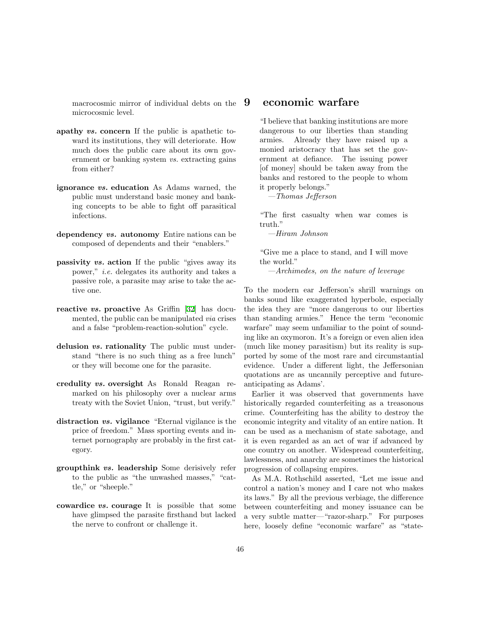macrocosmic mirror of individual debts on the microcosmic level.

- apathy vs. concern If the public is apathetic toward its institutions, they will deteriorate. How much does the public care about its own government or banking system vs. extracting gains from either?
- ignorance vs. education As Adams warned, the public must understand basic money and banking concepts to be able to fight off parasitical infections.
- dependency vs. autonomy Entire nations can be composed of dependents and their "enablers."
- passivity vs. action If the public "gives away its power," i.e. delegates its authority and takes a passive role, a parasite may arise to take the active one.
- reactivevs. proactive As Griffin [[32\]](#page-60-1) has documented, the public can be manipulated via crises and a false "problem-reaction-solution" cycle.
- delusion vs. rationality The public must understand "there is no such thing as a free lunch" or they will become one for the parasite.
- credulity vs. oversight As Ronald Reagan remarked on his philosophy over a nuclear arms treaty with the Soviet Union, "trust, but verify."
- distraction vs. vigilance "Eternal vigilance is the price of freedom." Mass sporting events and internet pornography are probably in the first category.
- groupthink vs. leadership Some derisively refer to the public as "the unwashed masses," "cattle," or "sheeple."
- cowardice vs. courage It is possible that some have glimpsed the parasite firsthand but lacked the nerve to confront or challenge it.

### 9 economic warfare

"I believe that banking institutions are more dangerous to our liberties than standing armies. Already they have raised up a monied aristocracy that has set the government at defiance. The issuing power [of money] should be taken away from the banks and restored to the people to whom it properly belongs."

—Thomas Jefferson

"The first casualty when war comes is truth."

—Hiram Johnson

"Give me a place to stand, and I will move the world."

—Archimedes, on the nature of leverage

To the modern ear Jefferson's shrill warnings on banks sound like exaggerated hyperbole, especially the idea they are "more dangerous to our liberties than standing armies." Hence the term "economic warfare" may seem unfamiliar to the point of sounding like an oxymoron. It's a foreign or even alien idea (much like money parasitism) but its reality is supported by some of the most rare and circumstantial evidence. Under a different light, the Jeffersonian quotations are as uncannily perceptive and futureanticipating as Adams'.

Earlier it was observed that governments have historically regarded counterfeiting as a treasonous crime. Counterfeiting has the ability to destroy the economic integrity and vitality of an entire nation. It can be used as a mechanism of state sabotage, and it is even regarded as an act of war if advanced by one country on another. Widespread counterfeiting, lawlessness, and anarchy are sometimes the historical progression of collapsing empires.

As M.A. Rothschild asserted, "Let me issue and control a nation's money and I care not who makes its laws." By all the previous verbiage, the difference between counterfeiting and money issuance can be a very subtle matter—"razor-sharp." For purposes here, loosely define "economic warfare" as "state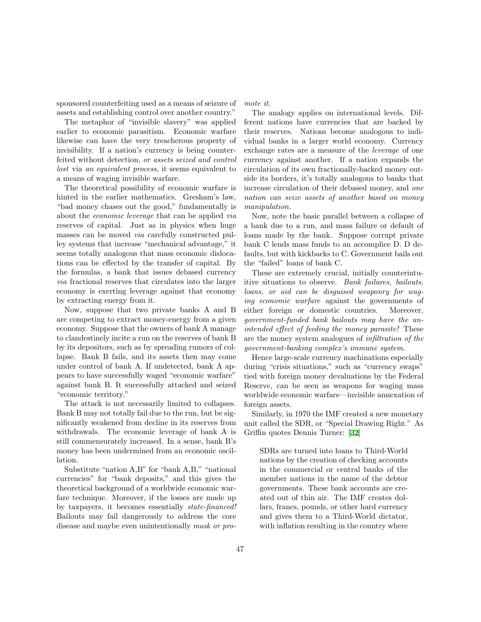sponsored counterfeiting used as a means of seizure of assets and establishing control over another country."

The metaphor of "invisible slavery" was applied earlier to economic parasitism. Economic warfare likewise can have the very treacherous property of invisibility. If a nation's currency is being counterfeited without detection, or assets seized and control lost via an equivalent process, it seems equivalent to a means of waging invisible warfare.

The theoretical possibility of economic warfare is hinted in the earlier mathematics. Gresham's law, "bad money chases out the good," fundamentally is about the economic leverage that can be applied via reserves of capital. Just as in physics when huge masses can be moved via carefully constructed pulley systems that increase "mechanical advantage," it seems totally analogous that mass economic dislocations can be effected by the transfer of capital. By the formulas, a bank that issues debased currency via fractional reserves that circulates into the larger economy is exerting leverage against that economy by extracting energy from it.

Now, suppose that two private banks A and B are competing to extract money-energy from a given economy. Suppose that the owners of bank A manage to clandestinely incite a run on the reserves of bank B by its depositors, such as by spreading rumors of collapse. Bank B fails, and its assets then may come under control of bank A. If undetected, bank A appears to have successfully waged "economic warfare" against bank B. It successfully attacked and seized "economic territory."

The attack is not necessarily limited to collapses. Bank B may not totally fail due to the run, but be significantly weakened from decline in its reserves from withdrawals. The economic leverage of bank A is still commensurately increased. In a sense, bank B's money has been undermined from an economic oscillation.

Substitute "nation A,B" for "bank A,B," "national currencies" for "bank deposits," and this gives the theoretical background of a worldwide economic warfare technique. Moreover, if the losses are made up by taxpayers, it becomes essentially state-financed! Bailouts may fail dangerously to address the core disease and maybe even unintentionally mask or promote it.

The analogy applies on international levels. Different nations have currencies that are backed by their reserves. Nations become analogous to individual banks in a larger world economy. Currency exchange rates are a measure of the leverage of one currency against another. If a nation expands the circulation of its own fractionally-backed money outside its borders, it's totally analogous to banks that increase circulation of their debased money, and one nation can seize assets of another based on money manipulation.

Now, note the basic parallel between a collapse of a bank due to a run, and mass failure or default of loans made by the bank. Suppose corrupt private bank C lends mass funds to an accomplice D. D defaults, but with kickbacks to C. Government bails out the "failed" loans of bank C.

These are extremely crucial, initially counterintuitive situations to observe. Bank failures, bailouts, loans, or aid can be disguised weaponry for waging economic warfare against the governments of either foreign or domestic countries. Moreover, government-funded bank bailouts may have the unintended effect of feeding the money parasite! These are the money system analogues of infiltration of the government-banking complex's immune system.

Hence large-scale currency machinations especially during "crisis situations," such as "currency swaps" tied with foreign money devaluations by the Federal Reserve, can be seen as weapons for waging mass worldwide economic warfare—invisible annexation of foreign assets.

Similarly, in 1970 the IMF created a new monetary unit called the SDR, or "Special Drawing Right." As Griffin quotes Dennis Turner: [\[32](#page-60-1)]

SDRs are turned into loans to Third-World nations by the creation of checking accounts in the commercial or central banks of the member nations in the name of the debtor governments. These bank accounts are created out of thin air. The IMF creates dollars, francs, pounds, or other hard currency and gives them to a Third-World dictator, with inflation resulting in the country where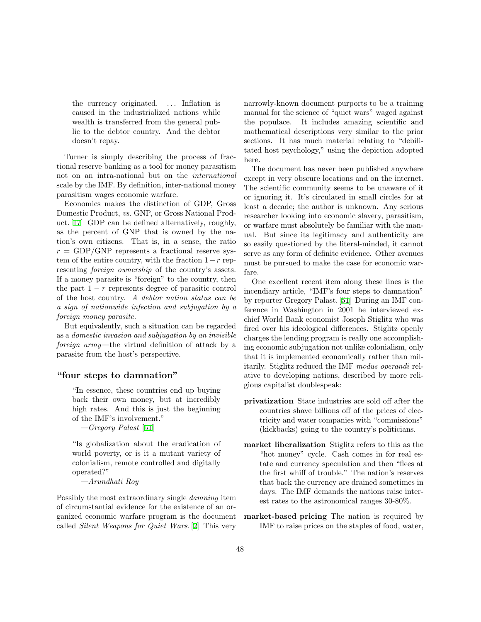the currency originated. ... Inflation is caused in the industrialized nations while wealth is transferred from the general public to the debtor country. And the debtor doesn't repay.

Turner is simply describing the process of fractional reserve banking as a tool for money parasitism not on an intra-national but on the international scale by the IMF. By definition, inter-national money parasitism wages economic warfare.

Economics makes the distinction of GDP, Gross Domestic Product, vs. GNP, or Gross National Product. [\[17\]](#page-59-6) GDP can be defined alternatively, roughly, as the percent of GNP that is owned by the nation's own citizens. That is, in a sense, the ratio  $r = GDP/GNP$  represents a fractional reserve system of the entire country, with the fraction  $1-r$  representing foreign ownership of the country's assets. If a money parasite is "foreign" to the country, then the part  $1 - r$  represents degree of parasitic control of the host country. A debtor nation status can be a sign of nationwide infection and subjugation by a foreign money parasite.

But equivalently, such a situation can be regarded as a domestic invasion and subjugation by an invisible foreign army—the virtual definition of attack by a parasite from the host's perspective.

### "four steps to damnation"

"In essence, these countries end up buying back their own money, but at incredibly high rates. And this is just the beginning of the IMF's involvement."

—Gregory Palast [[51\]](#page-61-8)

"Is globalization about the eradication of world poverty, or is it a mutant variety of colonialism, remote controlled and digitally operated?"

—Arundhati Roy

Possibly the most extraordinary single damning item of circumstantial evidence for the existence of an organized economic warfare program is the document called Silent Weapons for Quiet Wars. [\[2](#page-58-3)] This very narrowly-known document purports to be a training manual for the science of "quiet wars" waged against the populace. It includes amazing scientific and mathematical descriptions very similar to the prior sections. It has much material relating to "debilitated host psychology," using the depiction adopted here.

The document has never been published anywhere except in very obscure locations and on the internet. The scientific community seems to be unaware of it or ignoring it. It's circulated in small circles for at least a decade; the author is unknown. Any serious researcher looking into economic slavery, parasitism, or warfare must absolutely be familiar with the manual. But since its legitimacy and authenticity are so easily questioned by the literal-minded, it cannot serve as any form of definite evidence. Other avenues must be pursued to make the case for economic warfare.

One excellent recent item along these lines is the incendiary article, "IMF's four steps to damnation" by reporter Gregory Palast.[[51\]](#page-61-8) During an IMF conference in Washington in 2001 he interviewed exchief World Bank economist Joseph Stiglitz who was fired over his ideological differences. Stiglitz openly charges the lending program is really one accomplishing economic subjugation not unlike colonialism, only that it is implemented economically rather than militarily. Stiglitz reduced the IMF modus operandi relative to developing nations, described by more religious capitalist doublespeak:

- privatization State industries are sold off after the countries shave billions off of the prices of electricity and water companies with "commissions" (kickbacks) going to the country's politicians.
- market liberalization Stiglitz refers to this as the "hot money" cycle. Cash comes in for real estate and currency speculation and then "flees at the first whiff of trouble." The nation's reserves that back the currency are drained sometimes in days. The IMF demands the nations raise interest rates to the astronomical ranges 30-80%.
- market-based pricing The nation is required by IMF to raise prices on the staples of food, water,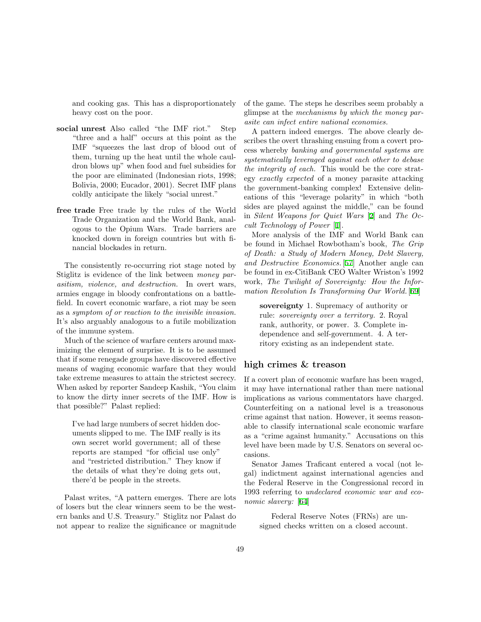and cooking gas. This has a disproportionately heavy cost on the poor.

- social unrest Also called "the IMF riot." Step "three and a half" occurs at this point as the IMF "squeezes the last drop of blood out of them, turning up the heat until the whole cauldron blows up" when food and fuel subsidies for the poor are eliminated (Indonesian riots, 1998; Bolivia, 2000; Eucador, 2001). Secret IMF plans coldly anticipate the likely "social unrest."
- free trade Free trade by the rules of the World Trade Organization and the World Bank, analogous to the Opium Wars. Trade barriers are knocked down in foreign countries but with financial blockades in return.

The consistently re-occurring riot stage noted by Stiglitz is evidence of the link between money parasitism, violence, and destruction. In overt wars, armies engage in bloody confrontations on a battlefield. In covert economic warfare, a riot may be seen as a symptom of or reaction to the invisible invasion. It's also arguably analogous to a futile mobilization of the immune system.

Much of the science of warfare centers around maximizing the element of surprise. It is to be assumed that if some renegade groups have discovered effective means of waging economic warfare that they would take extreme measures to attain the strictest secrecy. When asked by reporter Sandeep Kashik, "You claim to know the dirty inner secrets of the IMF. How is that possible?" Palast replied:

I've had large numbers of secret hidden documents slipped to me. The IMF really is its own secret world government; all of these reports are stamped "for official use only" and "restricted distribution." They know if the details of what they're doing gets out, there'd be people in the streets.

Palast writes, "A pattern emerges. There are lots of losers but the clear winners seem to be the western banks and U.S. Treasury." Stiglitz nor Palast do not appear to realize the significance or magnitude of the game. The steps he describes seem probably a glimpse at the mechanisms by which the money parasite can infect entire national economies.

A pattern indeed emerges. The above clearly describes the overt thrashing ensuing from a covert process whereby banking and governmental systems are systematically leveraged against each other to debase the integrity of each. This would be the core strategy exactly expected of a money parasite attacking the government-banking complex! Extensive delineations of this "leverage polarity" in which "both sides are played against the middle," can be found in Silent Weapons for Quiet Wars [\[2](#page-58-3)] and The Occult Technology of Power [\[1\]](#page-58-4).

More analysis of the IMF and World Bank can be found in Michael Rowbotham's book, The Grip of Death: a Study of Modern Money, Debt Slavery, and Destructive Economics. [\[57](#page-61-12)] Another angle can be found in ex-CitiBank CEO Walter Wriston's 1992 work, The Twilight of Sovereignty: How the Information Revolution Is Transforming Our World. [[69\]](#page-61-13)

sovereignty 1. Supremacy of authority or rule: sovereignty over a territory. 2. Royal rank, authority, or power. 3. Complete independence and self-government. 4. A territory existing as an independent state.

### high crimes & treason

If a covert plan of economic warfare has been waged, it may have international rather than mere national implications as various commentators have charged. Counterfeiting on a national level is a treasonous crime against that nation. However, it seems reasonable to classify international scale economic warfare as a "crime against humanity." Accusations on this level have been made by U.S. Senators on several occasions.

Senator James Traficant entered a vocal (not legal) indictment against international agencies and the Federal Reserve in the Congressional record in 1993 referring to undeclared economic war and economic slavery: [\[64](#page-61-14)]

Federal Reserve Notes (FRNs) are unsigned checks written on a closed account.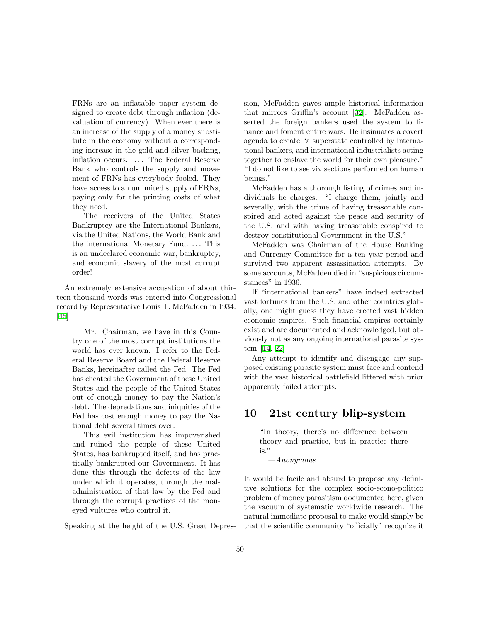FRNs are an inflatable paper system designed to create debt through inflation (devaluation of currency). When ever there is an increase of the supply of a money substitute in the economy without a corresponding increase in the gold and silver backing, inflation occurs. ... The Federal Reserve Bank who controls the supply and movement of FRNs has everybody fooled. They have access to an unlimited supply of FRNs, paying only for the printing costs of what they need.

The receivers of the United States Bankruptcy are the International Bankers, via the United Nations, the World Bank and the International Monetary Fund. . . . This is an undeclared economic war, bankruptcy, and economic slavery of the most corrupt order!

An extremely extensive accusation of about thirteen thousand words was entered into Congressional record by Representative Louis T. McFadden in 1934: [[45\]](#page-60-14)

Mr. Chairman, we have in this Country one of the most corrupt institutions the world has ever known. I refer to the Federal Reserve Board and the Federal Reserve Banks, hereinafter called the Fed. The Fed has cheated the Government of these United States and the people of the United States out of enough money to pay the Nation's debt. The depredations and iniquities of the Fed has cost enough money to pay the National debt several times over.

This evil institution has impoverished and ruined the people of these United States, has bankrupted itself, and has practically bankrupted our Government. It has done this through the defects of the law under which it operates, through the maladministration of that law by the Fed and through the corrupt practices of the moneyed vultures who control it.

Speaking at the height of the U.S. Great Depres-

sion, McFadden gaves ample historical information that mirrors Griffin's account[[32\]](#page-60-1). McFadden asserted the foreign bankers used the system to finance and foment entire wars. He insinuates a covert agenda to create "a superstate controlled by international bankers, and international industrialists acting together to enslave the world for their own pleasure." "I do not like to see vivisections performed on human beings."

McFadden has a thorough listing of crimes and individuals he charges. "I charge them, jointly and severally, with the crime of having treasonable conspired and acted against the peace and security of the U.S. and with having treasonable conspired to destroy constitutional Government in the U.S."

McFadden was Chairman of the House Banking and Currency Committee for a ten year period and survived two apparent assassination attempts. By some accounts, McFadden died in "suspicious circumstances" in 1936.

If "international bankers" have indeed extracted vast fortunes from the U.S. and other countries globally, one might guess they have erected vast hidden economic empires. Such financial empires certainly exist and are documented and acknowledged, but obviously not as any ongoing international parasite system. [\[14](#page-59-18), [22](#page-59-19)]

Any attempt to identify and disengage any supposed existing parasite system must face and contend with the vast historical battlefield littered with prior apparently failed attempts.

# 10 21st century blip-system

"In theory, there's no difference between theory and practice, but in practice there is."

 $-$ Anonymous

It would be facile and absurd to propose any definitive solutions for the complex socio-econo-politico problem of money parasitism documented here, given the vacuum of systematic worldwide research. The natural immediate proposal to make would simply be that the scientific community "officially" recognize it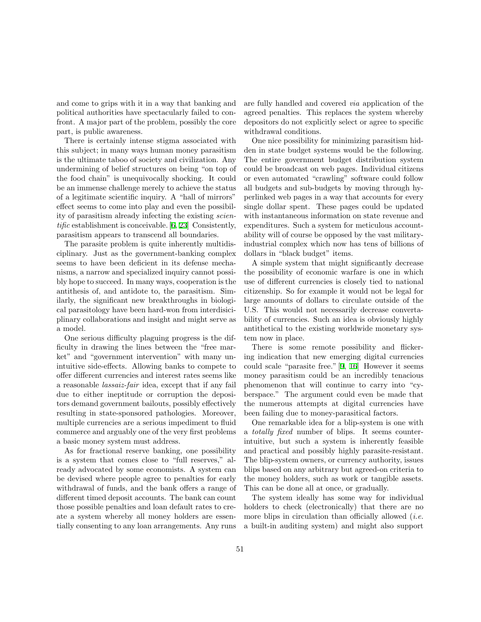and come to grips with it in a way that banking and political authorities have spectacularly failed to confront. A major part of the problem, possibly the core part, is public awareness.

There is certainly intense stigma associated with this subject; in many ways human money parasitism is the ultimate taboo of society and civilization. Any undermining of belief structures on being "on top of the food chain" is unequivocally shocking. It could be an immense challenge merely to achieve the status of a legitimate scientific inquiry. A "hall of mirrors" effect seems to come into play and even the possibility of parasitism already infecting the existing scientific establishment is conceivable. [\[6](#page-58-2), [23](#page-59-20)] Consistently, parasitism appears to transcend all boundaries.

The parasite problem is quite inherently multidisciplinary. Just as the government-banking complex seems to have been deficient in its defense mechanisms, a narrow and specialized inquiry cannot possibly hope to succeed. In many ways, cooperation is the antithesis of, and antidote to, the parasitism. Similarly, the significant new breakthroughs in biological parasitology have been hard-won from interdisiciplinary collaborations and insight and might serve as a model.

One serious difficulty plaguing progress is the difficulty in drawing the lines between the "free market" and "government intervention" with many unintuitive side-effects. Allowing banks to compete to offer different currencies and interest rates seems like a reasonable lassaiz-fair idea, except that if any fail due to either ineptitude or corruption the depositors demand government bailouts, possibly effectively resulting in state-sponsored pathologies. Moreover, multiple currencies are a serious impediment to fluid commerce and arguably one of the very first problems a basic money system must address.

As for fractional reserve banking, one possibility is a system that comes close to "full reserves," already advocated by some economists. A system can be devised where people agree to penalties for early withdrawal of funds, and the bank offers a range of different timed deposit accounts. The bank can count those possible penalties and loan default rates to create a system whereby all money holders are essentially consenting to any loan arrangements. Any runs

are fully handled and covered via application of the agreed penalties. This replaces the system whereby depositors do not explicitly select or agree to specific withdrawal conditions.

One nice possibility for minimizing parasitism hidden in state budget systems would be the following. The entire government budget distribution system could be broadcast on web pages. Individual citizens or even automated "crawling" software could follow all budgets and sub-budgets by moving through hyperlinked web pages in a way that accounts for every single dollar spent. These pages could be updated with instantaneous information on state revenue and expenditures. Such a system for meticulous accountability will of course be opposed by the vast militaryindustrial complex which now has tens of billions of dollars in "black budget" items.

A simple system that might significantly decrease the possibility of economic warfare is one in which use of different currencies is closely tied to national citizenship. So for example it would not be legal for large amounts of dollars to circulate outside of the U.S. This would not necessarily decrease convertability of currencies. Such an idea is obviously highly antithetical to the existing worldwide monetary system now in place.

There is some remote possibility and flickering indication that new emerging digital currencies could scale "parasite free." [\[9](#page-59-21), [16\]](#page-59-12) However it seems money parasitism could be an incredibly tenacious phenomenon that will continue to carry into "cyberspace." The argument could even be made that the numerous attempts at digital currencies have been failing due to money-parasitical factors.

One remarkable idea for a blip-system is one with a totally fixed number of blips. It seems counterintuitive, but such a system is inherently feasible and practical and possibly highly parasite-resistant. The blip-system owners, or currency authority, issues blips based on any arbitrary but agreed-on criteria to the money holders, such as work or tangible assets. This can be done all at once, or gradually.

The system ideally has some way for individual holders to check (electronically) that there are no more blips in circulation than officially allowed (*i.e.* a built-in auditing system) and might also support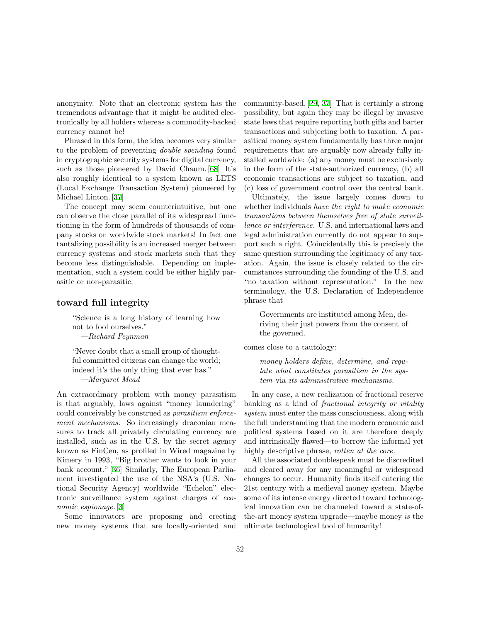anonymity. Note that an electronic system has the tremendous advantage that it might be audited electronically by all holders whereas a commodity-backed currency cannot be!

Phrased in this form, the idea becomes very similar to the problem of preventing double spending found in cryptographic security systems for digital currency, such as those pioneered by David Chaum. [\[68](#page-61-15)] It's also roughly identical to a system known as LETS (Local Exchange Transaction System) pioneered by Michael Linton.[[37\]](#page-60-15)

The concept may seem counterintuitive, but one can observe the close parallel of its widespread functioning in the form of hundreds of thousands of company stocks on worldwide stock markets! In fact one tantalizing possibility is an increased merger between currency systems and stock markets such that they become less distinguishable. Depending on implementation, such a system could be either highly parasitic or non-parasitic.

### toward full integrity

"Science is a long history of learning how not to fool ourselves." —Richard Feynman

"Never doubt that a small group of thoughtful committed citizens can change the world; indeed it's the only thing that ever has." —Margaret Mead

An extraordinary problem with money parasitism is that arguably, laws against "money laundering" could conceivably be construed as parasitism enforcement mechanisms. So increasingly draconian measures to track all privately circulating currency are installed, such as in the U.S. by the secret agency known as FinCen, as profiled in Wired magazine by Kimery in 1993, "Big brother wants to look in your bank account."[[36\]](#page-60-16) Similarly, The European Parliament investigated the use of the NSA's (U.S. National Security Agency) worldwide "Echelon" electronic surveillance system against charges of economic espionage. [\[3](#page-58-5)]

Some innovators are proposing and erecting new money systems that are locally-oriented and community-based.[[29,](#page-60-17) [37\]](#page-60-15) That is certainly a strong possibility, but again they may be illegal by invasive state laws that require reporting both gifts and barter transactions and subjecting both to taxation. A parasitical money system fundamentally has three major requirements that are arguably now already fully installed worldwide: (a) any money must be exclusively in the form of the state-authorized currency, (b) all economic transactions are subject to taxation, and (c) loss of government control over the central bank.

Ultimately, the issue largely comes down to whether individuals have the right to make economic transactions between themselves free of state surveillance or interference. U.S. and international laws and legal administration currently do not appear to support such a right. Coincidentally this is precisely the same question surrounding the legitimacy of any taxation. Again, the issue is closely related to the circumstances surrounding the founding of the U.S. and "no taxation without representation." In the new terminology, the U.S. Declaration of Independence phrase that

Governments are instituted among Men, deriving their just powers from the consent of the governed.

comes close to a tautology:

money holders define, determine, and regulate what constitutes parasitism in the system via its administrative mechanisms.

In any case, a new realization of fractional reserve banking as a kind of fractional integrity or vitality system must enter the mass consciousness, along with the full understanding that the modern economic and political systems based on it are therefore deeply and intrinsically flawed—to borrow the informal yet highly descriptive phrase, rotten at the core.

All the associated doublespeak must be discredited and cleared away for any meaningful or widespread changes to occur. Humanity finds itself entering the 21st century with a medieval money system. Maybe some of its intense energy directed toward technological innovation can be channeled toward a state-ofthe-art money system upgrade—maybe money is the ultimate technological tool of humanity!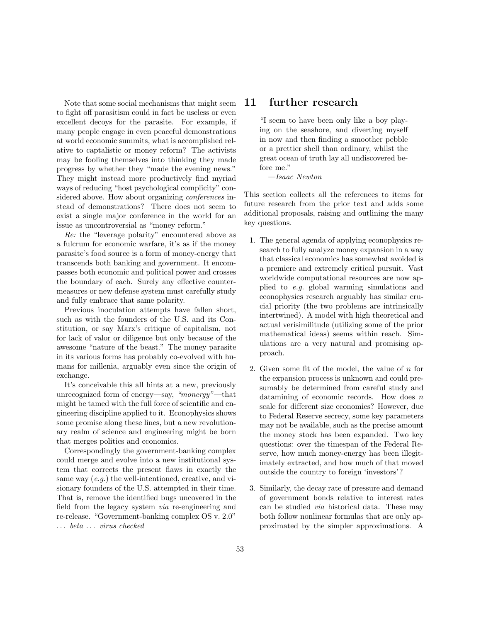Note that some social mechanisms that might seem to fight off parasitism could in fact be useless or even excellent decoys for the parasite. For example, if many people engage in even peaceful demonstrations at world economic summits, what is accomplished relative to captalistic or money reform? The activists may be fooling themselves into thinking they made progress by whether they "made the evening news." They might instead more productively find myriad ways of reducing "host psychological complicity" considered above. How about organizing conferences instead of demonstrations? There does not seem to exist a single major conference in the world for an issue as uncontroversial as "money reform."

Re: the "leverage polarity" encountered above as a fulcrum for economic warfare, it's as if the money parasite's food source is a form of money-energy that transcends both banking and government. It encompasses both economic and political power and crosses the boundary of each. Surely any effective countermeasures or new defense system must carefully study and fully embrace that same polarity.

Previous inoculation attempts have fallen short, such as with the founders of the U.S. and its Constitution, or say Marx's critique of capitalism, not for lack of valor or diligence but only because of the awesome "nature of the beast." The money parasite in its various forms has probably co-evolved with humans for millenia, arguably even since the origin of exchange.

It's conceivable this all hints at a new, previously unrecognized form of energy—say, "monergy"—that might be tamed with the full force of scientific and engineering discipline applied to it. Econophysics shows some promise along these lines, but a new revolutionary realm of science and engineering might be born that merges politics and economics.

Correspondingly the government-banking complex could merge and evolve into a new institutional system that corrects the present flaws in exactly the same way  $(e.g.)$  the well-intentioned, creative, and visionary founders of the U.S. attempted in their time. That is, remove the identified bugs uncovered in the field from the legacy system via re-engineering and re-release. "Government-banking complex OS v. 2.0" . . . beta . . . virus checked

### 11 further research

"I seem to have been only like a boy playing on the seashore, and diverting myself in now and then finding a smoother pebble or a prettier shell than ordinary, whilst the great ocean of truth lay all undiscovered before me."

—Isaac Newton

This section collects all the references to items for future research from the prior text and adds some additional proposals, raising and outlining the many key questions.

- 1. The general agenda of applying econophysics research to fully analyze money expansion in a way that classical economics has somewhat avoided is a premiere and extremely critical pursuit. Vast worldwide computational resources are now applied to e.g. global warming simulations and econophysics research arguably has similar crucial priority (the two problems are intrinsically intertwined). A model with high theoretical and actual verisimilitude (utilizing some of the prior mathematical ideas) seems within reach. Simulations are a very natural and promising approach.
- 2. Given some fit of the model, the value of n for the expansion process is unknown and could presumably be determined from careful study and datamining of economic records. How does n scale for different size economies? However, due to Federal Reserve secrecy, some key parameters may not be available, such as the precise amount the money stock has been expanded. Two key questions: over the timespan of the Federal Reserve, how much money-energy has been illegitimately extracted, and how much of that moved outside the country to foreign 'investors'?
- 3. Similarly, the decay rate of pressure and demand of government bonds relative to interest rates can be studied via historical data. These may both follow nonlinear formulas that are only approximated by the simpler approximations. A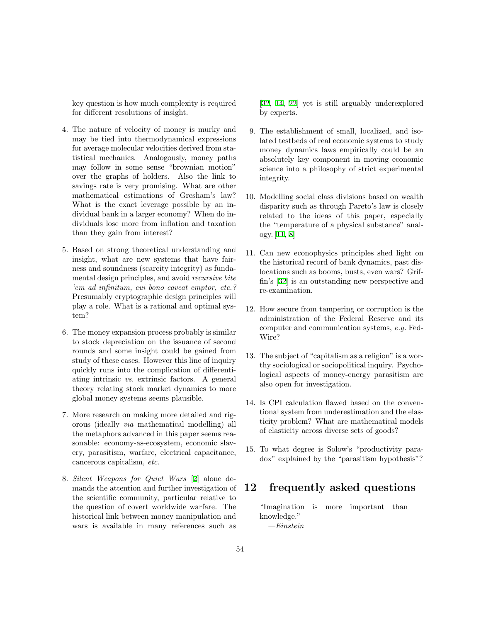key question is how much complexity is required for different resolutions of insight.

- 4. The nature of velocity of money is murky and may be tied into thermodynamical expressions for average molecular velocities derived from statistical mechanics. Analogously, money paths may follow in some sense "brownian motion" over the graphs of holders. Also the link to savings rate is very promising. What are other mathematical estimations of Gresham's law? What is the exact leverage possible by an individual bank in a larger economy? When do individuals lose more from inflation and taxation than they gain from interest?
- 5. Based on strong theoretical understanding and insight, what are new systems that have fairness and soundness (scarcity integrity) as fundamental design principles, and avoid recursive bite 'em ad infinitum, cui bono caveat emptor, etc.? Presumably cryptographic design principles will play a role. What is a rational and optimal system?
- 6. The money expansion process probably is similar to stock depreciation on the issuance of second rounds and some insight could be gained from study of these cases. However this line of inquiry quickly runs into the complication of differentiating intrinsic vs. extrinsic factors. A general theory relating stock market dynamics to more global money systems seems plausible.
- 7. More research on making more detailed and rigorous (ideally via mathematical modelling) all the metaphors advanced in this paper seems reasonable: economy-as-ecosystem, economic slavery, parasitism, warfare, electrical capacitance, cancerous capitalism, etc.
- 8. Silent Weapons for Quiet Wars [[2\]](#page-58-3) alone demands the attention and further investigation of the scientific community, particular relative to the question of covert worldwide warfare. The historical link between money manipulation and wars is available in many references such as

[\[32](#page-60-1), [14,](#page-59-18) [22\]](#page-59-19) yet is still arguably underexplored by experts.

- 9. The establishment of small, localized, and isolated testbeds of real economic systems to study money dynamics laws empirically could be an absolutely key component in moving economic science into a philosophy of strict experimental integrity.
- 10. Modelling social class divisions based on wealth disparity such as through Pareto's law is closely related to the ideas of this paper, especially the "temperature of a physical substance" analogy. [\[11](#page-59-9), [8](#page-59-10)]
- 11. Can new econophysics principles shed light on the historical record of bank dynamics, past dislocations such as booms, busts, even wars? Griffin's[[32\]](#page-60-1) is an outstanding new perspective and re-examination.
- 12. How secure from tampering or corruption is the administration of the Federal Reserve and its computer and communication systems, e.g. Fed-Wire?
- 13. The subject of "capitalism as a religion" is a worthy sociological or sociopolitical inquiry. Psychological aspects of money-energy parasitism are also open for investigation.
- 14. Is CPI calculation flawed based on the conventional system from underestimation and the elasticity problem? What are mathematical models of elasticity across diverse sets of goods?
- 15. To what degree is Solow's "productivity paradox" explained by the "parasitism hypothesis"?

# 12 frequently asked questions

"Imagination is more important than knowledge." —Einstein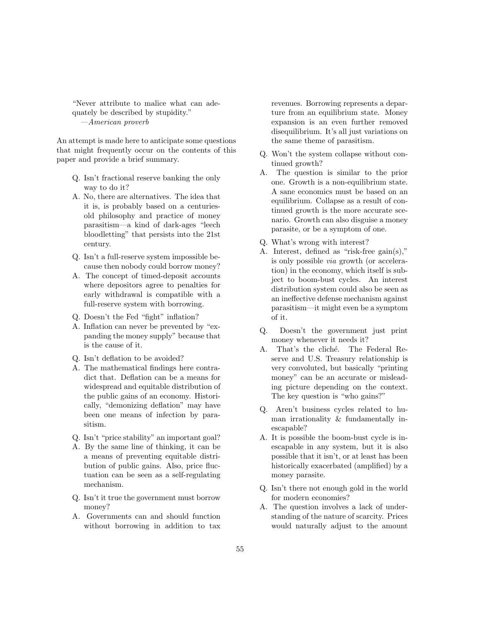"Never attribute to malice what can adequately be described by stupidity." —American proverb

An attempt is made here to anticipate some questions that might frequently occur on the contents of this paper and provide a brief summary.

- Q. Isn't fractional reserve banking the only way to do it?
- A. No, there are alternatives. The idea that it is, is probably based on a centuriesold philosophy and practice of money parasitism—a kind of dark-ages "leech bloodletting" that persists into the 21st century.
- Q. Isn't a full-reserve system impossible because then nobody could borrow money?
- A. The concept of timed-deposit accounts where depositors agree to penalties for early withdrawal is compatible with a full-reserve system with borrowing.
- Q. Doesn't the Fed "fight" inflation?
- A. Inflation can never be prevented by "expanding the money supply" because that is the cause of it.
- Q. Isn't deflation to be avoided?
- A. The mathematical findings here contradict that. Deflation can be a means for widespread and equitable distribution of the public gains of an economy. Historically, "demonizing deflation" may have been one means of infection by parasitism.
- Q. Isn't "price stability" an important goal?
- A. By the same line of thinking, it can be a means of preventing equitable distribution of public gains. Also, price fluctuation can be seen as a self-regulating mechanism.
- Q. Isn't it true the government must borrow money?
- A. Governments can and should function without borrowing in addition to tax

revenues. Borrowing represents a departure from an equilibrium state. Money expansion is an even further removed disequilibrium. It's all just variations on the same theme of parasitism.

- Q. Won't the system collapse without continued growth?
- A. The question is similar to the prior one. Growth is a non-equilibrium state. A sane economics must be based on an equilibrium. Collapse as a result of continued growth is the more accurate scenario. Growth can also disguise a money parasite, or be a symptom of one.
- Q. What's wrong with interest?
- A. Interest, defined as "risk-free gain(s)," is only possible via growth (or acceleration) in the economy, which itself is subject to boom-bust cycles. An interest distribution system could also be seen as an ineffective defense mechanism against parasitism—it might even be a symptom of it.
- Q. Doesn't the government just print money whenever it needs it?
- A. That's the cliché. The Federal Reserve and U.S. Treasury relationship is very convoluted, but basically "printing money" can be an accurate or misleading picture depending on the context. The key question is "who gains?"
- Q. Aren't business cycles related to human irrationality & fundamentally inescapable?
- A. It is possible the boom-bust cycle is inescapable in any system, but it is also possible that it isn't, or at least has been historically exacerbated (amplified) by a money parasite.
- Q. Isn't there not enough gold in the world for modern economies?
- A. The question involves a lack of understanding of the nature of scarcity. Prices would naturally adjust to the amount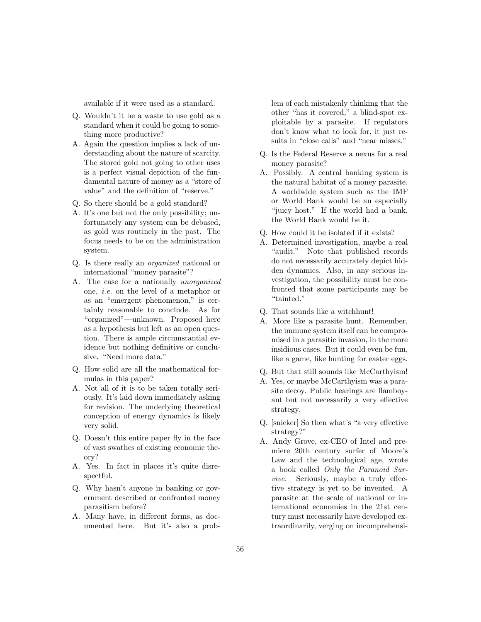available if it were used as a standard.

- Q. Wouldn't it be a waste to use gold as a standard when it could be going to something more productive?
- A. Again the question implies a lack of understanding about the nature of scarcity. The stored gold not going to other uses is a perfect visual depiction of the fundamental nature of money as a "store of value" and the definition of "reserve."
- Q. So there should be a gold standard?
- A. It's one but not the only possibility; unfortunately any system can be debased, as gold was routinely in the past. The focus needs to be on the administration system.
- Q. Is there really an organized national or international "money parasite"?
- A. The case for a nationally unorganized one, i.e. on the level of a metaphor or as an "emergent phenomenon," is certainly reasonable to conclude. As for "organized"—unknown. Proposed here as a hypothesis but left as an open question. There is ample circumstantial evidence but nothing definitive or conclusive. "Need more data."
- Q. How solid are all the mathematical formulas in this paper?
- A. Not all of it is to be taken totally seriously. It's laid down immediately asking for revision. The underlying theoretical conception of energy dynamics is likely very solid.
- Q. Doesn't this entire paper fly in the face of vast swathes of existing economic theory?
- A. Yes. In fact in places it's quite disrespectful.
- Q. Why hasn't anyone in banking or government described or confronted money parasitism before?
- A. Many have, in different forms, as documented here. But it's also a prob-

lem of each mistakenly thinking that the other "has it covered," a blind-spot exploitable by a parasite. If regulators don't know what to look for, it just results in "close calls" and "near misses."

- Q. Is the Federal Reserve a nexus for a real money parasite?
- A. Possibly. A central banking system is the natural habitat of a money parasite. A worldwide system such as the IMF or World Bank would be an especially "juicy host." If the world had a bank, the World Bank would be it.
- Q. How could it be isolated if it exists?
- A. Determined investigation, maybe a real "audit." Note that published records do not necessarily accurately depict hidden dynamics. Also, in any serious investigation, the possibility must be confronted that some participants may be "tainted."
- Q. That sounds like a witchhunt!
- A. More like a parasite hunt. Remember, the immune system itself can be compromised in a parasitic invasion, in the more insidious cases. But it could even be fun, like a game, like hunting for easter eggs.
- Q. But that still sounds like McCarthyism!
- A. Yes, or maybe McCarthyism was a parasite decoy. Public hearings are flamboyant but not necessarily a very effective strategy.
- Q. [snicker] So then what's "a very effective strategy?"
- A. Andy Grove, ex-CEO of Intel and premiere 20th century surfer of Moore's Law and the technological age, wrote a book called Only the Paranoid Survive. Seriously, maybe a truly effective strategy is yet to be invented. A parasite at the scale of national or international economies in the 21st century must necessarily have developed extraordinarily, verging on incomprehensi-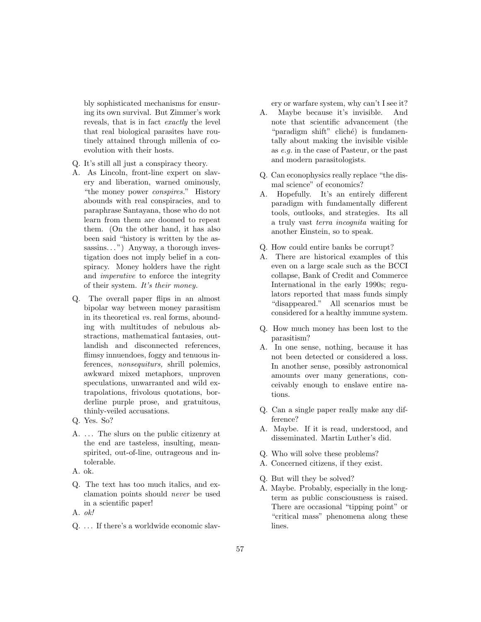bly sophisticated mechanisms for ensuring its own survival. But Zimmer's work reveals, that is in fact exactly the level that real biological parasites have routinely attained through millenia of coevolution with their hosts.

- Q. It's still all just a conspiracy theory.
- A. As Lincoln, front-line expert on slavery and liberation, warned ominously, "the money power conspires." History abounds with real conspiracies, and to paraphrase Santayana, those who do not learn from them are doomed to repeat them. (On the other hand, it has also been said "history is written by the assassins...") Anyway, a thorough investigation does not imply belief in a conspiracy. Money holders have the right and imperative to enforce the integrity of their system. It's their money.
- Q. The overall paper flips in an almost bipolar way between money parasitism in its theoretical vs. real forms, abounding with multitudes of nebulous abstractions, mathematical fantasies, outlandish and disconnected references, flimsy innuendoes, foggy and tenuous inferences, nonsequiturs, shrill polemics, awkward mixed metaphors, unproven speculations, unwarranted and wild extrapolations, frivolous quotations, borderline purple prose, and gratuitous, thinly-veiled accusations.
- Q. Yes. So?
- A. ... The slurs on the public citizenry at the end are tasteless, insulting, meanspirited, out-of-line, outrageous and intolerable.
- A. ok.
- Q. The text has too much italics, and exclamation points should never be used in a scientific paper!
- A. ok!
- Q. ... If there's a worldwide economic slav-

ery or warfare system, why can't I see it?

- A. Maybe because it's invisible. And note that scientific advancement (the "paradigm shift" cliché) is fundamentally about making the invisible visible as e.g. in the case of Pasteur, or the past and modern parasitologists.
- Q. Can econophysics really replace "the dismal science" of economics?
- A. Hopefully. It's an entirely different paradigm with fundamentally different tools, outlooks, and strategies. Its all a truly vast terra incognita waiting for another Einstein, so to speak.
- Q. How could entire banks be corrupt?
- A. There are historical examples of this even on a large scale such as the BCCI collapse, Bank of Credit and Commerce International in the early 1990s; regulators reported that mass funds simply "disappeared." All scenarios must be considered for a healthy immune system.
- Q. How much money has been lost to the parasitism?
- A. In one sense, nothing, because it has not been detected or considered a loss. In another sense, possibly astronomical amounts over many generations, conceivably enough to enslave entire nations.
- Q. Can a single paper really make any difference?
- A. Maybe. If it is read, understood, and disseminated. Martin Luther's did.
- Q. Who will solve these problems?
- A. Concerned citizens, if they exist.
- Q. But will they be solved?
- A. Maybe. Probably, especially in the longterm as public consciousness is raised. There are occasional "tipping point" or "critical mass" phenomena along these lines.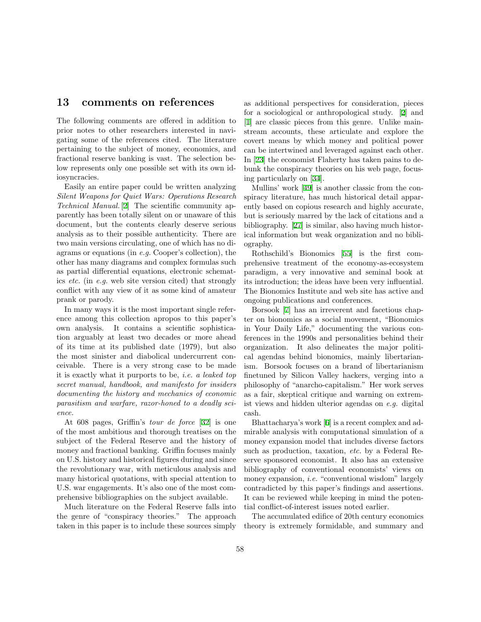### 13 comments on references

The following comments are offered in addition to prior notes to other researchers interested in navigating some of the references cited. The literature pertaining to the subject of money, economics, and fractional reserve banking is vast. The selection below represents only one possible set with its own idiosyncracies.

Easily an entire paper could be written analyzing Silent Weapons for Quiet Wars: Operations Research Technical Manual. [\[2](#page-58-3)] The scientific community apparently has been totally silent on or unaware of this document, but the contents clearly deserve serious analysis as to their possible authenticity. There are two main versions circulating, one of which has no diagrams or equations (in e.g. Cooper's collection), the other has many diagrams and complex formulas such as partial differential equations, electronic schematics etc. (in e.g. web site version cited) that strongly conflict with any view of it as some kind of amateur prank or parody.

In many ways it is the most important single reference among this collection apropos to this paper's own analysis. It contains a scientific sophistication arguably at least two decades or more ahead of its time at its published date (1979), but also the most sinister and diabolical undercurrent conceivable. There is a very strong case to be made it is exactly what it purports to be, i.e. a leaked top secret manual, handbook, and manifesto for insiders documenting the history and mechanics of economic parasitism and warfare, razor-honed to a deadly science.

At 608 pages, Griffin's tour de force [\[32](#page-60-1)] is one of the most ambitious and thorough treatises on the subject of the Federal Reserve and the history of money and fractional banking. Griffin focuses mainly on U.S. history and historical figures during and since the revolutionary war, with meticulous analysis and many historical quotations, with special attention to U.S. war engagements. It's also one of the most comprehensive bibliographies on the subject available.

Much literature on the Federal Reserve falls into the genre of "conspiracy theories." The approach taken in this paper is to include these sources simply as additional perspectives for consideration, pieces for a sociological or anthropological study. [\[2](#page-58-3)] and [\[1](#page-58-4)] are classic pieces from this genre. Unlike mainstream accounts, these articulate and explore the covert means by which money and political power can be intertwined and leveraged against each other. In [\[23](#page-59-20)] the economist Flaherty has taken pains to debunk the conspiracy theories on his web page, focusing particularly on[[34\]](#page-60-18).

Mullins' work [\[49](#page-60-9)] is another classic from the conspiracy literature, has much historical detail apparently based on copious research and highly accurate, but is seriously marred by the lack of citations and a bibliography.[[27\]](#page-59-7) is similar, also having much historical information but weak organization and no bibliography.

Rothschild's Bionomics[[55\]](#page-61-3) is the first comprehensive treatment of the economy-as-ecosystem paradigm, a very innovative and seminal book at its introduction; the ideas have been very influential. The Bionomics Institute and web site has active and ongoing publications and conferences.

Borsook[[7\]](#page-59-5) has an irreverent and facetious chapter on bionomics as a social movement, "Bionomics in Your Daily Life," documenting the various conferences in the 1990s and personalities behind their organization. It also delineates the major political agendas behind bionomics, mainly libertarianism. Borsook focuses on a brand of libertarianism finetuned by Silicon Valley hackers, verging into a philosophy of "anarcho-capitalism." Her work serves as a fair, skeptical critique and warning on extremist views and hidden ulterior agendas on e.g. digital cash.

Bhattacharya's work [\[6](#page-58-2)] is a recent complex and admirable analysis with computational simulation of a money expansion model that includes diverse factors such as production, taxation, etc. by a Federal Reserve sponsored economist. It also has an extensive bibliography of conventional economists' views on money expansion, i.e. "conventional wisdom" largely contradicted by this paper's findings and assertions. It can be reviewed while keeping in mind the potential conflict-of-interest issues noted earlier.

The accumulated edifice of 20th century economics theory is extremely formidable, and summary and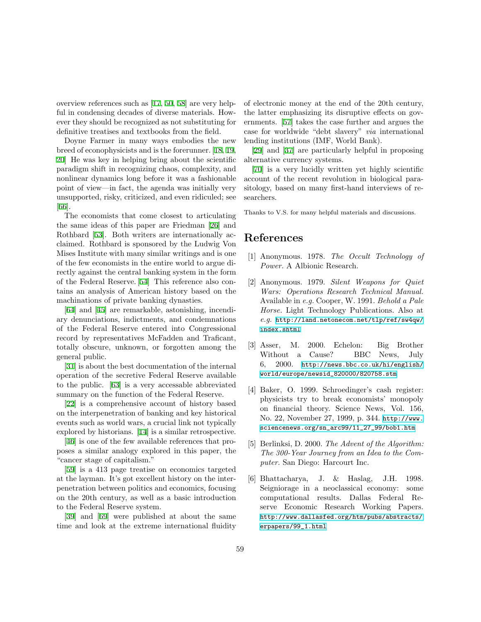overview references such as[[17](#page-59-6), [50](#page-60-2), [58\]](#page-61-16) are very helpful in condensing decades of diverse materials. However they should be recognized as not substituting for definitive treatises and textbooks from the field.

Doyne Farmer in many ways embodies the new breed of econophysicists and is the forerunner.[[18,](#page-59-1) [19,](#page-59-0) [20\]](#page-59-2) He was key in helping bring about the scientific paradigm shift in recognizing chaos, complexity, and nonlinear dynamics long before it was a fashionable point of view—in fact, the agenda was initially very unsupported, risky, criticized, and even ridiculed; see [[66\]](#page-61-2).

The economists that come closest to articulating the same ideas of this paper are Friedman[[26\]](#page-59-15) and Rothbard [\[53](#page-61-17)]. Both writers are internationally acclaimed. Rothbard is sponsored by the Ludwig Von Mises Institute with many similar writings and is one of the few economists in the entire world to argue directly against the central banking system in the form of the Federal Reserve.[[54\]](#page-61-5) This reference also contains an analysis of American history based on the machinations of private banking dynasties.

[[64\]](#page-61-14) and [\[45](#page-60-14)] are remarkable, astonishing, incendiary denunciations, indictments, and condemnations of the Federal Reserve entered into Congressional record by representatives McFadden and Traficant, totally obscure, unknown, or forgotten among the general public.

[[31\]](#page-60-8) is about the best documentation of the internal operation of the secretive Federal Reserve available to the public.[[63\]](#page-61-18) is a very accessable abbreviated summary on the function of the Federal Reserve.

[[22\]](#page-59-19) is a comprehensive account of history based on the interpenetration of banking and key historical events such as world wars, a crucial link not typically explored by historians. [\[14\]](#page-59-18) is a similar retrospective.

[[46\]](#page-60-13) is one of the few available references that proposes a similar analogy explored in this paper, the "cancer stage of capitalism."

[[59\]](#page-61-19) is a 413 page treatise on economics targeted at the layman. It's got excellent history on the interpenetration between politics and economics, focusing on the 20th century, as well as a basic introduction to the Federal Reserve system.

[[39\]](#page-60-6) and [\[69](#page-61-13)] were published at about the same time and look at the extreme international fluidity of electronic money at the end of the 20th century, the latter emphasizing its disruptive effects on governments.[[57\]](#page-61-12) takes the case further and argues the case for worldwide "debt slavery" via international lending institutions (IMF, World Bank).

[\[29](#page-60-17)] and[[37\]](#page-60-15) are particularly helpful in proposing alternative currency systems.

[\[70](#page-61-4)] is a very lucidly written yet highly scientific account of the recent revolution in biological parasitology, based on many first-hand interviews of researchers.

Thanks to V.S. for many helpful materials and discussions.

# References

- <span id="page-58-4"></span>[1] Anonymous. 1978. The Occult Technology of Power. A Albionic Research.
- <span id="page-58-3"></span>[2] Anonymous. 1979. Silent Weapons for Quiet Wars: Operations Research Technical Manual. Available in e.g. Cooper, W. 1991. Behold a Pale Horse. Light Technology Publications. Also at e.g. [http://land.netonecom.net/tlp/ref/sw4qw/](http://land.netonecom.net/tlp/ref/sw4qw/index.shtml) [index.shtml](http://land.netonecom.net/tlp/ref/sw4qw/index.shtml)
- <span id="page-58-5"></span>[3] Asser, M. 2000. Echelon: Big Brother Without a Cause? BBC News, July 6, 2000. [http://news.bbc.co.uk/hi/english/](http://news.bbc.co.uk/hi/english/world/europe/newsid_820000/820758.stm) [world/europe/newsid\\_820000/820758.stm](http://news.bbc.co.uk/hi/english/world/europe/newsid_820000/820758.stm)
- <span id="page-58-0"></span>[4] Baker, O. 1999. Schroedinger's cash register: physicists try to break economists' monopoly on financial theory. Science News, Vol. 156, No. 22, November 27, 1999, p. 344. [http://www.](http://www.sciencenews.org/sn_arc99/11_27_99/bob1.htm) [sciencenews.org/sn\\_arc99/11\\_27\\_99/bob1.htm](http://www.sciencenews.org/sn_arc99/11_27_99/bob1.htm)
- <span id="page-58-1"></span>[5] Berlinksi, D. 2000. The Advent of the Algorithm: The 300-Year Journey from an Idea to the Computer. San Diego: Harcourt Inc.
- <span id="page-58-2"></span>[6] Bhattacharya, J. & Haslag, J.H. 1998. Seigniorage in a neoclassical economy: some computational results. Dallas Federal Reserve Economic Research Working Papers. [http://www.dallasfed.org/htm/pubs/abstracts/](http://www.dallasfed.org/htm/pubs/abstracts/erpapers/99_1.html) [erpapers/99\\_1.html](http://www.dallasfed.org/htm/pubs/abstracts/erpapers/99_1.html)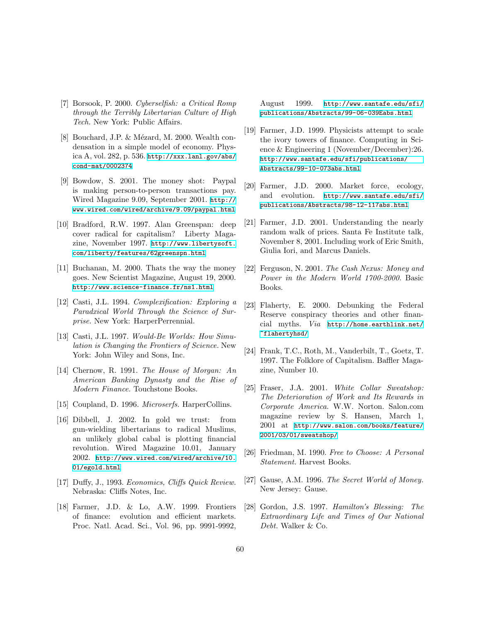- <span id="page-59-5"></span>[7] Borsook, P. 2000. Cyberselfish: a Critical Romp through the Terribly Libertarian Culture of High Tech. New York: Public Affairs.
- <span id="page-59-10"></span>[8] Bouchard, J.P. & Mézard, M. 2000. Wealth condensation in a simple model of economy. Physica A, vol. 282, p. 536. [http://xxx.lanl.gov/abs/](http://xxx.lanl.gov/abs/cond-mat/0002374) [cond-mat/0002374](http://xxx.lanl.gov/abs/cond-mat/0002374)
- <span id="page-59-21"></span>[9] Bowdow, S. 2001. The money shot: Paypal is making person-to-person transactions pay. Wired Magazine 9.09, September 2001. [http://](http://www.wired.com/wired/archive/9.09/paypal.html) [www.wired.com/wired/archive/9.09/paypal.html](http://www.wired.com/wired/archive/9.09/paypal.html)
- <span id="page-59-11"></span>[10] Bradford, R.W. 1997. Alan Greenspan: deep cover radical for capitalism? Liberty Magazine, November 1997. [http://www.libertysoft.](http://www.libertysoft.com/liberty/features/62greenspn.html) [com/liberty/features/62greenspn.html](http://www.libertysoft.com/liberty/features/62greenspn.html)
- <span id="page-59-9"></span>[11] Buchanan, M. 2000. Thats the way the money goes. New Scientist Magazine, August 19, 2000. <http://www.science-finance.fr/ns1.html>
- <span id="page-59-3"></span>[12] Casti, J.L. 1994. Complexification: Exploring a Paradxical World Through the Science of Surprise. New York: HarperPerrennial.
- <span id="page-59-4"></span>[13] Casti, J.L. 1997. Would-Be Worlds: How Simulation is Changing the Frontiers of Science. New York: John Wiley and Sons, Inc.
- <span id="page-59-18"></span>[14] Chernow, R. 1991. The House of Morgan: An American Banking Dynasty and the Rise of Modern Finance. Touchstone Books.
- <span id="page-59-17"></span>[15] Coupland, D. 1996. *Microserfs*. HarperCollins.
- <span id="page-59-12"></span>[16] Dibbell, J. 2002. In gold we trust: from gun-wielding libertarians to radical Muslims, an unlikely global cabal is plotting financial revolution. Wired Magazine 10.01, January 2002. [http://www.wired.com/wired/archive/10.](http://www.wired.com/wired/archive/10.01/egold.html) [01/egold.html](http://www.wired.com/wired/archive/10.01/egold.html)
- <span id="page-59-6"></span>[17] Duffy, J., 1993. Economics, Cliffs Quick Review. Nebraska: Cliffs Notes, Inc.
- <span id="page-59-1"></span>[18] Farmer, J.D. & Lo, A.W. 1999. Frontiers of finance: evolution and efficient markets. Proc. Natl. Acad. Sci., Vol. 96, pp. 9991-9992,

August 1999. [http://www.santafe.edu/sfi/](http://www.santafe.edu/sfi/publications/Abstracts/99-06-039Eabs.html) [publications/Abstracts/99-06-039Eabs.html](http://www.santafe.edu/sfi/publications/Abstracts/99-06-039Eabs.html)

- <span id="page-59-0"></span>[19] Farmer, J.D. 1999. Physicists attempt to scale the ivory towers of finance. Computing in Science & Engineering 1 (November/December):26. [http://www.santafe.edu/sfi/publications/](http://www.santafe.edu/sfi/publications/Abstracts/99-10-073abs.html) [Abstracts/99-10-073abs.html](http://www.santafe.edu/sfi/publications/Abstracts/99-10-073abs.html)
- <span id="page-59-2"></span>[20] Farmer, J.D. 2000. Market force, ecology, and evolution. [http://www.santafe.edu/sfi/](http://www.santafe.edu/sfi/publications/Abstracts/98-12-117abs.html) [publications/Abstracts/98-12-117abs.html](http://www.santafe.edu/sfi/publications/Abstracts/98-12-117abs.html)
- <span id="page-59-8"></span>[21] Farmer, J.D. 2001. Understanding the nearly random walk of prices. Santa Fe Institute talk, November 8, 2001. Including work of Eric Smith, Giulia Iori, and Marcus Daniels.
- <span id="page-59-19"></span>[22] Ferguson, N. 2001. The Cash Nexus: Money and Power in the Modern World 1700-2000. Basic Books.
- <span id="page-59-20"></span>[23] Flaherty, E. 2000. Debunking the Federal Reserve conspiracy theories and other financial myths. Via [http://home.earthlink.net/](http://home.earthlink.net/~flahertyhsd/) [~flahertyhsd/](http://home.earthlink.net/~flahertyhsd/)
- <span id="page-59-14"></span>[24] Frank, T.C., Roth, M., Vanderbilt, T., Goetz, T. 1997. The Folklore of Capitalism. Baffler Magazine, Number 10.
- <span id="page-59-16"></span>[25] Fraser, J.A. 2001. White Collar Sweatshop: The Deterioration of Work and Its Rewards in Corporate America. W.W. Norton. Salon.com magazine review by S. Hansen, March 1, 2001 at [http://www.salon.com/books/feature/](http://www.salon.com/books/feature/2001/03/01/sweatshop/) [2001/03/01/sweatshop/](http://www.salon.com/books/feature/2001/03/01/sweatshop/)
- <span id="page-59-15"></span>[26] Friedman, M. 1990. Free to Choose: A Personal Statement. Harvest Books.
- <span id="page-59-7"></span>[27] Gause, A.M. 1996. The Secret World of Money. New Jersey: Gause.
- <span id="page-59-13"></span>[28] Gordon, J.S. 1997. Hamilton's Blessing: The Extraordinary Life and Times of Our National Debt. Walker & Co.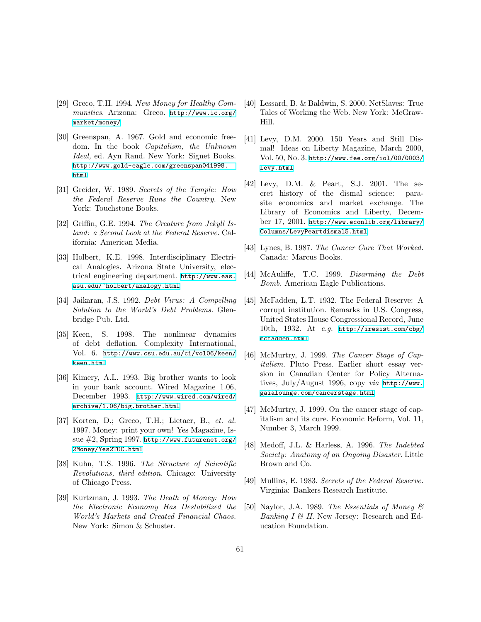- <span id="page-60-17"></span>[29] Greco, T.H. 1994. New Money for Healthy Communities. Arizona: Greco. [http://www.ic.org/](http://www.ic.org/market/money/) [market/money/](http://www.ic.org/market/money/)
- <span id="page-60-7"></span>[30] Greenspan, A. 1967. Gold and economic freedom. In the book Capitalism, the Unknown Ideal, ed. Ayn Rand. New York: Signet Books. [http://www.gold-eagle.com/greenspan041998.](http://www.gold-eagle.com/greenspan041998.html) [html](http://www.gold-eagle.com/greenspan041998.html)
- <span id="page-60-8"></span>[31] Greider, W. 1989. Secrets of the Temple: How the Federal Reserve Runs the Country. New York: Touchstone Books.
- <span id="page-60-1"></span>[32] Griffin, G.E. 1994. The Creature from Jekyll Island: a Second Look at the Federal Reserve. California: American Media.
- <span id="page-60-5"></span>[33] Holbert, K.E. 1998. Interdisciplinary Electrical Analogies. Arizona State University, electrical engineering department. [http://www.eas.](http://www.eas.asu.edu/~holbert/analogy.html) [asu.edu/~holbert/analogy.html](http://www.eas.asu.edu/~holbert/analogy.html)
- <span id="page-60-18"></span>[34] Jaikaran, J.S. 1992. Debt Virus: A Compelling Solution to the World's Debt Problems. Glenbridge Pub. Ltd.
- <span id="page-60-4"></span>[35] Keen, S. 1998. The nonlinear dynamics of debt deflation. Complexity International, Vol. 6. [http://www.csu.edu.au/ci/vol06/keen/](http://www.csu.edu.au/ci/vol06/keen/keen.html) [keen.html](http://www.csu.edu.au/ci/vol06/keen/keen.html)
- <span id="page-60-16"></span>[36] Kimery, A.L. 1993. Big brother wants to look in your bank account. Wired Magazine 1.06, December 1993. [http://www.wired.com/wired/](http://www.wired.com/wired/archive/1.06/big.brother.html) [archive/1.06/big.brother.html](http://www.wired.com/wired/archive/1.06/big.brother.html)
- <span id="page-60-15"></span>[37] Korten, D.; Greco, T.H.; Lietaer, B., et. al. 1997. Money: print your own! Yes Magazine, Issue #2, Spring 1997. [http://www.futurenet.org/](http://www.futurenet.org/2Money/Yes2TOC.html) [2Money/Yes2TOC.html](http://www.futurenet.org/2Money/Yes2TOC.html)
- <span id="page-60-0"></span>[38] Kuhn, T.S. 1996. The Structure of Scientific Revolutions, third edition. Chicago: University of Chicago Press.
- <span id="page-60-6"></span>[39] Kurtzman, J. 1993. The Death of Money: How the Electronic Economy Has Destabilized the World's Markets and Created Financial Chaos. New York: Simon & Schuster.
- <span id="page-60-10"></span>[40] Lessard, B. & Baldwin, S. 2000. NetSlaves: True Tales of Working the Web. New York: McGraw-Hill.
- <span id="page-60-3"></span>[41] Levy, D.M. 2000. 150 Years and Still Dismal! Ideas on Liberty Magazine, March 2000, Vol. 50, No. 3. [http://www.fee.org/iol/00/0003/](http://www.fee.org/iol/00/0003/levy.html) [levy.html](http://www.fee.org/iol/00/0003/levy.html)
- <span id="page-60-11"></span>[42] Levy, D.M. & Peart, S.J. 2001. The secret history of the dismal science: parasite economics and market exchange. The Library of Economics and Liberty, December 17, 2001. [http://www.econlib.org/library/](http://www.econlib.org/library/Columns/LevyPeartdismal5.html) [Columns/LevyPeartdismal5.html](http://www.econlib.org/library/Columns/LevyPeartdismal5.html)
- <span id="page-60-12"></span>[43] Lynes, B. 1987. The Cancer Cure That Worked. Canada: Marcus Books.
- [44] McAuliffe, T.C. 1999. Disarming the Debt Bomb. American Eagle Publications.
- <span id="page-60-14"></span>[45] McFadden, L.T. 1932. The Federal Reserve: A corrupt institution. Remarks in U.S. Congress, United States House Congressional Record, June 10th, 1932. At e.g. [http://iresist.com/cbg/](http://iresist.com/cbg/mcfadden.html) [mcfadden.html](http://iresist.com/cbg/mcfadden.html)
- <span id="page-60-13"></span>[46] McMurtry, J. 1999. The Cancer Stage of Capitalism. Pluto Press. Earlier short essay version in Canadian Center for Policy Alternatives, July/August 1996, copy via [http://www.](http://www.gaialounge.com/cancerstage.html) [gaialounge.com/cancerstage.html](http://www.gaialounge.com/cancerstage.html)
- [47] McMurtry, J. 1999. On the cancer stage of capitalism and its cure. Economic Reform, Vol. 11, Number 3, March 1999.
- [48] Medoff, J.L. & Harless, A. 1996. The Indebted Society: Anatomy of an Ongoing Disaster. Little Brown and Co.
- <span id="page-60-9"></span>[49] Mullins, E. 1983. Secrets of the Federal Reserve. Virginia: Bankers Research Institute.
- <span id="page-60-2"></span>[50] Naylor, J.A. 1989. The Essentials of Money & Banking  $I \& II$ . New Jersey: Research and Education Foundation.